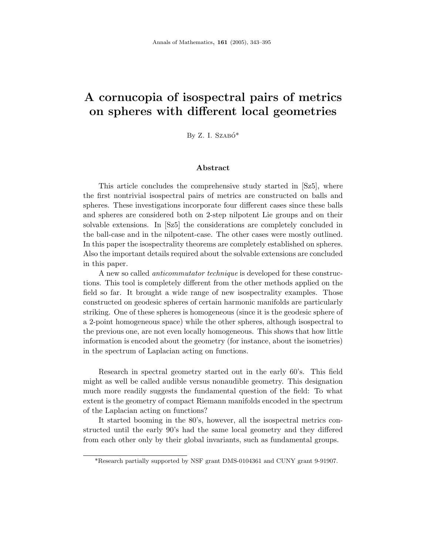# **A cornucopia of isospectral pairs of metrics on spheres with different local geometries**

By Z. I. SZABÓ $*$ 

## **Abstract**

This article concludes the comprehensive study started in [Sz5], where the first nontrivial isospectral pairs of metrics are constructed on balls and spheres. These investigations incorporate four different cases since these balls and spheres are considered both on 2-step nilpotent Lie groups and on their solvable extensions. In [Sz5] the considerations are completely concluded in the ball-case and in the nilpotent-case. The other cases were mostly outlined. In this paper the isospectrality theorems are completely established on spheres. Also the important details required about the solvable extensions are concluded in this paper.

A new so called anticommutator technique is developed for these constructions. This tool is completely different from the other methods applied on the field so far. It brought a wide range of new isospectrality examples. Those constructed on geodesic spheres of certain harmonic manifolds are particularly striking. One of these spheres is homogeneous (since it is the geodesic sphere of a 2-point homogeneous space) while the other spheres, although isospectral to the previous one, are not even locally homogeneous. This shows that how little information is encoded about the geometry (for instance, about the isometries) in the spectrum of Laplacian acting on functions.

Research in spectral geometry started out in the early 60's. This field might as well be called audible versus nonaudible geometry. This designation much more readily suggests the fundamental question of the field: To what extent is the geometry of compact Riemann manifolds encoded in the spectrum of the Laplacian acting on functions?

It started booming in the 80's, however, all the isospectral metrics constructed until the early 90's had the same local geometry and they differed from each other only by their global invariants, such as fundamental groups.

<sup>\*</sup>Research partially supported by NSF grant DMS-0104361 and CUNY grant 9-91907.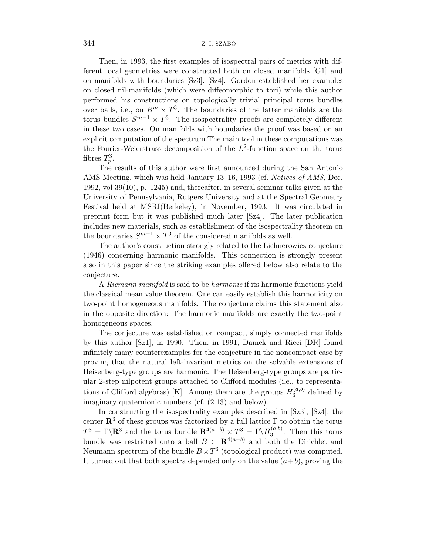# 344 Z. I. SZABO´

Then, in 1993, the first examples of isospectral pairs of metrics with different local geometries were constructed both on closed manifolds [G1] and on manifolds with boundaries [Sz3], [Sz4]. Gordon established her examples on closed nil-manifolds (which were diffeomorphic to tori) while this author performed his constructions on topologically trivial principal torus bundles over balls, i.e., on  $B^m \times T^3$ . The boundaries of the latter manifolds are the torus bundles  $S^{m-1} \times T^3$ . The isospectrality proofs are completely different in these two cases. On manifolds with boundaries the proof was based on an explicit computation of the spectrum.The main tool in these computations was the Fourier-Weierstrass decomposition of the  $L^2$ -function space on the torus fibres  $T_p^3$ .

The results of this author were first announced during the San Antonio AMS Meeting, which was held January 13–16, 1993 (cf. *Notices of AMS*, Dec. 1992, vol 39(10), p. 1245) and, thereafter, in several seminar talks given at the University of Pennsylvania, Rutgers University and at the Spectral Geometry Festival held at MSRI(Berkeley), in November, 1993. It was circulated in preprint form but it was published much later [Sz4]. The later publication includes new materials, such as establishment of the isospectrality theorem on the boundaries  $S^{m-1} \times T^3$  of the considered manifolds as well.

The author's construction strongly related to the Lichnerowicz conjecture (1946) concerning harmonic manifolds. This connection is strongly present also in this paper since the striking examples offered below also relate to the conjecture.

A Riemann manifold is said to be harmonic if its harmonic functions yield the classical mean value theorem. One can easily establish this harmonicity on two-point homogeneous manifolds. The conjecture claims this statement also in the opposite direction: The harmonic manifolds are exactly the two-point homogeneous spaces.

The conjecture was established on compact, simply connected manifolds by this author [Sz1], in 1990. Then, in 1991, Damek and Ricci [DR] found infinitely many counterexamples for the conjecture in the noncompact case by proving that the natural left-invariant metrics on the solvable extensions of Heisenberg-type groups are harmonic. The Heisenberg-type groups are particular 2-step nilpotent groups attached to Clifford modules (i.e., to representations of Clifford algebras) [K]. Among them are the groups  $H_3^{(a,b)}$  defined by imaginary quaternionic numbers (cf. (2.13) and below).

In constructing the isospectrality examples described in [Sz3], [Sz4], the center  $\mathbb{R}^3$  of these groups was factorized by a full lattice  $\Gamma$  to obtain the torus  $T^3 = \Gamma \backslash \mathbb{R}^3$  and the torus bundle  $\mathbb{R}^{4(a+b)} \times T^3 = \Gamma \backslash H_3^{(a,b)}$ . Then this torus bundle was restricted onto a ball  $B \subset \mathbf{R}^{4(a+b)}$  and both the Dirichlet and Neumann spectrum of the bundle  $B \times T^3$  (topological product) was computed. It turned out that both spectra depended only on the value  $(a+b)$ , proving the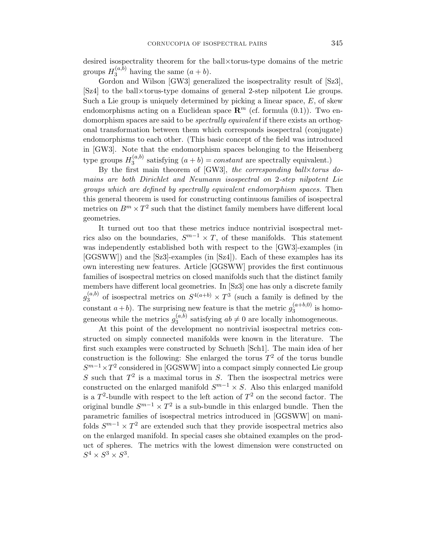desired isospectrality theorem for the ball×torus-type domains of the metric groups  $H_3^{(a,b)}$  having the same  $(a + b)$ .

Gordon and Wilson [GW3] generalized the isospectrality result of [Sz3], [Sz4] to the ball×torus-type domains of general 2-step nilpotent Lie groups. Such a Lie group is uniquely determined by picking a linear space, *E*, of skew endomorphisms acting on a Euclidean space  $\mathbb{R}^m$  (cf. formula (0.1)). Two endomorphism spaces are said to be *spectrally equivalent* if there exists an orthogonal transformation between them which corresponds isospectral (conjugate) endomorphisms to each other. (This basic concept of the field was introduced in [GW3]. Note that the endomorphism spaces belonging to the Heisenberg type groups  $H_3^{(a,b)}$  satisfying  $(a + b) = constant$  are spectrally equivalent.)

By the first main theorem of  $[GW3]$ , the corresponding ball×torus domains are both Dirichlet and Neumann isospectral on 2-step nilpotent Lie groups which are defined by spectrally equivalent endomorphism spaces. Then this general theorem is used for constructing continuous families of isospectral metrics on  $B^m \times T^2$  such that the distinct family members have different local geometries.

It turned out too that these metrics induce nontrivial isospectral metrics also on the boundaries,  $S^{m-1} \times T$ , of these manifolds. This statement was independently established both with respect to the [GW3]-examples (in [GGSWW]) and the [Sz3]-examples (in [Sz4]). Each of these examples has its own interesting new features. Article [GGSWW] provides the first continuous families of isospectral metrics on closed manifolds such that the distinct family members have different local geometries. In [Sz3] one has only a discrete family  $g_3^{(a,b)}$  of isospectral metrics on  $S^{4(a+b)} \times T^3$  (such a family is defined by the constant  $a + b$ ). The surprising new feature is that the metric  $g_3^{(a+b,0)}$  is homogeneous while the metrics  $g_3^{(a,b)}$  satisfying  $ab \neq 0$  are locally inhomogeneous.

At this point of the development no nontrivial isospectral metrics constructed on simply connected manifolds were known in the literature. The first such examples were constructed by Schueth [Sch1]. The main idea of her construction is the following: She enlarged the torus  $T^2$  of the torus bundle  $S^{m-1} \times T^2$  considered in [GGSWW] into a compact simply connected Lie group *S* such that  $T^2$  is a maximal torus in *S*. Then the isospectral metrics were constructed on the enlarged manifold  $S^{m-1} \times S$ . Also this enlarged manifold is a  $T^2$ -bundle with respect to the left action of  $T^2$  on the second factor. The original bundle  $S^{m-1} \times T^2$  is a sub-bundle in this enlarged bundle. Then the parametric families of isospectral metrics introduced in [GGSWW] on manifolds  $S^{m-1} \times T^2$  are extended such that they provide isospectral metrics also on the enlarged manifold. In special cases she obtained examples on the product of spheres. The metrics with the lowest dimension were constructed on  $S^4 \times S^3 \times S^3$ .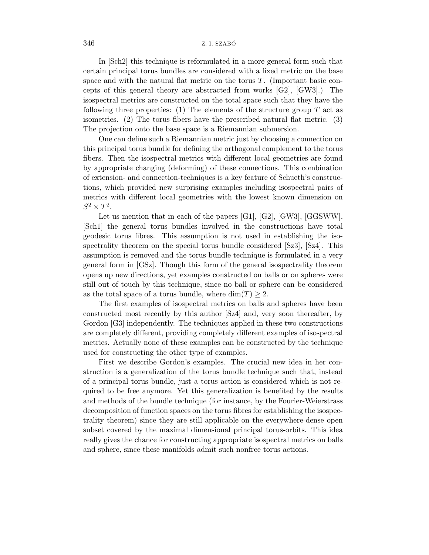## 346 Z. I. SZABO´

In [Sch2] this technique is reformulated in a more general form such that certain principal torus bundles are considered with a fixed metric on the base space and with the natural flat metric on the torus *T*. (Important basic concepts of this general theory are abstracted from works [G2], [GW3].) The isospectral metrics are constructed on the total space such that they have the following three properties: (1) The elements of the structure group *T* act as isometries. (2) The torus fibers have the prescribed natural flat metric. (3) The projection onto the base space is a Riemannian submersion.

One can define such a Riemannian metric just by choosing a connection on this principal torus bundle for defining the orthogonal complement to the torus fibers. Then the isospectral metrics with different local geometries are found by appropriate changing (deforming) of these connections. This combination of extension- and connection-techniques is a key feature of Schueth's constructions, which provided new surprising examples including isospectral pairs of metrics with different local geometries with the lowest known dimension on  $S^2 \times T^2$ .

Let us mention that in each of the papers [G1], [G2], [GW3], [GGSWW], [Sch1] the general torus bundles involved in the constructions have total geodesic torus fibres. This assumption is not used in establishing the isospectrality theorem on the special torus bundle considered [Sz3], [Sz4]. This assumption is removed and the torus bundle technique is formulated in a very general form in [GSz]. Though this form of the general isospectrality theorem opens up new directions, yet examples constructed on balls or on spheres were still out of touch by this technique, since no ball or sphere can be considered as the total space of a torus bundle, where  $\dim(T) \geq 2$ .

The first examples of isospectral metrics on balls and spheres have been constructed most recently by this author [Sz4] and, very soon thereafter, by Gordon [G3] independently. The techniques applied in these two constructions are completely different, providing completely different examples of isospectral metrics. Actually none of these examples can be constructed by the technique used for constructing the other type of examples.

First we describe Gordon's examples. The crucial new idea in her construction is a generalization of the torus bundle technique such that, instead of a principal torus bundle, just a torus action is considered which is not required to be free anymore. Yet this generalization is benefited by the results and methods of the bundle technique (for instance, by the Fourier-Weierstrass decomposition of function spaces on the torus fibres for establishing the isospectrality theorem) since they are still applicable on the everywhere-dense open subset covered by the maximal dimensional principal torus-orbits. This idea really gives the chance for constructing appropriate isospectral metrics on balls and sphere, since these manifolds admit such nonfree torus actions.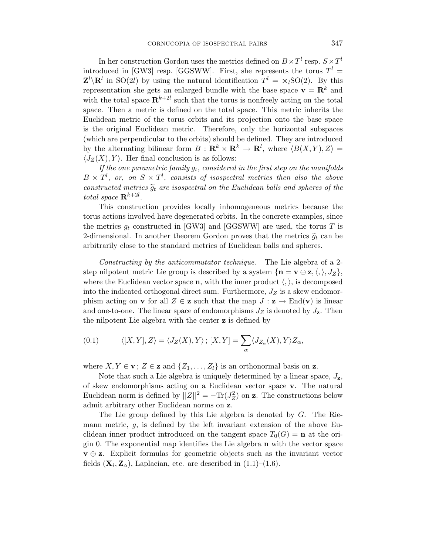In her construction Gordon uses the metrics defined on  $B\times T^l$  resp.  $S\times T^l$ introduced in [GW3] resp. [GGSWW]. First, she represents the torus  $T^l$  =  $\mathbf{Z}^l \setminus \mathbf{R}^l$  in SO(2*l*) by using the natural identification  $T^l = \times_l$ SO(2). By this representation she gets an enlarged bundle with the base space  $\mathbf{v} = \mathbf{R}^k$  and with the total space  $\mathbb{R}^{k+2l}$  such that the torus is nonfreely acting on the total space. Then a metric is defined on the total space. This metric inherits the Euclidean metric of the torus orbits and its projection onto the base space is the original Euclidean metric. Therefore, only the horizontal subspaces (which are perpendicular to the orbits) should be defined. They are introduced by the alternating bilinear form  $B: \mathbf{R}^k \times \mathbf{R}^k \to \mathbf{R}^l$ , where  $\langle B(X,Y), Z \rangle =$  $\langle J_Z(X), Y \rangle$ . Her final conclusion is as follows:

If the one parametric family  $q_t$ , considered in the first step on the manifolds  $B \times T^l$ , or, on  $S \times T^l$ , consists of isospectral metrics then also the above constructed metrics  $\tilde{q}_t$  are isospectral on the Euclidean balls and spheres of the total space  $\mathbf{R}^{k+2l}$ .

This construction provides locally inhomogeneous metrics because the torus actions involved have degenerated orbits. In the concrete examples, since the metrics  $g_t$  constructed in [GW3] and [GGSWW] are used, the torus *T* is 2-dimensional. In another theorem Gordon proves that the metrics  $\tilde{g}_t$  can be arbitrarily close to the standard metrics of Euclidean balls and spheres.

Constructing by the anticommutator technique. The Lie algebra of a 2 step nilpotent metric Lie group is described by a system  $\{\mathbf{n} = \mathbf{v} \oplus \mathbf{z}, \langle, \rangle, J_Z\},\$ where the Euclidean vector space **n**, with the inner product  $\langle, \rangle$ , is decomposed into the indicated orthogonal direct sum. Furthermore,  $J_Z$  is a skew endomorphism acting on **v** for all  $Z \in \mathbf{z}$  such that the map  $J : \mathbf{z} \to \text{End}(\mathbf{v})$  is linear and one-to-one. The linear space of endomorphisms  $J_Z$  is denoted by  $J_{\mathbf{z}}$ . Then the nilpotent Lie algebra with the center **z** is defined by

(0.1) 
$$
\langle [X,Y],Z\rangle = \langle J_Z(X),Y\rangle; [X,Y] = \sum_{\alpha} \langle J_{Z_{\alpha}}(X),Y\rangle Z_{\alpha},
$$

where  $X, Y \in \mathbf{v}$ ;  $Z \in \mathbf{z}$  and  $\{Z_1, \ldots, Z_l\}$  is an orthonormal basis on  $\mathbf{z}$ .

Note that such a Lie algebra is uniquely determined by a linear space, *J***z**, of skew endomorphisms acting on a Euclidean vector space **v**. The natural Euclidean norm is defined by  $||Z||^2 = -\text{Tr}(J_Z^2)$  on **z**. The constructions below admit arbitrary other Euclidean norms on **z**.

The Lie group defined by this Lie algebra is denoted by *G*. The Riemann metric, *g*, is defined by the left invariant extension of the above Euclidean inner product introduced on the tangent space  $T_0(G) = \mathbf{n}$  at the origin 0. The exponential map identifies the Lie algebra **n** with the vector space **v** ⊕ **z**. Explicit formulas for geometric objects such as the invariant vector fields  $(X_i, Z_\alpha)$ , Laplacian, etc. are described in  $(1.1)$ – $(1.6)$ .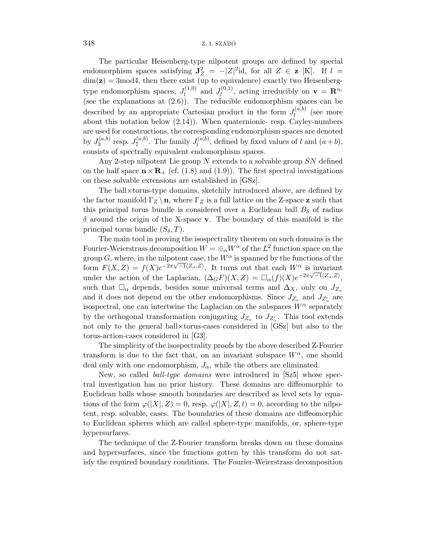The particular Heisenberg-type nilpotent groups are defined by special endomorphism spaces satisfying  $J_Z^2 = -|Z|^2$ id, for all  $Z \in \mathbf{z}$  [K]. If  $l =$  $\dim(\mathbf{z}) = 3 \mod 4$ , then there exist (up to equivalence) exactly two Heisenbergtype endomorphism spaces,  $J_l^{(1,0)}$  and  $J_l^{(0,1)}$ , acting irreducibly on  $\mathbf{v} = \mathbf{R}^{n_l}$ (see the explanations at  $(2.6)$ ). The reducible endomorphism spaces can be described by an appropriate Cartesian product in the form  $J_l^{(a,b)}$  (see more about this notation below (2.14)). When quaternionic- resp. Cayley-numbers are used for constructions, the corresponding endomorphism spaces are denoted by  $J_3^{(a,b)}$  resp.  $J_7^{(a,b)}$ . The family  $J_l^{(a,b)}$ , defined by fixed values of *l* and  $(a+b)$ , consists of spectrally equivalent endomorphism spaces.

Any 2-step nilpotent Lie group *N* extends to a solvable group *SN* defined on the half space  $\mathbf{n} \times \mathbf{R}_{+}$  (cf. (1.8) and (1.9)). The first spectral investigations on these solvable extensions are established in [GSz].

The ball×torus-type domains, sketchily introduced above, are defined by the factor manifold  $\Gamma_Z \setminus \mathbf{n}$ , where  $\Gamma_Z$  is a full lattice on the Z-space **z** such that this principal torus bundle is considered over a Euclidean ball  $B_{\delta}$  of radius *δ* around the origin of the X-space **v**. The boundary of this manifold is the principal torus bundle  $(S_{\delta}, T)$ .

The main tool in proving the isospectrality theorem on such domains is the Fourier-Weierstrass decomposition  $W = \bigoplus_{\alpha} W^{\alpha}$  of the  $L^2$  function space on the group *G*, where, in the nilpotent case, the  $W^{\alpha}$  is spanned by the functions of the form  $F(X, Z) = f(X)e^{-2\pi\sqrt{-1}\langle Z_\alpha, Z \rangle}$ . It turns out that each  $W^\alpha$  is invariant under the action of the Laplacian,  $(\Delta_G F)(X, Z) = \Box_{\alpha}(f)(X)e^{-2\pi\sqrt{-1}\langle Z_{\alpha},Z\rangle},$ such that  $\square_{\alpha}$  depends, besides some universal terms and  $\Delta_X$ , only on  $J_{Z_{\alpha}}$ and it does not depend on the other endomorphisms. Since  $J_{Z_\alpha}$  and  $J_{Z'_\alpha}$  are isospectral, one can intertwine the Laplacian on the subspaces  $W^{\alpha}$  separately by the orthogonal transformation conjugating  $J_{Z_\alpha}$  to  $J_{Z'_\alpha}$ . This tool extends not only to the general ball×torus-cases considered in [GSz] but also to the torus-action-cases considered in [G3].

The simplicity of the isospectrality proofs by the above described Z-Fourier transform is due to the fact that, on an invariant subspace  $W^{\alpha}$ , one should deal only with one endomorphism,  $J_{\alpha}$ , while the others are eliminated.

New, so called *ball-type domains* were introduced in [Sz5] whose spectral investigation has no prior history. These domains are diffeomorphic to Euclidean balls whose smooth boundaries are described as level sets by equations of the form  $\varphi(|X|, Z) = 0$ , resp.  $\varphi(|X|, Z, t) = 0$ , according to the nilpotent, resp. solvable, cases. The boundaries of these domains are diffeomorphic to Euclidean spheres which are called sphere-type manifolds, or, sphere-type hypersurfaces.

The technique of the Z-Fourier transform breaks down on these domains and hypersurfaces, since the functions gotten by this transform do not satisfy the required boundary conditions. The Fourier-Weierstrass decomposition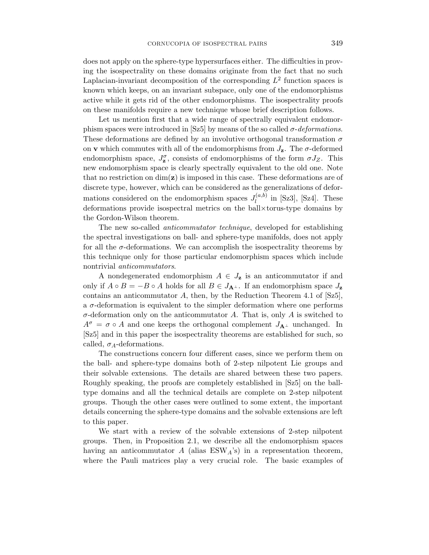does not apply on the sphere-type hypersurfaces either. The difficulties in proving the isospectrality on these domains originate from the fact that no such Laplacian-invariant decomposition of the corresponding *L*<sup>2</sup> function spaces is known which keeps, on an invariant subspace, only one of the endomorphisms active while it gets rid of the other endomorphisms. The isospectrality proofs on these manifolds require a new technique whose brief description follows.

Let us mention first that a wide range of spectrally equivalent endomorphism spaces were introduced in [Sz5] by means of the so called  $\sigma$ -deformations. These deformations are defined by an involutive orthogonal transformation *σ* on **v** which commutes with all of the endomorphisms from  $J_{\mathbf{z}}$ . The  $\sigma$ -deformed endomorphism space,  $J_{\mathbf{z}}^{\sigma}$ , consists of endomorphisms of the form  $\sigma J_Z$ . This new endomorphism space is clearly spectrally equivalent to the old one. Note that no restriction on dim(**z**) is imposed in this case. These deformations are of discrete type, however, which can be considered as the generalizations of deformations considered on the endomorphism spaces  $J_l^{(a,b)}$  in [Sz3], [Sz4]. These deformations provide isospectral metrics on the ball×torus-type domains by the Gordon-Wilson theorem.

The new so-called anticommutator technique, developed for establishing the spectral investigations on ball- and sphere-type manifolds, does not apply for all the  $\sigma$ -deformations. We can accomplish the isospectrality theorems by this technique only for those particular endomorphism spaces which include nontrivial anticommutators.

A nondegenerated endomorphism  $A \in J_{\mathbf{z}}$  is an anticommutator if and only if  $A \circ B = -B \circ A$  holds for all  $B \in J_{\mathbf{A}^{\perp}}$ . If an endomorphism space  $J_{\mathbf{z}}$ contains an anticommutator *A*, then, by the Reduction Theorem 4.1 of [Sz5], a *σ*-deformation is equivalent to the simpler deformation where one performs *σ*-deformation only on the anticommutator *A*. That is, only *A* is switched to  $A^{\sigma} = \sigma \circ A$  and one keeps the orthogonal complement  $J_{A^{\perp}}$  unchanged. In [Sz5] and in this paper the isospectrality theorems are established for such, so called,  $\sigma_A$ -deformations.

The constructions concern four different cases, since we perform them on the ball- and sphere-type domains both of 2-step nilpotent Lie groups and their solvable extensions. The details are shared between these two papers. Roughly speaking, the proofs are completely established in [Sz5] on the balltype domains and all the technical details are complete on 2-step nilpotent groups. Though the other cases were outlined to some extent, the important details concerning the sphere-type domains and the solvable extensions are left to this paper.

We start with a review of the solvable extensions of 2-step nilpotent groups. Then, in Proposition 2.1, we describe all the endomorphism spaces having an anticommutator  $A$  (alias  $ESW_A$ 's) in a representation theorem, where the Pauli matrices play a very crucial role. The basic examples of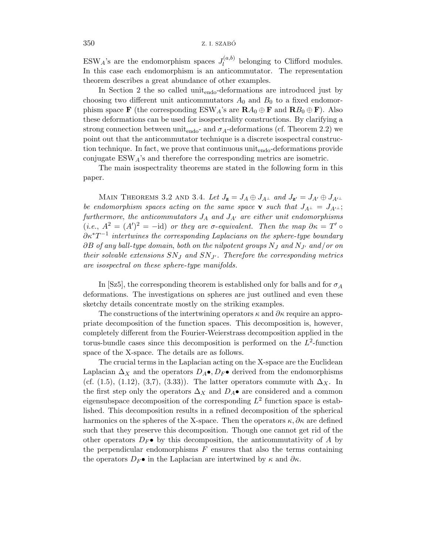ESW<sub>A</sub>'s are the endomorphism spaces  $J_l^{(a,b)}$  belonging to Clifford modules. In this case each endomorphism is an anticommutator. The representation theorem describes a great abundance of other examples.

In Section 2 the so called unit<sub>endo</sub>-deformations are introduced just by choosing two different unit anticommutators  $A_0$  and  $B_0$  to a fixed endomorphism space **F** (the corresponding  $ESW_A$ 's are  $\mathbf{R}A_0 \oplus \mathbf{F}$  and  $\mathbf{R}B_0 \oplus \mathbf{F}$ ). Also these deformations can be used for isospectrality constructions. By clarifying a strong connection between unit<sub>endo</sub>- and  $\sigma_A$ -deformations (cf. Theorem 2.2) we point out that the anticommutator technique is a discrete isospectral construction technique. In fact, we prove that continuous unit<sub>endo</sub>-deformations provide conjugate  $ESW_A$ 's and therefore the corresponding metrics are isometric.

The main isospectrality theorems are stated in the following form in this paper.

MAIN THEOREMS 3.2 AND 3.4. Let  $J_{\mathbf{z}} = J_A \oplus J_{A^{\perp}}$  and  $J_{\mathbf{z}} = J_{A'} \oplus J_{A'^{\perp}}$ be endomorphism spaces acting on the same space **v** such that  $J_{A^{\perp}} = J_{A'^{\perp}}$ ; furthermore, the anticommutators  $J_A$  and  $J_{A'}$  are either unit endomorphisms  $(i.e., A<sup>2</sup> = (A')<sup>2</sup> = -id)$  or they are *σ*-equivalent. Then the map  $\partial \kappa = T' \circ$  $\partial \kappa^* T^{-1}$  intertwines the corresponding Laplacians on the sphere-type boundary *∂B* of any ball-type domain, both on the nilpotent groups *N*<sub>J</sub> and *N*<sub>J</sub>, and/or on their solvable extensions  $SN_J$  and  $SN_{J'}$ . Therefore the corresponding metrics are isospectral on these sphere-type manifolds.

In [Sz5], the corresponding theorem is established only for balls and for  $\sigma_A$ deformations. The investigations on spheres are just outlined and even these sketchy details concentrate mostly on the striking examples.

The constructions of the intertwining operators *κ* and *∂κ* require an appropriate decomposition of the function spaces. This decomposition is, however, completely different from the Fourier-Weierstrass decomposition applied in the torus-bundle cases since this decomposition is performed on the  $L^2$ -function space of the X-space. The details are as follows.

The crucial terms in the Laplacian acting on the X-space are the Euclidean Laplacian  $\Delta_X$  and the operators  $D_A \bullet$ ,  $D_F \bullet$  derived from the endomorphisms (cf. (1.5), (1.12), (3,7), (3.33)). The latter operators commute with  $\Delta_X$ . In the first step only the operators  $\Delta_X$  and  $D_A \bullet$  are considered and a common eigensubspace decomposition of the corresponding  $L^2$  function space is established. This decomposition results in a refined decomposition of the spherical harmonics on the spheres of the X-space. Then the operators  $\kappa, \partial \kappa$  are defined such that they preserve this decomposition. Though one cannot get rid of the other operators  $D_F \bullet$  by this decomposition, the anticommutativity of A by the perpendicular endomorphisms  $F$  ensures that also the terms containing the operators  $D_F \bullet$  in the Laplacian are intertwined by  $\kappa$  and  $\partial \kappa$ .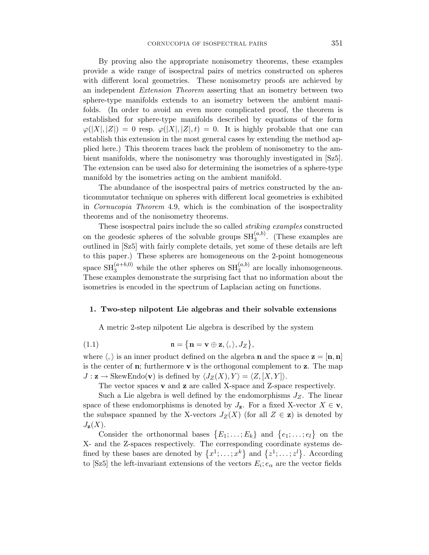By proving also the appropriate nonisometry theorems, these examples provide a wide range of isospectral pairs of metrics constructed on spheres with different local geometries. These nonisometry proofs are achieved by an independent Extension Theorem asserting that an isometry between two sphere-type manifolds extends to an isometry between the ambient manifolds. (In order to avoid an even more complicated proof, the theorem is established for sphere-type manifolds described by equations of the form  $\varphi(|X|, |Z|) = 0$  resp.  $\varphi(|X|, |Z|, t) = 0$ . It is highly probable that one can establish this extension in the most general cases by extending the method applied here.) This theorem traces back the problem of nonisometry to the ambient manifolds, where the nonisometry was thoroughly investigated in [Sz5]. The extension can be used also for determining the isometries of a sphere-type manifold by the isometries acting on the ambient manifold.

The abundance of the isospectral pairs of metrics constructed by the anticommutator technique on spheres with different local geometries is exhibited in Cornucopia Theorem 4.9, which is the combination of the isospectrality theorems and of the nonisometry theorems.

These isospectral pairs include the so called *striking examples* constructed on the geodesic spheres of the solvable groups  $SH_3^{(a,b)}$ . (These examples are outlined in [Sz5] with fairly complete details, yet some of these details are left to this paper.) These spheres are homogeneous on the 2-point homogeneous space  $\text{SH}_3^{(a+b,0)}$  while the other spheres on  $\text{SH}_3^{(a,b)}$  are locally inhomogeneous. These examples demonstrate the surprising fact that no information about the isometries is encoded in the spectrum of Laplacian acting on functions.

## **1. Two-step nilpotent Lie algebras and their solvable extensions**

A metric 2-step nilpotent Lie algebra is described by the system

(1.1) 
$$
\mathfrak{n} = {\mathbf{n} = \mathbf{v} \oplus \mathbf{z}, \langle, \rangle, J_Z},
$$

where  $\langle , \rangle$  is an inner product defined on the algebra **n** and the space  $\mathbf{z} = [\mathbf{n}, \mathbf{n}]$ is the center of **n**; furthermore **v** is the orthogonal complement to **z**. The map  $J: \mathbf{z} \to \text{SkewEndo}(\mathbf{v})$  is defined by  $\langle J_Z(X), Y \rangle = \langle Z, [X, Y] \rangle$ .

The vector spaces **v** and **z** are called X-space and Z-space respectively.

Such a Lie algebra is well defined by the endomorphisms  $J_Z$ . The linear space of these endomorphisms is denoted by  $J_{\mathbf{z}}$ . For a fixed X-vector  $X \in \mathbf{v}$ , the subspace spanned by the X-vectors  $J_Z(X)$  (for all  $Z \in \mathbf{z}$ ) is denoted by  $J_{\mathbf{z}}(X)$ .

Consider the orthonormal bases  $\{E_1; \ldots; E_k\}$  and  $\{e_1; \ldots; e_l\}$  on the X- and the Z-spaces respectively. The corresponding coordinate systems defined by these bases are denoted by  $\{x^1; \ldots; x^k\}$  and  $\{z^1; \ldots; z^l\}$ . According to [Sz5] the left-invariant extensions of the vectors  $E_i$ ;  $e_\alpha$  are the vector fields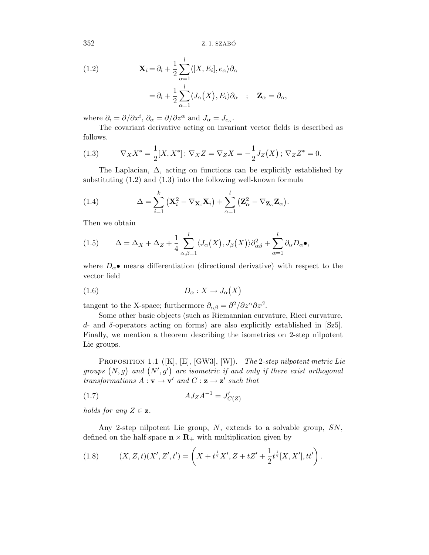352 Z. I. SZABO´

(1.2) 
$$
\mathbf{X}_{i} = \partial_{i} + \frac{1}{2} \sum_{\alpha=1}^{l} \langle [X, E_{i}], e_{\alpha} \rangle \partial_{\alpha}
$$

$$
= \partial_{i} + \frac{1}{2} \sum_{\alpha=1}^{l} \langle J_{\alpha}(X), E_{i} \rangle \partial_{\alpha} ; \mathbf{Z}_{\alpha} = \partial_{\alpha},
$$

where  $\partial_i = \partial/\partial x^i$ ,  $\partial_\alpha = \partial/\partial z^\alpha$  and  $J_\alpha = J_{e_\alpha}$ .

The covariant derivative acting on invariant vector fields is described as follows.

(1.3) 
$$
\nabla_X X^* = \frac{1}{2}[X, X^*]; \nabla_X Z = \nabla_Z X = -\frac{1}{2}J_Z(X); \nabla_Z Z^* = 0.
$$

The Laplacian,  $\Delta$ , acting on functions can be explicitly established by substituting (1.2) and (1.3) into the following well-known formula

(1.4) 
$$
\Delta = \sum_{i=1}^k (\mathbf{X}_i^2 - \nabla_{\mathbf{X}_i} \mathbf{X}_i) + \sum_{\alpha=1}^l (\mathbf{Z}_{\alpha}^2 - \nabla_{\mathbf{Z}_{\alpha}} \mathbf{Z}_{\alpha}).
$$

Then we obtain

$$
(1.5) \qquad \Delta = \Delta_X + \Delta_Z + \frac{1}{4} \sum_{\alpha,\beta=1}^l \langle J_\alpha(X), J_\beta(X) \rangle \partial_{\alpha\beta}^2 + \sum_{\alpha=1}^l \partial_\alpha D_\alpha \bullet,
$$

where  $D_{\alpha}$  means differentiation (directional derivative) with respect to the vector field

$$
(1.6) \t\t D_{\alpha}: X \to J_{\alpha}(X)
$$

tangent to the X-space; furthermore  $\partial_{\alpha\beta} = \partial^2/\partial z^{\alpha} \partial z^{\beta}$ .

Some other basic objects (such as Riemannian curvature, Ricci curvature,  $d$ - and *δ*-operators acting on forms) are also explicitly established in [Sz5]. Finally, we mention a theorem describing the isometries on 2-step nilpotent Lie groups.

PROPOSITION 1.1 ([K], [E], [GW3], [W]). The 2-step nilpotent metric Lie groups  $(N, g)$  and  $(N', g')$  are isometric if and only if there exist orthogonal transformations  $A : \mathbf{v} \to \mathbf{v}'$  and  $C : \mathbf{z} \to \mathbf{z}'$  such that

(1.7) 
$$
AJ_Z A^{-1} = J'_{C(Z)}
$$

*holds for any*  $Z \in \mathbf{z}$ .

Any 2-step nilpotent Lie group, *N*, extends to a solvable group, *SN*, defined on the half-space  $\mathbf{n} \times \mathbf{R}_+$  with multiplication given by

(1.8) 
$$
(X, Z, t)(X', Z', t') = \left(X + t^{\frac{1}{2}}X', Z + tZ' + \frac{1}{2}t^{\frac{1}{2}}[X, X'], tt'\right).
$$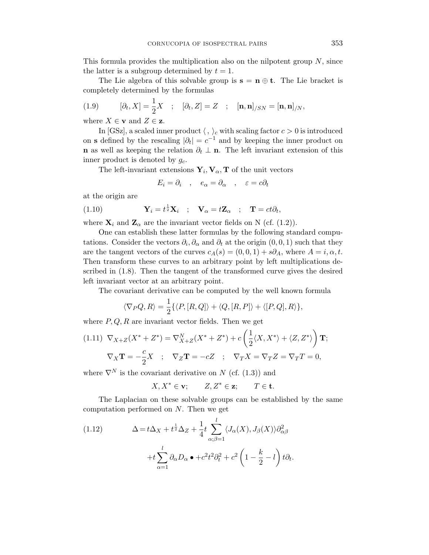This formula provides the multiplication also on the nilpotent group *N*, since the latter is a subgroup determined by  $t = 1$ .

The Lie algebra of this solvable group is  $\mathbf{s} = \mathbf{n} \oplus \mathbf{t}$ . The Lie bracket is completely determined by the formulas

(1.9) 
$$
[\partial_t, X] = \frac{1}{2}X \; ; \; [\partial_t, Z] = Z \; ; \; [\mathbf{n}, \mathbf{n}]_{/SN} = [\mathbf{n}, \mathbf{n}]_{/N},
$$

where  $X \in \mathbf{v}$  and  $Z \in \mathbf{z}$ .

In [GSz], a scaled inner product  $\langle , \rangle_c$  with scaling factor  $c > 0$  is introduced on **s** defined by the rescaling  $|\partial_t| = c^{-1}$  and by keeping the inner product on **n** as well as keeping the relation  $\partial_t \perp \mathbf{n}$ . The left invariant extension of this inner product is denoted by  $q_c$ .

The left-invariant extensions  $\mathbf{Y}_i$ ,  $\mathbf{V}_\alpha$ ,  $\mathbf{T}$  of the unit vectors

$$
E_i = \partial_i \quad , \quad e_\alpha = \partial_\alpha \quad , \quad \varepsilon = c\partial_t
$$

at the origin are

(1.10) 
$$
\mathbf{Y}_i = t^{\frac{1}{2}} \mathbf{X}_i \quad ; \quad \mathbf{V}_\alpha = t \mathbf{Z}_\alpha \quad ; \quad \mathbf{T} = ct \partial_t,
$$

where  $\mathbf{X}_i$  and  $\mathbf{Z}_\alpha$  are the invariant vector fields on N (cf. (1.2)).

One can establish these latter formulas by the following standard computations. Consider the vectors  $\partial_i$ ,  $\partial_\alpha$  and  $\partial_t$  at the origin  $(0,0,1)$  such that they are the tangent vectors of the curves  $c_A(s) = (0,0,1) + s\partial_A$ , where  $A = i, \alpha, t$ . Then transform these curves to an arbitrary point by left multiplications described in (1.8). Then the tangent of the transformed curve gives the desired left invariant vector at an arbitrary point.

The covariant derivative can be computed by the well known formula

$$
\langle \nabla_P Q, R \rangle = \frac{1}{2} \{ \langle P, [R, Q] \rangle + \langle Q, [R, P] \rangle + \langle [P, Q], R \rangle \},
$$

where  $P, Q, R$  are invariant vector fields. Then we get

$$
(1.11) \nabla_{X+Z}(X^* + Z^*) = \nabla_{X+Z}^N(X^* + Z^*) + c\left(\frac{1}{2}\langle X, X^*\rangle + \langle Z, Z^*\rangle\right) \mathbf{T};
$$
  

$$
\nabla_X \mathbf{T} = -\frac{c}{2}X \quad ; \quad \nabla_Z \mathbf{T} = -cZ \quad ; \quad \nabla_T X = \nabla_T Z = \nabla_T T = 0,
$$

where  $\nabla^N$  is the covariant derivative on *N* (cf. (1.3)) and

 $X, X^* \in \mathbf{v}; \quad Z, Z^* \in \mathbf{z}; \quad T \in \mathbf{t}.$ 

The Laplacian on these solvable groups can be established by the same computation performed on *N*. Then we get

(1.12) 
$$
\Delta = t\Delta_X + t^{\frac{1}{2}}\Delta_Z + \frac{1}{4}t\sum_{\alpha;\beta=1}^l \langle J_{\alpha}(X), J_{\beta}(X) \rangle \partial_{\alpha\beta}^2 + t\sum_{\alpha=1}^l \partial_{\alpha}D_{\alpha} \bullet + c^2t^2\partial_t^2 + c^2\left(1 - \frac{k}{2} - l\right)t\partial_t.
$$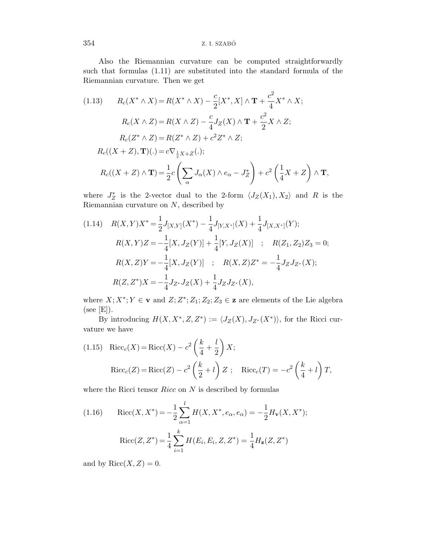Also the Riemannian curvature can be computed straightforwardly such that formulas (1.11) are substituted into the standard formula of the Riemannian curvature. Then we get

(1.13) 
$$
R_c(X^* \wedge X) = R(X^* \wedge X) - \frac{c}{2}[X^*, X] \wedge \mathbf{T} + \frac{c^2}{4}X^* \wedge X; R_c(X \wedge Z) = R(X \wedge Z) - \frac{c}{4}J_Z(X) \wedge \mathbf{T} + \frac{c^2}{2}X \wedge Z; R_c(Z^* \wedge Z) = R(Z^* \wedge Z) + c^2 Z^* \wedge Z; R_c((X + Z), \mathbf{T})(.) = c \nabla_{\frac{1}{2}X + Z}(.); R_c((X + Z) \wedge \mathbf{T}) = \frac{1}{2}c \left(\sum_{\alpha} J_{\alpha}(X) \wedge e_{\alpha} - J_Z^*\right) + c^2 \left(\frac{1}{4}X + Z\right) \wedge \mathbf{T},
$$

where  $J_Z^*$  is the 2-vector dual to the 2-form  $\langle J_Z(X_1), X_2 \rangle$  and  $R$  is the Riemannian curvature on *N*, described by

$$
(1.14) \quad R(X,Y)X^* = \frac{1}{2}J_{[X,Y]}(X^*) - \frac{1}{4}J_{[Y,X^*]}(X) + \frac{1}{4}J_{[X,X^*]}(Y);
$$
\n
$$
R(X,Y)Z = -\frac{1}{4}[X,J_Z(Y)] + \frac{1}{4}[Y,J_Z(X)] \quad ; \quad R(Z_1,Z_2)Z_3 = 0;
$$
\n
$$
R(X,Z)Y = -\frac{1}{4}[X,J_Z(Y)] \quad ; \quad R(X,Z)Z^* = -\frac{1}{4}J_ZJ_{Z^*}(X);
$$
\n
$$
R(Z,Z^*)X = -\frac{1}{4}J_{Z^*}J_Z(X) + \frac{1}{4}J_ZJ_{Z^*}(X),
$$

where  $X; X^*; Y \in \mathbf{v}$  and  $Z; Z^*; Z_1; Z_2; Z_3 \in \mathbf{z}$  are elements of the Lie algebra  $(see [E]).$ 

By introducing  $H(X, X^*, Z, Z^*) := \langle J_Z(X), J_{Z^*}(X^*) \rangle$ , for the Ricci curvature we have

(1.15) 
$$
\text{Ricc}_c(X) = \text{Ricc}(X) - c^2 \left(\frac{k}{4} + \frac{l}{2}\right) X;
$$

$$
\text{Ricc}_c(Z) = \text{Ricc}(Z) - c^2 \left(\frac{k}{2} + l\right) Z ; \quad \text{Ricc}_c(T) = -c^2 \left(\frac{k}{4} + l\right) T,
$$

where the Ricci tensor *Ricc* on *N* is described by formulas

(1.16) 
$$
\text{Ricc}(X, X^*) = -\frac{1}{2} \sum_{\alpha=1}^{l} H(X, X^*, e_{\alpha}, e_{\alpha}) = -\frac{1}{2} H_{\mathbf{v}}(X, X^*);
$$

$$
\text{Ricc}(Z, Z^*) = \frac{1}{4} \sum_{i=1}^{k} H(E_i, E_i, Z, Z^*) = \frac{1}{4} H_{\mathbf{z}}(Z, Z^*)
$$

and by  $Ricc(X, Z) = 0$ .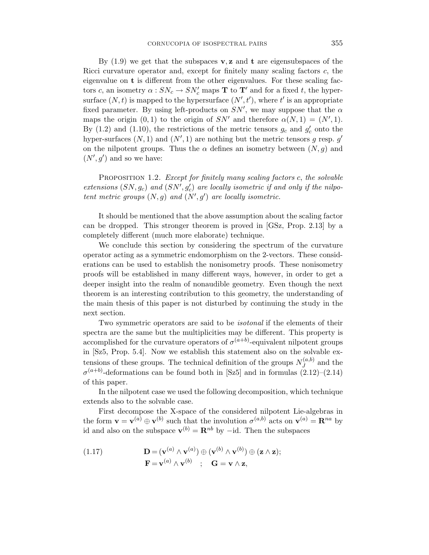By (1.9) we get that the subspaces **v***,* **z** and **t** are eigensubspaces of the Ricci curvature operator and, except for finitely many scaling factors *c*, the eigenvalue on **t** is different from the other eigenvalues. For these scaling factors *c*, an isometry  $\alpha : SN_c \to SN'_c$  maps **T** to **T**' and for a fixed *t*, the hypersurface  $(N, t)$  is mapped to the hypersurface  $(N', t')$ , where  $t'$  is an appropriate fixed parameter. By using left-products on  $SN'$ , we may suppose that the  $\alpha$ maps the origin  $(0,1)$  to the origin of  $SN'$  and therefore  $\alpha(N,1) = (N',1)$ . By  $(1.2)$  and  $(1.10)$ , the restrictions of the metric tensors  $g_c$  and  $g_c'$  onto the hyper-surfaces  $(N, 1)$  and  $(N', 1)$  are nothing but the metric tensors *g* resp. *g* on the nilpotent groups. Thus the  $\alpha$  defines an isometry between  $(N, q)$  and  $(N', g')$  and so we have:

Proposition 1.2. Except for finitely many scaling factors *c*, the solvable extensions  $(SN, g_c)$  and  $(SN', g_c')$  are locally isometric if and only if the nilpotent metric groups  $(N, g)$  and  $(N', g')$  are locally isometric.

It should be mentioned that the above assumption about the scaling factor can be dropped. This stronger theorem is proved in [GSz, Prop. 2.13] by a completely different (much more elaborate) technique.

We conclude this section by considering the spectrum of the curvature operator acting as a symmetric endomorphism on the 2-vectors. These considerations can be used to establish the nonisometry proofs. These nonisometry proofs will be established in many different ways, however, in order to get a deeper insight into the realm of nonaudible geometry. Even though the next theorem is an interesting contribution to this geometry, the understanding of the main thesis of this paper is not disturbed by continuing the study in the next section.

Two symmetric operators are said to be isotonal if the elements of their spectra are the same but the multiplicities may be different. This property is accomplished for the curvature operators of  $\sigma^{(a+b)}$ -equivalent nilpotent groups in [Sz5, Prop. 5.4]. Now we establish this statement also on the solvable extensions of these groups. The technical definition of the groups  $N_J^{(a,b)}$  and the  $\sigma^{(a+b)}$ -deformations can be found both in [Sz5] and in formulas  $(2.12)$ – $(2.14)$ of this paper.

In the nilpotent case we used the following decomposition, which technique extends also to the solvable case.

First decompose the X-space of the considered nilpotent Lie-algebras in the form  $\mathbf{v} = \mathbf{v}^{(a)} \oplus \mathbf{v}^{(b)}$  such that the involution  $\sigma^{(a,b)}$  acts on  $\mathbf{v}^{(a)} = \mathbf{R}^{na}$  by id and also on the subspace  $\mathbf{v}^{(b)} = \mathbf{R}^{nb}$  by  $-\text{id}$ . Then the subspaces

(1.17) 
$$
\mathbf{D} = (\mathbf{v}^{(a)} \wedge \mathbf{v}^{(a)}) \oplus (\mathbf{v}^{(b)} \wedge \mathbf{v}^{(b)}) \oplus (\mathbf{z} \wedge \mathbf{z});
$$

$$
\mathbf{F} = \mathbf{v}^{(a)} \wedge \mathbf{v}^{(b)} \ ; \ \mathbf{G} = \mathbf{v} \wedge \mathbf{z},
$$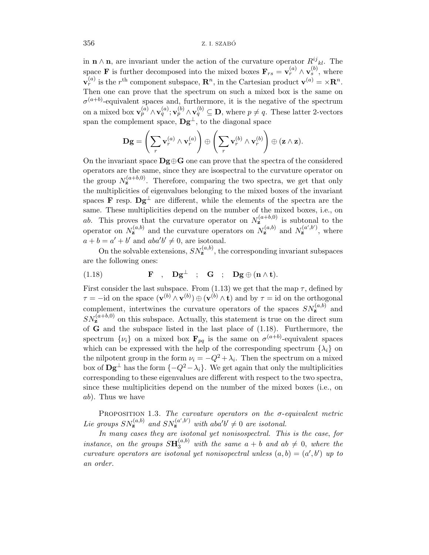in **n**  $\wedge$  **n**, are invariant under the action of the curvature operator  $R^{ij}$ <sub>kl</sub>. The space **F** is further decomposed into the mixed boxes  $\mathbf{F}_{rs} = \mathbf{v}_r^{(a)} \wedge \mathbf{v}_s^{(b)}$ , where  $\mathbf{v}_r^{(a)}$  is the r<sup>th</sup> component subspace,  $\mathbf{R}^n$ , in the Cartesian product  $\mathbf{v}^{(a)} = \times \mathbf{R}^n$ . Then one can prove that the spectrum on such a mixed box is the same on  $\sigma^{(a+b)}$ -equivalent spaces and, furthermore, it is the negative of the spectrum on a mixed box  $\mathbf{v}_p^{(a)} \wedge \mathbf{v}_q^{(a)}$ ;  $\mathbf{v}_p^{(b)} \wedge \mathbf{v}_q^{(b)} \subseteq \mathbf{D}$ , where  $p \neq q$ . These latter 2-vectors span the complement space,  $\mathbf{Dg}^{\perp}$ , to the diagonal space

$$
\mathbf{Dg} = \left(\sum_r \mathbf{v}_r^{(a)} \wedge \mathbf{v}_r^{(a)}\right) \oplus \left(\sum_r \mathbf{v}_r^{(b)} \wedge \mathbf{v}_r^{(b)}\right) \oplus (\mathbf{z} \wedge \mathbf{z}).
$$

On the invariant space **Dg**⊕**G** one can prove that the spectra of the considered operators are the same, since they are isospectral to the curvature operator on the group  $N_{\mathbf{z}}^{(a+b,0)}$ . Therefore, comparing the two spectra, we get that only the multiplicities of eigenvalues belonging to the mixed boxes of the invariant spaces **F** resp.  $Dg^{\perp}$  are different, while the elements of the spectra are the same. These multiplicities depend on the number of the mixed boxes, i.e., on *ab*. This proves that the curvature operator on  $N_{\mathbf{z}}^{(a+b,0)}$  is subtonal to the operator on  $N_{\mathbf{z}}^{(a,b)}$  and the curvature operators on  $N_{\mathbf{z}}^{(a,b)}$  and  $N_{\mathbf{z}}^{(a',b')}$ , where  $a + b = a' + b'$  and  $aba'b' \neq 0$ , are isotonal.

On the solvable extensions,  $SN_{\mathbf{z}}^{(a,b)}$ , the corresponding invariant subspaces are the following ones:

(1.18) 
$$
\mathbf{F} , \mathbf{Dg}^{\perp} ; \mathbf{G} ; \mathbf{Dg} \oplus (\mathbf{n} \wedge \mathbf{t}).
$$

First consider the last subspace. From  $(1.13)$  we get that the map  $\tau$ , defined by  $\tau = -id$  on the space  $(\mathbf{v}^{(b)} \wedge \mathbf{v}^{(b)}) \oplus (\mathbf{v}^{(b)} \wedge \mathbf{t})$  and by  $\tau = id$  on the orthogonal complement, intertwines the curvature operators of the spaces  $SN_{\mathbf{z}}^{(a,b)}$  and  $SN_{\mathbf{z}}^{(a+b,0)}$  on this subspace. Actually, this statement is true on the direct sum of **G** and the subspace listed in the last place of (1.18). Furthermore, the spectrum  $\{\nu_i\}$  on a mixed box  $\mathbf{F}_{pq}$  is the same on  $\sigma^{(a+b)}$ -equivalent spaces which can be expressed with the help of the corresponding spectrum  $\{\lambda_i\}$  on the nilpotent group in the form  $\nu_i = -Q^2 + \lambda_i$ . Then the spectrum on a mixed box of **Dg**<sup>⊥</sup> has the form {−*Q*2−*λ*i}. We get again that only the multiplicities corresponding to these eigenvalues are different with respect to the two spectra, since these multiplicities depend on the number of the mixed boxes (i.e., on *ab*). Thus we have

PROPOSITION 1.3. The curvature operators on the  $\sigma$ -equivalent metric Lie groups  $SN_{\mathbf{z}}^{(a,b)}$  and  $SN_{\mathbf{z}}^{(a',b')}$  with  $aba'b' \neq 0$  are isotonal.

In many cases they are isotonal yet nonisospectral. This is the case, for instance, on the groups  $S\mathbf{H}_{3}^{(a,b)}$  with the same  $a + b$  and  $ab \neq 0$ , where the curvature operators are isotonal yet nonisopectral unless  $(a, b) = (a', b')$  up to an order.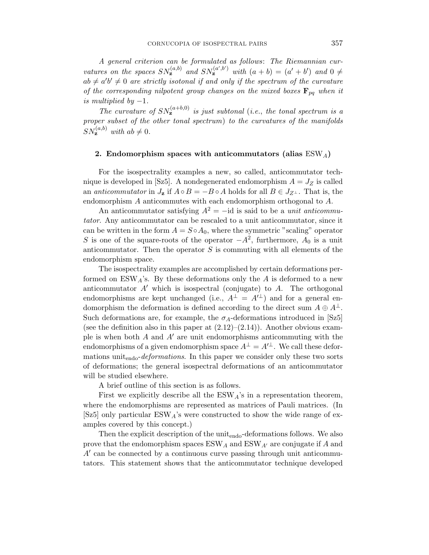A general criterion can be formulated as follows: The Riemannian curvatures on the spaces  $SN_{\mathbf{z}}^{(a,b)}$  and  $SN_{\mathbf{z}}^{(a',b')}$  with  $(a + b) = (a' + b')$  and  $0 \neq b$  $ab \neq a'b' \neq 0$  are strictly isotonal if and only if the spectrum of the curvature of the corresponding nilpotent group changes on the mixed boxes  $\mathbf{F}_{pq}$  when it is multiplied by  $-1$ .

The curvature of  $SN_{\mathbf{z}}^{(a+b,0)}$  is just subtonal (i.e., the tonal spectrum is a proper subset of the other tonal spectrum) to the curvatures of the manifolds  $SN_{\mathbf{z}}^{(a,b)}$  with  $ab \neq 0$ .

## **2. Endomorphism spaces with anticommutators (alias** ESWA**)**

For the isospectrality examples a new, so called, anticommutator technique is developed in [Sz5]. A nondegenerated endomorphism  $A = J_Z$  is called an *anticommutator* in  $J_{\mathbf{z}}$  if  $A \circ B = -B \circ A$  holds for all  $B \in J_{Z^{\perp}}$ . That is, the endomorphism *A* anticommutes with each endomorphism orthogonal to *A*.

An anticommutator satisfying  $A^2 = -id$  is said to be a *unit anticommu*tator. Any anticommutator can be rescaled to a unit anticommutator, since it can be written in the form  $A = S \circ A_0$ , where the symmetric "scaling" operator *S* is one of the square-roots of the operator  $-A^2$ , furthermore,  $A_0$  is a unit anticommutator. Then the operator *S* is commuting with all elements of the endomorphism space.

The isospectrality examples are accomplished by certain deformations performed on  $ESW_A$ 's. By these deformations only the *A* is deformed to a new anticommutator  $A'$  which is isospectral (conjugate) to  $A$ . The orthogonal endomorphisms are kept unchanged (i.e.,  $A^{\perp} = A'^{\perp}$ ) and for a general endomorphism the deformation is defined according to the direct sum  $A \oplus A^{\perp}$ . Such deformations are, for example, the  $\sigma_A$ -deformations introduced in [Sz5] (see the definition also in this paper at  $(2.12)$ – $(2.14)$ ). Another obvious example is when both *A* and *A* are unit endomorphisms anticommuting with the endomorphisms of a given endomorphism space  $A^{\perp} = A'^{\perp}$ . We call these deformations unit<sub>endo</sub>-deformations. In this paper we consider only these two sorts of deformations; the general isospectral deformations of an anticommutator will be studied elsewhere.

A brief outline of this section is as follows.

First we explicitly describe all the  $ESW_A$ 's in a representation theorem, where the endomorphisms are represented as matrices of Pauli matrices. (In  $[Sz5]$  only particular  $ESW_A$ 's were constructed to show the wide range of examples covered by this concept.)

Then the explicit description of the unit<sub>endo</sub>-deformations follows. We also prove that the endomorphism spaces  $ESW_A$  and  $ESW_{A'}$  are conjugate if A and *A*<sup> $\prime$ </sup> can be connected by a continuous curve passing through unit anticommutators. This statement shows that the anticommutator technique developed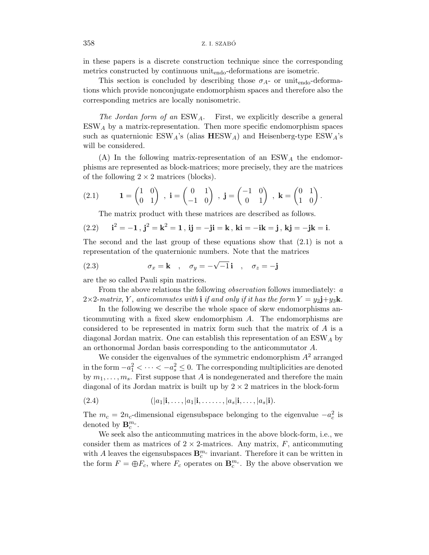in these papers is a discrete construction technique since the corresponding metrics constructed by continuous unit<sub>endo</sub>-deformations are isometric.

This section is concluded by describing those  $\sigma_A$ - or unit<sub>endo</sub>-deformations which provide nonconjugate endomorphism spaces and therefore also the corresponding metrics are locally nonisometric.

The Jordan form of an  $ESW_A$ . First, we explicitly describe a general  $ESW_A$  by a matrix-representation. Then more specific endomorphism spaces such as quaternionic  $ESW_A$ 's (alias  $HESW_A$ ) and Heisenberg-type  $ESW_A$ 's will be considered.

 $(A)$  In the following matrix-representation of an  $ESW_A$  the endomorphisms are represented as block-matrices; more precisely, they are the matrices of the following  $2 \times 2$  matrices (blocks).

(2.1) 
$$
\mathbf{1} = \begin{pmatrix} 1 & 0 \\ 0 & 1 \end{pmatrix}, \ \mathbf{i} = \begin{pmatrix} 0 & 1 \\ -1 & 0 \end{pmatrix}, \ \mathbf{j} = \begin{pmatrix} -1 & 0 \\ 0 & 1 \end{pmatrix}, \ \mathbf{k} = \begin{pmatrix} 0 & 1 \\ 1 & 0 \end{pmatrix}.
$$

The matrix product with these matrices are described as follows.

(2.2) 
$$
i^2 = -1
$$
,  $j^2 = k^2 = 1$ ,  $ij = -ji = k$ ,  $ki = -ik = j$ ,  $kj = -jk = i$ .

The second and the last group of these equations show that  $(2.1)$  is not a representation of the quaternionic numbers. Note that the matrices

(2.3) 
$$
\sigma_x = \mathbf{k} \quad , \quad \sigma_y = -\sqrt{-1} \mathbf{i} \quad , \quad \sigma_z = -\mathbf{j}
$$

are the so called Pauli spin matrices.

From the above relations the following observation follows immediately: a  $2\times2$ -matrix, *Y*, anticommutes with **i** if and only if it has the form  $Y = y_2$ **j** $+y_3$ **k**.

In the following we describe the whole space of skew endomorphisms anticommuting with a fixed skew endomorphism *A*. The endomorphisms are considered to be represented in matrix form such that the matrix of *A* is a diagonal Jordan matrix. One can establish this representation of an  $ESW_A$  by an orthonormal Jordan basis corresponding to the anticommutator *A*.

We consider the eigenvalues of the symmetric endomorphism  $A<sup>2</sup>$  arranged in the form  $-a_1^2$  < ··· <  $-a_s^2$  ≤ 0. The corresponding multiplicities are denoted by  $m_1, \ldots, m_s$ . First suppose that *A* is nondegenerated and therefore the main diagonal of its Jordan matrix is built up by  $2 \times 2$  matrices in the block-form

$$
(2.4) \qquad (|a_1|\mathbf{i},\ldots,|a_1|\mathbf{i},\ldots,\ldots,|a_s|\mathbf{i},\ldots,|a_s|\mathbf{i}).
$$

The  $m_c = 2n_c$ -dimensional eigensubspace belonging to the eigenvalue  $-a_c^2$  is denoted by  $\mathbf{B}^{m_c}_c$ .

We seek also the anticommuting matrices in the above block-form, i.e., we consider them as matrices of  $2 \times 2$ -matrices. Any matrix, *F*, anticommuting with *A* leaves the eigensubspaces  $\mathbf{B}_{c}^{m_c}$  invariant. Therefore it can be written in the form  $F = \bigoplus F_c$ , where  $F_c$  operates on  $\mathbf{B}_c^{m_c}$ . By the above observation we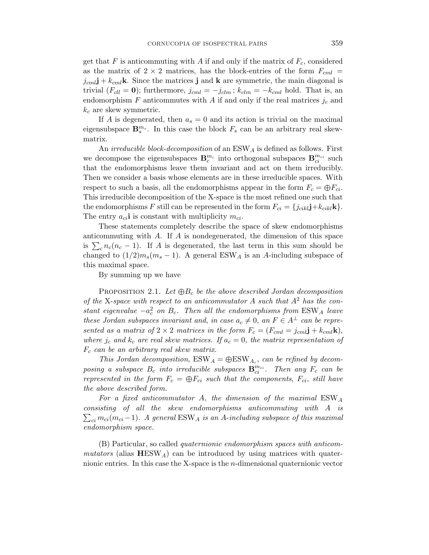get that  $F$  is anticommuting with  $A$  if and only if the matrix of  $F_c$ , considered as the matrix of  $2 \times 2$  matrices, has the block-entries of the form  $F_{cml}$  =  $j_{cm}$ **j** +  $k_{cm}$ **k**. Since the matrices **j** and **k** are symmetric, the main diagonal is trivial  $(F_{\text{ell}} = \mathbf{0})$ ; furthermore,  $j_{\text{cml}} = -j_{\text{clm}}$ ;  $k_{\text{clm}} = -k_{\text{cml}}$  hold. That is, an endomorphism  $F$  anticommutes with  $A$  if and only if the real matrices  $j_c$  and  $k_c$  are skew symmetric.

If *A* is degenerated, then  $a_s = 0$  and its action is trivial on the maximal eigensubspace  $\mathbf{B}_{s}^{m_s}$ . In this case the block  $F_s$  can be an arbitrary real skewmatrix.

An *irreducible block-decomposition* of an  $ESW_A$  is defined as follows. First we decompose the eigensubspaces  $\mathbf{B}_{c}^{m_c}$  into orthogonal subspaces  $\mathbf{B}_{ci}^{m_{ci}}$  such that the endomorphisms leave them invariant and act on them irreducibly. Then we consider a basis whose elements are in these irreducible spaces. With respect to such a basis, all the endomorphisms appear in the form  $F_c = \bigoplus F_{ci}$ . This irreducible decomposition of the X-space is the most refined one such that the endomorphisms *F* still can be represented in the form  $F_{ci} = \{j_{cikl}\mathbf{j}+k_{cikl}\mathbf{k}\}.$ The entry  $a_{ci}$ **i** is constant with multiplicity  $m_{ci}$ .

These statements completely describe the space of skew endomorphisms anticommuting with *A*. If *A* is nondegenerated, the dimension of this space is  $\sum_{c} n_c(n_c - 1)$ . If *A* is degenerated, the last term in this sum should be changed to  $(1/2)m_s(m_s - 1)$ . A general ESW<sub>A</sub> is an A-including subspace of this maximal space.

By summing up we have

PROPOSITION 2.1. Let  $\oplus B_c$  be the above described Jordan decomposition of the X-space with respect to an anticommutator *A* such that *A*<sup>2</sup> has the constant eigenvalue  $-a_c^2$  on  $B_c$ . Then all the endomorphisms from  $ESW_A$  leave these Jordan subspaces invariant and, in case  $a_c \neq 0$ , an  $F \in A^{\perp}$  can be represented as a matrix of  $2 \times 2$  matrices in the form  $F_c = (F_{cml} = j_{cml}j + k_{cml}k)$ , where  $j_c$  and  $k_c$  are real skew matrices. If  $a_c = 0$ , the matrix representation of *F*<sup>c</sup> can be an arbitrary real skew matrix.

This Jordan decomposition,  $ESW_A = \bigoplus ESW_{A_c}$ , can be refined by decomposing a subspace  $B_c$  into irreducible subspaces  $\mathbf{B}_{ci}^{m_{ci}}$ . Then any  $F_c$  can be represented in the form  $F_c = \bigoplus F_{ci}$  such that the components,  $F_{ci}$ , still have the above described form.

For a fixed anticommutator *A*, the dimension of the maximal ESW<sup>A</sup> consisting of all the skew endomorphisms anticommuting with *A* is  $\sum_{ci} m_{ci} (m_{ci} - 1)$ . A general ESW<sub>A</sub> is an *A*-including subspace of this maximal endomorphism space.

(B) Particular, so called quaternionic endomorphism spaces with anticom $mutators$  (alias  $HESW_A$ ) can be introduced by using matrices with quaternionic entries. In this case the X-space is the *n*-dimensional quaternionic vector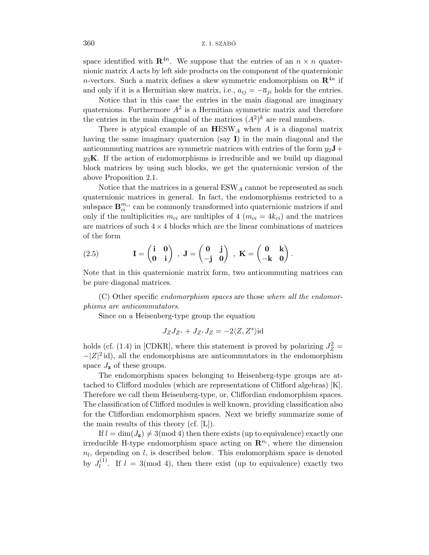space identified with  $\mathbb{R}^{4n}$ . We suppose that the entries of an  $n \times n$  quaternionic matrix *A* acts by left side products on the component of the quaternionic *n*-vectors. Such a matrix defines a skew symmetric endomorphism on  $\mathbb{R}^{4n}$  if and only if it is a Hermitian skew matrix, i.e.,  $a_{ij} = -\overline{a}_{ji}$  holds for the entries.

Notice that in this case the entries in the main diagonal are imaginary quaternions. Furthermore  $A^2$  is a Hermitian symmetric matrix and therefore the entries in the main diagonal of the matrices  $(A^2)^k$  are real numbers.

There is atypical example of an **H**ESW<sup>A</sup> when *A* is a diagonal matrix having the same imaginary quaternion (say **I**) in the main diagonal and the anticommuting matrices are symmetric matrices with entries of the form  $y_2$ **J**+  $y_3$ **K**. If the action of endomorphisms is irreducible and we build up diagonal block matrices by using such blocks, we get the quaternionic version of the above Proposition 2.1.

Notice that the matrices in a general  $ESW_A$  cannot be represented as such quaternionic matrices in general. In fact, the endomorphisms restricted to a subspace  $\mathbf{B}_{ci}^{m_{ci}}$  can be commonly transformed into quaternionic matrices if and only if the multiplicities  $m_{ci}$  are multiples of 4 ( $m_{ci} = 4k_{ci}$ ) and the matrices are matrices of such  $4 \times 4$  blocks which are the linear combinations of matrices of the form

(2.5) 
$$
\mathbf{I} = \begin{pmatrix} \mathbf{i} & \mathbf{0} \\ \mathbf{0} & \mathbf{i} \end{pmatrix} , \mathbf{J} = \begin{pmatrix} \mathbf{0} & \mathbf{j} \\ -\mathbf{j} & \mathbf{0} \end{pmatrix} , \mathbf{K} = \begin{pmatrix} \mathbf{0} & \mathbf{k} \\ -\mathbf{k} & \mathbf{0} \end{pmatrix}.
$$

Note that in this quaternionic matrix form, two anticommuting matrices can be pure diagonal matrices.

(C) Other specific endomorphism spaces are those where all the endomorphisms are anticommutators.

Since on a Heisenberg-type group the equation

$$
J_Z J_{Z^*} + J_{Z^*} J_Z = -2\langle Z, Z^* \rangle \mathrm{id}
$$

holds (cf. (1.4) in [CDKR], where this statement is proved by polarizing  $J_Z^2 =$  $-|Z|^2$  id), all the endomorphisms are anticommutators in the endomorphism space  $J_{\mathbf{z}}$  of these groups.

The endomorphism spaces belonging to Heisenberg-type groups are attached to Clifford modules (which are representations of Clifford algebras) [K]. Therefore we call them Heisenberg-type, or, Cliffordian endomorphism spaces. The classification of Clifford modules is well known, providing classification also for the Cliffordian endomorphism spaces. Next we briefly summarize some of the main results of this theory (cf. [L]).

If  $l = \dim(J_{\mathbf{z}}) \neq 3 \text{(mod 4)}$  then there exists (up to equivalence) exactly one irreducible H-type endomorphism space acting on  $\mathbb{R}^{n_l}$ , where the dimension  $n_l$ , depending on  $l$ , is described below. This endomorphism space is denoted by  $J_l^{(1)}$ . If  $l = 3 \pmod{4}$ , then there exist (up to equivalence) exactly two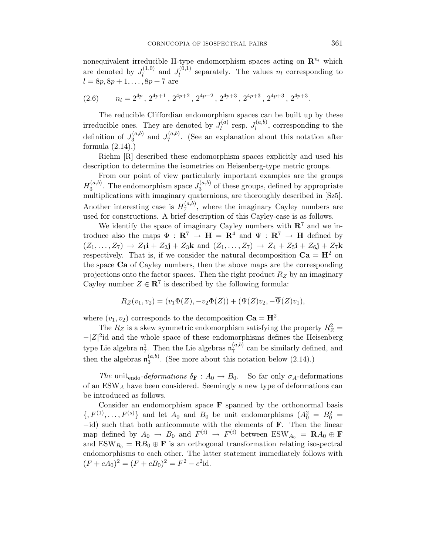nonequivalent irreducible H-type endomorphism spaces acting on  $\mathbb{R}^{n_l}$  which are denoted by  $J_l^{(1,0)}$  and  $J_l^{(0,1)}$  separately. The values  $n_l$  corresponding to  $l = 8p, 8p + 1, \ldots, 8p + 7$  are

$$
(2.6) \qquad n_l = 2^{4p}, \, 2^{4p+1}, \, 2^{4p+2}, \, 2^{4p+2}, \, 2^{4p+3}, \, 2^{4p+3}, \, 2^{4p+3}, \, 2^{4p+3}.
$$

The reducible Cliffordian endomorphism spaces can be built up by these irreducible ones. They are denoted by  $J_l^{(a)}$  resp.  $J_l^{(a,b)}$ , corresponding to the definition of  $J_3^{(a,b)}$  and  $J_7^{(a,b)}$ . (See an explanation about this notation after formula (2.14).)

Riehm [R] described these endomorphism spaces explicitly and used his description to determine the isometries on Heisenberg-type metric groups.

From our point of view particularly important examples are the groups  $H_3^{(a,b)}$ . The endomorphism space  $J_3^{(a,b)}$  of these groups, defined by appropriate multiplications with imaginary quaternions, are thoroughly described in [Sz5]. Another interesting case is  $H_7^{(a,b)}$ , where the imaginary Cayley numbers are used for constructions. A brief description of this Cayley-case is as follows.

We identify the space of imaginary Cayley numbers with  $\mathbb{R}^7$  and we introduce also the maps  $\Phi : \mathbb{R}^7 \to \mathbb{H} = \mathbb{R}^4$  and  $\Psi : \mathbb{R}^7 \to \mathbb{H}$  defined by  $(Z_1, \ldots, Z_7) \rightarrow Z_1 \mathbf{i} + Z_2 \mathbf{j} + Z_3 \mathbf{k}$  and  $(Z_1, \ldots, Z_7) \rightarrow Z_4 + Z_5 \mathbf{i} + Z_6 \mathbf{j} + Z_7 \mathbf{k}$ respectively. That is, if we consider the natural decomposition  $\mathbf{Ca} = \mathbf{H}^2$  on the space **Ca** of Cayley numbers, then the above maps are the corresponding projections onto the factor spaces. Then the right product  $R_Z$  by an imaginary Cayley number  $Z \in \mathbb{R}^7$  is described by the following formula:

$$
R_Z(v_1, v_2) = (v_1 \Phi(Z), -v_2 \Phi(Z)) + (\Psi(Z)v_2, -\overline{\Psi}(Z)v_1),
$$

where  $(v_1, v_2)$  corresponds to the decomposition  $\mathbf{Ca} = \mathbf{H}^2$ .

The  $R_Z$  is a skew symmetric endomorphism satisfying the property  $R_Z^2 =$ −|*Z*| <sup>2</sup>id and the whole space of these endomorphisms defines the Heisenberg type Lie algebra  $\mathfrak{n}_7^1$ . Then the Lie algebras  $\mathfrak{n}_7^{(a,b)}$  can be similarly defined, and then the algebras  $\mathfrak{n}_3^{(a,b)}$ . (See more about this notation below (2.14).)

The unit<sub>endo</sub>-deformations  $\delta_{\mathbf{F}}$  :  $A_0 \to B_0$ . So far only  $\sigma_A$ -deformations of an  $ESW_A$  have been considered. Seemingly a new type of deformations can be introduced as follows.

Consider an endomorphism space **F** spanned by the orthonormal basis  $\{F^{(1)},...,F^{(s)}\}$  and let  $A_0$  and  $B_0$  be unit endomorphisms  $(A_0^2 = B_0^2 =$ −id) such that both anticommute with the elements of **F**. Then the linear map defined by  $A_0 \rightarrow B_0$  and  $F^{(i)} \rightarrow F^{(i)}$  between  $ESW_{A_0} = \mathbf{R}A_0 \oplus \mathbf{F}$ and  $ESW_{B_0} = RB_0 \oplus F$  is an orthogonal transformation relating isospectral endomorphisms to each other. The latter statement immediately follows with  $(F + cA_0)^2 = (F + cB_0)^2 = F^2 - c^2$ id.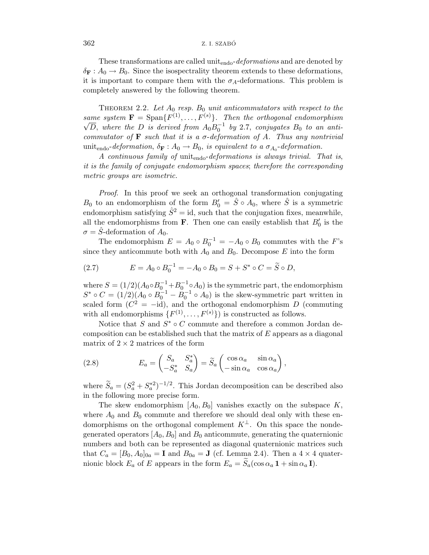These transformations are called unit<sub>endo</sub>-deformations and are denoted by  $\delta_{\mathbf{F}}: A_0 \to B_0$ . Since the isospectrality theorem extends to these deformations, it is important to compare them with the  $\sigma_A$ -deformations. This problem is completely answered by the following theorem.

THEOREM 2.2. Let  $A_0$  resp.  $B_0$  unit anticommutators with respect to the same system  $\mathbf{F} = \text{Span}\{F^{(1)}, \ldots, F^{(s)}\}$ . Then the orthogonal endomorphism  $\overline{D}$ , where the *D* is derived from  $A_0B_0^{-1}$  by 2.7, conjugates  $B_0$  to an anticommutator of  $\bf{F}$  such that it is a  $\sigma$ -deformation of  $\bf{A}$ . Thus any nontrivial unit<sub>endo</sub>-deformation,  $\delta_{\mathbf{F}}: A_0 \to B_0$ , is equivalent to a  $\sigma_{A_0}$ -deformation.

A continuous family of unit<sub>endo</sub>-deformations is always trivial. That is, it is the family of conjugate endomorphism spaces; therefore the corresponding metric groups are isometric.

Proof. In this proof we seek an orthogonal transformation conjugating *B*<sub>0</sub> to an endomorphism of the form  $B'_0 = \hat{S} \circ A_0$ , where  $\hat{S}$  is a symmetric endomorphism satisfying  $\hat{S}^2$  = id, such that the conjugation fixes, meanwhile, all the endomorphisms from **F**. Then one can easily establish that  $B'_0$  is the  $\sigma = \hat{S}$ -deformation of  $A_0$ .

The endomorphism  $E = A_0 \circ B_0^{-1} = -A_0 \circ B_0$  commutes with the *F*'s since they anticommute both with  $A_0$  and  $B_0$ . Decompose *E* into the form

(2.7) 
$$
E = A_0 \circ B_0^{-1} = -A_0 \circ B_0 = S + S^* \circ C = \widetilde{S} \circ D,
$$

where  $S = (1/2)(A_0 \circ B_0^{-1} + B_0^{-1} \circ A_0)$  is the symmetric part, the endomorphism  $S^* \circ C = (1/2)(A_0 \circ B_0^{-1} - B_0^{-1} \circ A_0)$  is the skew-symmetric part written in scaled form  $(C^2 = -id)$ , and the orthogonal endomorphism *D* (commuting with all endomorphisms  $\{F^{(1)}, \ldots, F^{(s)}\}$  is constructed as follows.

Notice that *S* and *S*<sup>∗</sup> ◦ *C* commute and therefore a common Jordan decomposition can be established such that the matrix of *E* appears as a diagonal matrix of  $2 \times 2$  matrices of the form

(2.8) 
$$
E_a = \begin{pmatrix} S_a & S_a^* \\ -S_a^* & S_a \end{pmatrix} = \widetilde{S}_a \begin{pmatrix} \cos \alpha_a & \sin \alpha_a \\ -\sin \alpha_a & \cos \alpha_a \end{pmatrix},
$$

where  $\tilde{S}_a = (S_a^2 + S_a^{*2})^{-1/2}$ . This Jordan decomposition can be described also in the following more precise form.

The skew endomorphism  $[A_0, B_0]$  vanishes exactly on the subspace  $K$ , where  $A_0$  and  $B_0$  commute and therefore we should deal only with these endomorphisms on the orthogonal complement  $K^{\perp}$ . On this space the nondegenerated operators  $[A_0, B_0]$  and  $B_0$  anticommute, generating the quaternionic numbers and both can be represented as diagonal quaternionic matrices such that  $C_a = [B_0, A_0]_{0a} = \mathbf{I}$  and  $B_{0a} = \mathbf{J}$  (cf. Lemma 2.4). Then a 4  $\times$  4 quaternionic block  $E_a$  of *E* appears in the form  $E_a = S_a(\cos \alpha_a \mathbf{1} + \sin \alpha_a \mathbf{I}).$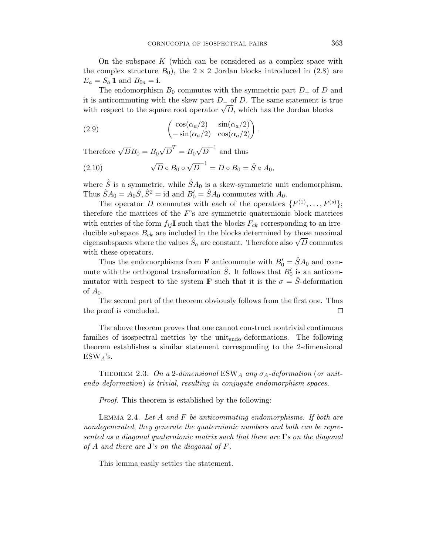On the subspace *K* (which can be considered as a complex space with the complex structure  $B_0$ , the  $2 \times 2$  Jordan blocks introduced in (2.8) are  $E_a = S_a \mathbf{1}$  and  $B_{0a} = \mathbf{i}$ .

The endomorphism  $B_0$  commutes with the symmetric part  $D_+$  of  $D$  and it is anticommuting with the skew part *D*<sup>−</sup> of *D*. The same statement is true It is anticommuting with the skew part  $D_+$  of  $D$ . The same statement is the vith respect to the square root operator  $\sqrt{D}$ , which has the Jordan blocks

(2.9) 
$$
\begin{pmatrix} \cos(\alpha_a/2) & \sin(\alpha_a/2) \\ -\sin(\alpha_a/2) & \cos(\alpha_a/2) \end{pmatrix}.
$$

Therefore  $\sqrt{D}B_0 = B_0$  $\sqrt{D}^T = B_0 \sqrt{D}^{-1}$  and thus

(2.10) 
$$
\sqrt{D} \circ B_0 \circ \sqrt{D}^{-1} = D \circ B_0 = \hat{S} \circ A_0,
$$

where  $\hat{S}$  is a symmetric, while  $\hat{S}A_0$  is a skew-symmetric unit endomorphism. Thus  $\hat{S}A_0 = A_0\hat{S}, \hat{S}^2 = \text{id}$  and  $B'_0 = \hat{S}A_0$  commutes with  $A_0$ .

The operator *D* commutes with each of the operators  $\{F^{(1)}, \ldots, F^{(s)}\}$ ; therefore the matrices of the *F*'s are symmetric quaternionic block matrices with entries of the form  $f_{ij}$ **I** such that the blocks  $F_{ck}$  corresponding to an irreducible subspace  $B_{ck}$  are included in the blocks determined by those maximal eigensubspaces where the values  $\widetilde{S}_a$  are constant. Therefore also  $\sqrt{D}$  commutes with these operators.

Thus the endomorphisms from **F** anticommute with  $B'_0 = \hat{S}A_0$  and commute with the orthogonal transformation  $\hat{S}$ . It follows that  $B'_0$  is an anticommutator with respect to the system **F** such that it is the  $\sigma = \hat{S}$ -deformation of  $A_0$ .

The second part of the theorem obviously follows from the first one. Thus the proof is concluded.  $\Box$ 

The above theorem proves that one cannot construct nontrivial continuous families of isospectral metrics by the unit<sub>endo</sub>-deformations. The following theorem establishes a similar statement corresponding to the 2-dimensional  $ESW_A$ 's.

THEOREM 2.3. On a 2-dimensional  $ESW_A$  any  $\sigma_A$ -deformation (or unitendo-deformation) is trivial, resulting in conjugate endomorphism spaces.

Proof. This theorem is established by the following:

Lemma 2.4. Let *A* and *F* be anticommuting endomorphisms. If both are nondegenerated, they generate the quaternionic numbers and both can be represented as a diagonal quaternionic matrix such that there are **I**'s on the diagonal of *A* and there are **J**'s on the diagonal of *F*.

This lemma easily settles the statement.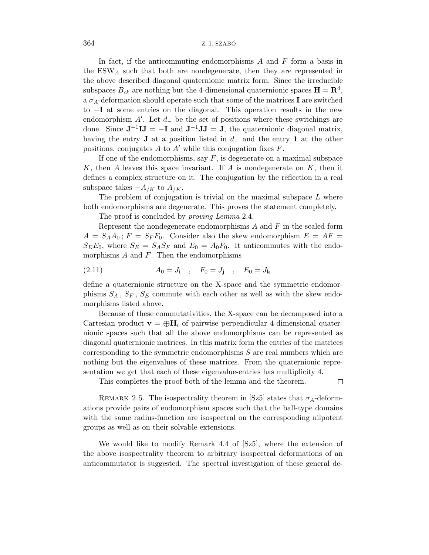In fact, if the anticommuting endomorphisms *A* and *F* form a basis in the  $ESW_A$  such that both are nondegenerate, then they are represented in the above described diagonal quaternionic matrix form. Since the irreducible subspaces  $B_{ck}$  are nothing but the 4-dimensional quaternionic spaces  $\mathbf{H} = \mathbf{R}^4$ , a  $\sigma_A$ -deformation should operate such that some of the matrices **I** are switched to −**I** at some entries on the diagonal. This operation results in the new endomorphism *A* . Let *d*<sup>−</sup> be the set of positions where these switchings are done. Since  $J^{-1}IJ = -I$  and  $J^{-1}JJ = J$ , the quaternionic diagonal matrix, having the entry **J** at a position listed in *d*<sup>−</sup> and the entry **1** at the other positions, conjugates  $A$  to  $A'$  while this conjugation fixes  $F$ .

If one of the endomorphisms, say *F*, is degenerate on a maximal subspace *K*, then *A* leaves this space invariant. If *A* is nondegenerate on *K*, then it defines a complex structure on it. The conjugation by the reflection in a real subspace takes  $-A_{/K}$  to  $A_{/K}$ .

The problem of conjugation is trivial on the maximal subspace *L* where both endomorphisms are degenerate. This proves the statement completely.

The proof is concluded by *proving Lemma* 2.4.

Represent the nondegenerate endomorphisms *A* and *F* in the scaled form  $A = S_A A_0$ ;  $F = S_F F_0$ . Consider also the skew endomorphism  $E = AF =$  $S_E E_0$ , where  $S_E = S_A S_F$  and  $E_0 = A_0 F_0$ . It anticommutes with the endomorphisms *A* and *F*. Then the endomorphisms

(2.11)  $A_0 = J_{\mathbf{i}} , F_0 = J_{\mathbf{i}} , F_0 = J_{\mathbf{k}}$ 

define a quaternionic structure on the X-space and the symmetric endomorphisms  $S_A$ ,  $S_F$ ,  $S_E$  commute with each other as well as with the skew endomorphisms listed above.

Because of these commutativities, the X-space can be decomposed into a Cartesian product  $\mathbf{v} = \bigoplus \mathbf{H}_i$  of pairwise perpendicular 4-dimensional quaternionic spaces such that all the above endomorphisms can be represented as diagonal quaternionic matrices. In this matrix form the entries of the matrices corresponding to the symmetric endomorphisms *S* are real numbers which are nothing but the eigenvalues of these matrices. From the quaternionic representation we get that each of these eigenvalue-entries has multiplicity 4.

This completes the proof both of the lemma and the theorem.

 $\Box$ 

REMARK 2.5. The isospectrality theorem in [Sz5] states that  $\sigma_A$ -deformations provide pairs of endomorphism spaces such that the ball-type domains with the same radius-function are isospectral on the corresponding nilpotent groups as well as on their solvable extensions.

We would like to modify Remark 4.4 of [Sz5], where the extension of the above isospectrality theorem to arbitrary isospectral deformations of an anticommutator is suggested. The spectral investigation of these general de-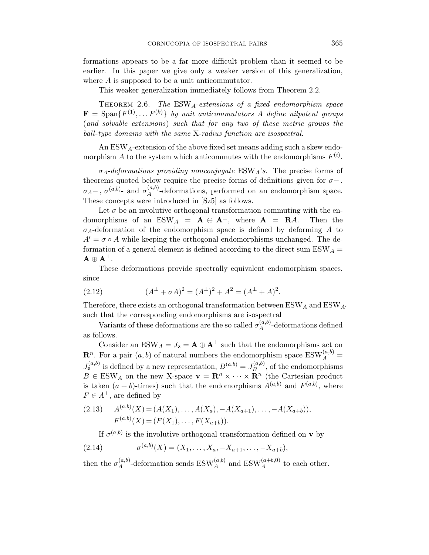formations appears to be a far more difficult problem than it seemed to be earlier. In this paper we give only a weaker version of this generalization, where *A* is supposed to be a unit anticommutator.

This weaker generalization immediately follows from Theorem 2.2.

THEOREM 2.6. The ESW<sub>A</sub>-extensions of a fixed endomorphism space  $\mathbf{F} = \text{Span}\{F^{(1)}, \ldots F^{(k)}\}$  by unit anticommutators *A* define nilpotent groups (and solvable extensions) such that for any two of these metric groups the ball-type domains with the same X-radius function are isospectral.

An  $ESW_A$ -extension of the above fixed set means adding such a skew endomorphism *A* to the system which anticommutes with the endomorphisms  $F^{(i)}$ .

 $\sigma_A$ -deformations providing nonconjugate  $ESW_A$ 's. The precise forms of theorems quoted below require the precise forms of definitions given for  $\sigma$ -,  $\sigma_A -$ ,  $\sigma^{(a,b)}$ - and  $\sigma_A^{(a,b)}$ -deformations, performed on an endomorphism space. These concepts were introduced in [Sz5] as follows.

Let  $\sigma$  be an involutive orthogonal transformation commuting with the endomorphisms of an  $ESW_A = \mathbf{A} \oplus \mathbf{A}^\perp$ , where  $\mathbf{A} = \mathbf{R}A$ . Then the *σ*A-deformation of the endomorphism space is defined by deforming *A* to  $A' = \sigma \circ A$  while keeping the orthogonal endomorphisms unchanged. The deformation of a general element is defined according to the direct sum  $ESW_A =$  $\mathbf{A} \oplus \mathbf{A}^{\perp}$ .

These deformations provide spectrally equivalent endomorphism spaces, since

(2.12) 
$$
(A^{\perp} + \sigma A)^2 = (A^{\perp})^2 + A^2 = (A^{\perp} + A)^2.
$$

Therefore, there exists an orthogonal transformation between  $\text{ESW}_{A}$  and  $\text{ESW}_{A'}$ such that the corresponding endomorphisms are isospectral

Variants of these deformations are the so called  $\sigma_A^{(a,b)}$ -deformations defined as follows.

Consider an  $ESW_A = J_\mathbf{z} = \mathbf{A} \oplus \mathbf{A}^\perp$  such that the endomorphisms act on  $\mathbf{R}^n$ . For a pair  $(a, b)$  of natural numbers the endomorphism space  $\text{ESW}_A^{(a,b)} =$  $J_{\mathbf{z}}^{(a,b)}$  is defined by a new representation,  $B^{(a,b)} = J_B^{(a,b)}$ , of the endomorphisms  $B \in ESW_A$  on the new X-space  $\mathbf{v} = \mathbf{R}^n \times \cdots \times \mathbf{R}^n$  (the Cartesian product is taken  $(a + b)$ -times) such that the endomorphisms  $A^{(a,b)}$  and  $F^{(a,b)}$ , where  $F \in A^{\perp}$ , are defined by

(2.13) 
$$
A^{(a,b)}(X) = (A(X_1), \dots, A(X_a), -A(X_{a+1}), \dots, -A(X_{a+b})),
$$

$$
F^{(a,b)}(X) = (F(X_1), \dots, F(X_{a+b})).
$$

If  $\sigma^{(a,b)}$  is the involutive orthogonal transformation defined on **v** by

(2.14) 
$$
\sigma^{(a,b)}(X) = (X_1, \ldots, X_a, -X_{a+1}, \ldots, -X_{a+b}),
$$

then the  $\sigma_A^{(a,b)}$ -deformation sends  $\text{ESW}_A^{(a,b)}$  and  $\text{ESW}_A^{(a+b,0)}$  to each other.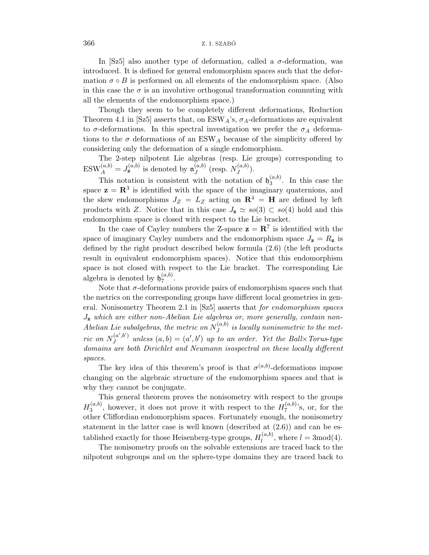In [Sz5] also another type of deformation, called a  $\sigma$ -deformation, was introduced. It is defined for general endomorphism spaces such that the deformation  $\sigma \circ B$  is performed on all elements of the endomorphism space. (Also in this case the  $\sigma$  is an involutive orthogonal transformation commuting with all the elements of the endomorphism space.)

Though they seem to be completely different deformations, Reduction Theorem 4.1 in [Sz5] asserts that, on ESW<sub>A</sub>'s,  $\sigma_A$ -deformations are equivalent to  $\sigma$ -deformations. In this spectral investigation we prefer the  $\sigma_A$  deformations to the  $\sigma$  deformations of an ESW<sub>A</sub> because of the simplicity offered by considering only the deformation of a single endomorphism.

The 2-step nilpotent Lie algebras (resp. Lie groups) corresponding to  $\text{ESW}_{A}^{(a,b)} = J_{\mathbf{z}}^{(a,b)}$  is denoted by  $\mathfrak{n}_J^{(a,b)}$  (resp.  $N_J^{(a,b)}$ ).

This notation is consistent with the notation of  $\mathfrak{h}_3^{(a,b)}$ . In this case the space  $z = \mathbb{R}^3$  is identified with the space of the imaginary quaternions, and the skew endomorphisms  $J_Z = L_Z$  acting on  $\mathbb{R}^4 = \mathbb{H}$  are defined by left products with *Z*. Notice that in this case  $J_z \simeq so(3) \subset so(4)$  hold and this endomorphism space is closed with respect to the Lie bracket.

In the case of Cayley numbers the Z-space  $z = \mathbb{R}^7$  is identified with the space of imaginary Cayley numbers and the endomorphism space  $J_{\mathbf{z}} = R_{\mathbf{z}}$  is defined by the right product described below formula (2.6) (the left products result in equivalent endomorphism spaces). Notice that this endomorphism space is not closed with respect to the Lie bracket. The corresponding Lie algebra is denoted by  $\mathfrak{h}_7^{(a,b)}$ .

Note that  $\sigma$ -deformations provide pairs of endomorphism spaces such that the metrics on the corresponding groups have different local geometries in general. Nonisometry Theorem 2.1 in [Sz5] asserts that for endomorphism spaces *J***<sup>z</sup>** which are either non-Abelian Lie algebras or, more generally, contain non- $Abelian\ Lie\ subalgebras,\ the\ metric\ on\ N_J^{(a,b)}\ is\ locally\ nonisometric\ to\ the\ met$ ric on  $N_f^{(a',b')}$  unless  $(a,b) = (a',b')$  up to an order. Yet the Ball×Torus-type domains are both Dirichlet and Neumann isospectral on these locally different spaces.

The key idea of this theorem's proof is that  $\sigma^{(a,b)}$ -deformations impose changing on the algebraic structure of the endomorphism spaces and that is why they cannot be conjugate.

This general theorem proves the nonisometry with respect to the groups  $H_3^{(a,b)}$ , however, it does not prove it with respect to the  $H_7^{(a,b)}$ 's, or, for the other Cliffordian endomorphism spaces. Fortunately enough, the nonisometry statement in the latter case is well known (described at (2.6)) and can be established exactly for those Heisenberg-type groups,  $H_l^{(a,b)}$ , where  $l = 3 \text{mod}(4)$ .

The nonisometry proofs on the solvable extensions are traced back to the nilpotent subgroups and on the sphere-type domains they are traced back to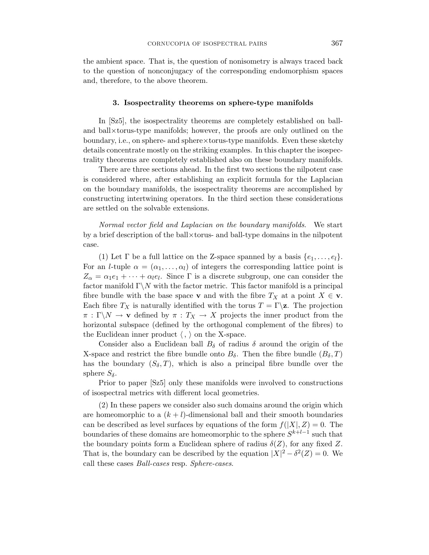the ambient space. That is, the question of nonisometry is always traced back to the question of nonconjugacy of the corresponding endomorphism spaces and, therefore, to the above theorem.

#### **3. Isospectrality theorems on sphere-type manifolds**

In [Sz5], the isospectrality theorems are completely established on balland ball×torus-type manifolds; however, the proofs are only outlined on the boundary, i.e., on sphere- and sphere×torus-type manifolds. Even these sketchy details concentrate mostly on the striking examples. In this chapter the isospectrality theorems are completely established also on these boundary manifolds.

There are three sections ahead. In the first two sections the nilpotent case is considered where, after establishing an explicit formula for the Laplacian on the boundary manifolds, the isospectrality theorems are accomplished by constructing intertwining operators. In the third section these considerations are settled on the solvable extensions.

Normal vector field and Laplacian on the boundary manifolds. We start by a brief description of the ball×torus- and ball-type domains in the nilpotent case.

(1) Let  $\Gamma$  be a full lattice on the Z-space spanned by a basis  $\{e_1, \ldots, e_l\}$ . For an *l*-tuple  $\alpha = (\alpha_1, \ldots, \alpha_l)$  of integers the corresponding lattice point is  $Z_{\alpha} = \alpha_1 e_1 + \cdots + \alpha_l e_l$ . Since  $\Gamma$  is a discrete subgroup, one can consider the factor manifold  $\Gamma\backslash N$  with the factor metric. This factor manifold is a principal fibre bundle with the base space **v** and with the fibre  $T_X$  at a point  $X \in \mathbf{v}$ . Each fibre  $T_X$  is naturally identified with the torus  $T = \Gamma \setminus \mathbf{z}$ . The projection  $\pi : \Gamma \backslash N \to \mathbf{v}$  defined by  $\pi : T_X \to X$  projects the inner product from the horizontal subspace (defined by the orthogonal complement of the fibres) to the Euclidean inner product  $\langle , \rangle$  on the X-space.

Consider also a Euclidean ball  $B_{\delta}$  of radius  $\delta$  around the origin of the X-space and restrict the fibre bundle onto  $B_{\delta}$ . Then the fibre bundle  $(B_{\delta}, T)$ has the boundary  $(S_\delta, T)$ , which is also a principal fibre bundle over the sphere  $S_{\delta}$ .

Prior to paper [Sz5] only these manifolds were involved to constructions of isospectral metrics with different local geometries.

(2) In these papers we consider also such domains around the origin which are homeomorphic to a  $(k + l)$ -dimensional ball and their smooth boundaries can be described as level surfaces by equations of the form  $f(|X|, Z) = 0$ . The boundaries of these domains are homeomorphic to the sphere *S*k+l−<sup>1</sup> such that the boundary points form a Euclidean sphere of radius  $\delta(Z)$ , for any fixed Z. That is, the boundary can be described by the equation  $|X|^2 - \delta^2(Z) = 0$ . We call these cases Ball-cases resp. Sphere-cases.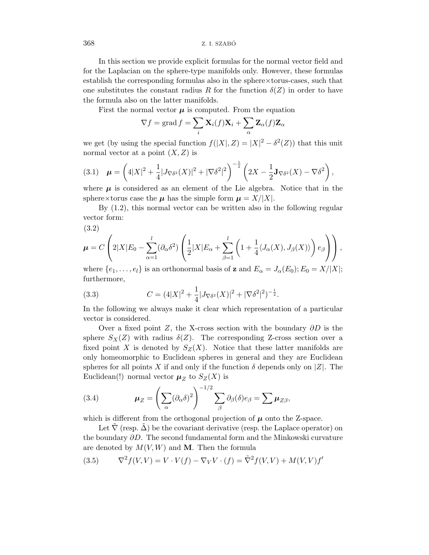368 Z. I. SZABO´

In this section we provide explicit formulas for the normal vector field and for the Laplacian on the sphere-type manifolds only. However, these formulas establish the corresponding formulas also in the sphere×torus-cases, such that one substitutes the constant radius *R* for the function  $\delta(Z)$  in order to have the formula also on the latter manifolds.

First the normal vector  $\mu$  is computed. From the equation

$$
\nabla f = \text{grad } f = \sum_{i} \mathbf{X}_{i}(f) \mathbf{X}_{i} + \sum_{\alpha} \mathbf{Z}_{\alpha}(f) \mathbf{Z}_{\alpha}
$$

we get (by using the special function  $f(|X|, Z) = |X|^2 - \delta^2(Z)$ ) that this unit normal vector at a point (*X, Z*) is

$$
(3.1) \quad \boldsymbol{\mu} = \left( 4|X|^2 + \frac{1}{4}|J_{\nabla \delta^2}(X)|^2 + |\nabla \delta^2|^2 \right)^{-\frac{1}{2}} \left( 2X - \frac{1}{2} \mathbf{J}_{\nabla \delta^2}(X) - \nabla \delta^2 \right),
$$

where  $\mu$  is considered as an element of the Lie algebra. Notice that in the sphere×torus case the  $\mu$  has the simple form  $\mu = X/|X|$ .

By (1.2), this normal vector can be written also in the following regular vector form:

$$
\mu = C \left( 2|X| E_0 - \sum_{\alpha=1}^l (\partial_\alpha \delta^2) \left( \frac{1}{2} |X| E_\alpha + \sum_{\beta=1}^l \left( 1 + \frac{1}{4} \langle J_\alpha(X), J_\beta(X) \rangle \right) e_\beta \right) \right),
$$

where  $\{e_1, \ldots, e_l\}$  is an orthonormal basis of **z** and  $E_\alpha = J_\alpha(E_0); E_0 = X/|X|;$ furthermore,

(3.3) 
$$
C = (4|X|^2 + \frac{1}{4}|J_{\nabla \delta^2}(X)|^2 + |\nabla \delta^2|^2)^{-\frac{1}{2}}.
$$

In the following we always make it clear which representation of a particular vector is considered.

Over a fixed point *Z*, the X-cross section with the boundary *∂D* is the sphere  $S_X(Z)$  with radius  $\delta(Z)$ . The corresponding Z-cross section over a fixed point X is denoted by  $S_Z(X)$ . Notice that these latter manifolds are only homeomorphic to Euclidean spheres in general and they are Euclidean spheres for all points X if and only if the function  $\delta$  depends only on  $|Z|$ . The Euclidean(!) normal vector  $\mu_Z$  to  $S_Z(X)$  is

(3.4) 
$$
\mu_Z = \left(\sum_{\alpha} (\partial_{\alpha} \delta)^2\right)^{-1/2} \sum_{\beta} \partial_{\beta} (\delta) e_{\beta} = \sum \mu_{Z\beta},
$$

which is different from the orthogonal projection of  $\mu$  onto the Z-space.

Let  $\nabla$  (resp.  $\Delta$ ) be the covariant derivative (resp. the Laplace operator) on the boundary *∂D*. The second fundamental form and the Minkowski curvature are denoted by  $M(V, W)$  and **M**. Then the formula

$$
(3.5) \qquad \nabla^2 f(V, V) = V \cdot V(f) - \nabla_V V \cdot (f) = \tilde{\nabla}^2 f(V, V) + M(V, V)f'
$$

(3.2)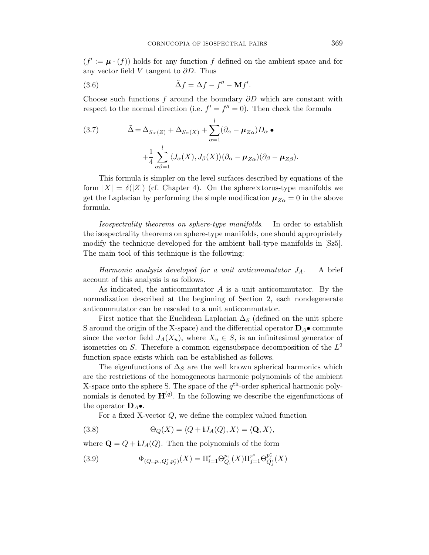$(f' := \mu \cdot (f))$  holds for any function f defined on the ambient space and for any vector field *V* tangent to *∂D*. Thus

(3.6) 
$$
\tilde{\Delta}f = \Delta f - f'' - Mf'.
$$

Choose such functions *f* around the boundary *∂D* which are constant with respect to the normal direction (i.e.  $f' = f'' = 0$ ). Then check the formula

(3.7) 
$$
\tilde{\Delta} = \Delta_{S_X(Z)} + \Delta_{S_Z(X)} + \sum_{\alpha=1}^l (\partial_{\alpha} - \mu_{Z\alpha}) D_{\alpha} \bullet + \frac{1}{4} \sum_{\alpha\beta=1}^l \langle J_{\alpha}(X), J_{\beta}(X) \rangle (\partial_{\alpha} - \mu_{Z\alpha}) (\partial_{\beta} - \mu_{Z\beta}).
$$

This formula is simpler on the level surfaces described by equations of the form  $|X| = \delta(|Z|)$  (cf. Chapter 4). On the sphere×torus-type manifolds we get the Laplacian by performing the simple modification  $\mu_{Z\alpha} = 0$  in the above formula.

Isospectrality theorems on sphere-type manifolds. In order to establish the isospectrality theorems on sphere-type manifolds, one should appropriately modify the technique developed for the ambient ball-type manifolds in [Sz5]. The main tool of this technique is the following:

Harmonic analysis developed for a unit anticommutator  $J_A$ . A brief account of this analysis is as follows.

As indicated, the anticommutator *A* is a unit anticommutator. By the normalization described at the beginning of Section 2, each nondegenerate anticommutator can be rescaled to a unit anticommutator.

First notice that the Euclidean Laplacian  $\Delta_S$  (defined on the unit sphere S around the origin of the X-space) and the differential operator  $D_A \bullet$  commute since the vector field  $J_A(X_u)$ , where  $X_u \in S$ , is an infinitesimal generator of isometries on *S*. Therefore a common eigensubspace decomposition of the *L*<sup>2</sup> function space exists which can be established as follows.

The eigenfunctions of  $\Delta_S$  are the well known spherical harmonics which are the restrictions of the homogeneous harmonic polynomials of the ambient X-space onto the sphere S. The space of the  $q<sup>th</sup>$ -order spherical harmonic polynomials is denoted by  $\mathbf{H}^{(q)}$ . In the following we describe the eigenfunctions of the operator  $\mathbf{D}_A \bullet$ .

For a fixed X-vector *Q*, we define the complex valued function

(3.8) 
$$
\Theta_Q(X) = \langle Q + iJ_A(Q), X \rangle = \langle Q, X \rangle,
$$

where  $\mathbf{Q} = Q + i J_A(Q)$ . Then the polynomials of the form

(3.9) 
$$
\Phi_{(Q_i, p_i, Q_j^*, p_j^*)}(X) = \Pi_{i=1}^r \Theta_{Q_i}^{p_i}(X) \Pi_{j=1}^{r^*} \overline{\Theta}_{Q_j^*}^{p_j^*}(X)
$$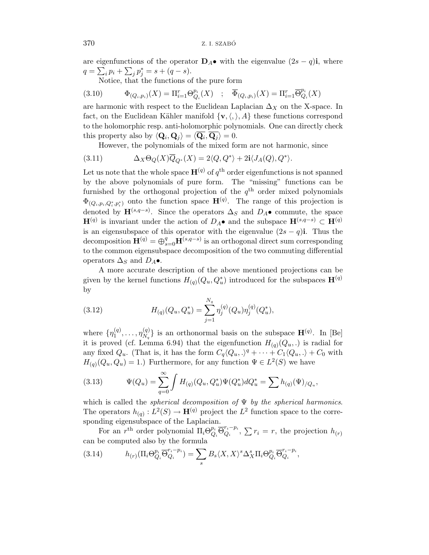are eigenfunctions of the operator  $D_A \bullet$  with the eigenvalue  $(2s - q)i$ , where  $q = \sum_i p_i + \sum_j p_j^* = s + (q - s).$ 

Notice, that the functions of the pure form

(3.10) 
$$
\Phi_{(Q_i, p_i)}(X) = \Pi_{i=1}^r \Theta_{Q_i}^{p_i}(X) \quad ; \quad \overline{\Phi}_{(Q_i, p_i)}(X) = \Pi_{i=1}^r \overline{\Theta}_{Q_i}^{p_i}(X)
$$

are harmonic with respect to the Euclidean Laplacian  $\Delta_X$  on the X-space. In fact, on the Euclidean Kähler manifold  $\{v, \langle, \rangle, A\}$  these functions correspond to the holomorphic resp. anti-holomorphic polynomials. One can directly check this property also by  $\langle \mathbf{Q}_i, \mathbf{Q}_j \rangle = \langle \overline{\mathbf{Q}_i}, \overline{\mathbf{Q}_j} \rangle = 0.$ 

However, the polynomials of the mixed form are not harmonic, since

(3.11) 
$$
\Delta_X \Theta_Q(X) \overline{Q}_{Q^*}(X) = 2\langle Q, Q^* \rangle + 2\mathbf{i} \langle J_A(Q), Q^* \rangle.
$$

Let us note that the whole space  $\mathbf{H}^{(q)}$  of  $q^{\text{th}}$  order eigenfunctions is not spanned by the above polynomials of pure form. The "missing" functions can be furnished by the orthogonal projection of the  $q<sup>th</sup>$  order mixed polynomials  $\Phi_{(Q_i, p_i, Q_i^*, p_i^*)}$  onto the function space  $\mathbf{H}^{(q)}$ . The range of this projection is denoted by  $\mathbf{H}^{(s,q-s)}$ . Since the operators  $\Delta_S$  and  $D_A \bullet$  commute, the space **H**<sup>(q)</sup> is invariant under the action of *D*<sub>A</sub>• and the subspace **H**<sup>(s,q-s)</sup> ⊂ **H**<sup>(q)</sup> is an eigensubspace of this operator with the eigenvalue  $(2s - q)$ **i**. Thus the decomposition  $\mathbf{H}^{(q)} = \bigoplus_{s=0}^{q} \mathbf{H}^{(s,q-s)}$  is an orthogonal direct sum corresponding to the common eigensubspace decomposition of the two commuting differential operators  $\Delta_S$  and  $D_A\bullet$ .

A more accurate description of the above mentioned projections can be given by the kernel functions  $H_{(q)}(Q_u, Q_u^*)$  introduced for the subspaces  $\mathbf{H}^{(q)}$ by

(3.12) 
$$
H_{(q)}(Q_u, Q_u^*) = \sum_{j=1}^{N_q} \eta_j^{(q)}(Q_u) \eta_j^{(q)}(Q_u^*),
$$

where  $\{\eta_1^{(q)}, \ldots, \eta_{N_q}^{(q)}\}$  is an orthonormal basis on the subspace  $\mathbf{H}^{(q)}$ . In [Be] it is proved (cf. Lemma 6.94) that the eigenfunction  $H_{(q)}(Q_u,.)$  is radial for any fixed  $Q_u$ . (That is, it has the form  $C_q \langle Q_u, . \rangle^q + \cdots + C_1 \langle Q_u, . \rangle + C_0$  with  $H_{(q)}(Q_u, Q_u) = 1.$ ) Furthermore, for any function  $\Psi \in L^2(S)$  we have

(3.13) 
$$
\Psi(Q_u) = \sum_{q=0}^{\infty} \int H_{(q)}(Q_u, Q_u^*) \Psi(Q_u^*) dQ_u^* = \sum h_{(q)}(\Psi)_{/Q_u},
$$

which is called the *spherical decomposition of*  $\Psi$  *by the spherical harmonics.* The operators  $h_{(q)} : L^2(S) \to \mathbf{H}^{(q)}$  project the  $L^2$  function space to the corresponding eigensubspace of the Laplacian.

For an  $r^{\text{th}}$  order polynomial  $\Pi_i \Theta_{Q_i}^{p_i} \overline{\Theta_{Q_i}^{r_i-p_i}}$ ,  $\sum r_i = r$ , the projection  $h_{(r)}$ can be computed also by the formula

(3.14) 
$$
h_{(r)}(\Pi_i \Theta_{Q_i}^{p_i} \overline{\Theta}_{Q_i}^{r_i - p_i}) = \sum_s B_s \langle X, X \rangle^s \Delta_X^s \Pi_i \Theta_{Q_i}^{p_i} \overline{\Theta}_{Q_i}^{r_i - p_i},
$$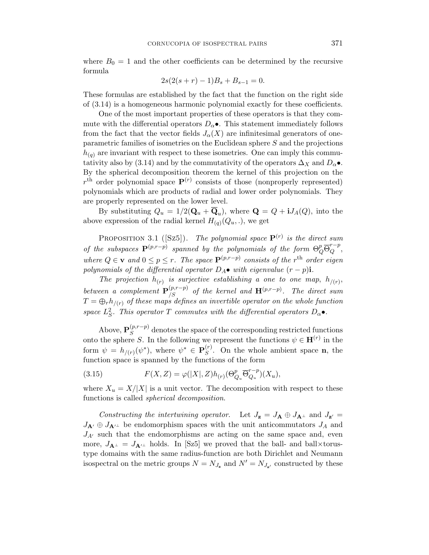where  $B_0 = 1$  and the other coefficients can be determined by the recursive formula

$$
2s(2(s+r)-1)B_s + B_{s-1} = 0.
$$

These formulas are established by the fact that the function on the right side of (3.14) is a homogeneous harmonic polynomial exactly for these coefficients.

One of the most important properties of these operators is that they commute with the differential operators  $D_{\alpha} \bullet$ . This statement immediately follows from the fact that the vector fields  $J_{\alpha}(X)$  are infinitesimal generators of oneparametric families of isometries on the Euclidean sphere *S* and the projections  $h_{(q)}$  are invariant with respect to these isometries. One can imply this commutativity also by (3.14) and by the commutativity of the operators  $\Delta_X$  and  $D_{\alpha}$ •. By the spherical decomposition theorem the kernel of this projection on the  $r<sup>th</sup>$  order polynomial space  $P(r)$  consists of those (nonproperly represented) polynomials which are products of radial and lower order polynomials. They are properly represented on the lower level.

By substituting  $Q_u = 1/2(\mathbf{Q}_u + \overline{\mathbf{Q}}_u)$ , where  $\mathbf{Q} = Q + iJ_A(Q)$ , into the above expression of the radial kernel  $H_{(q)}(Q_u, .)$ , we get

PROPOSITION 3.1 ([Sz5]). The polynomial space  $\mathbf{P}^{(r)}$  is the direct sum of the subspaces  $\mathbf{P}^{(p,r-p)}$  spanned by the polynomials of the form  $\Theta_Q^p \overline{\Theta}_Q^{r-p}$ , where  $Q \in$  **v** and  $0 \leq p \leq r$ . The space  $\mathbf{P}^{(p,r-p)}$  consists of the r<sup>th</sup> order eigen polynomials of the differential operator  $D_A \bullet$  with eigenvalue  $(r - p)$ **i**.

The projection  $h_{(r)}$  is surjective establishing a one to one map,  $h_{/(r)}$ , between a complement  $\mathbf{P}_{/S}^{(p,r-p)}$  of the kernel and  $\mathbf{H}^{(p,r-p)}$ . The direct sum  $T = \bigoplus_r h_{/(r)}$  of these maps defines an invertible operator on the whole function space  $L_S^2$ . This operator *T* commutes with the differential operators  $D_{\alpha} \bullet$ .

Above,  $\mathbf{P}_{S}^{(p,r-p)}$  denotes the space of the corresponding restricted functions onto the sphere *S*. In the following we represent the functions  $\psi \in \mathbf{H}^{(r)}$  in the form  $\psi = h_{/(r)}(\psi^*)$ , where  $\psi^* \in \mathbf{P}_S^{(r)}$ . On the whole ambient space **n**, the function space is spanned by the functions of the form

(3.15) 
$$
F(X,Z) = \varphi(|X|,Z)h_{(r)}(\Theta_{Q_u}^p \overline{\Theta}_{Q_u}^{r-p})(X_u),
$$

where  $X_u = X/|X|$  is a unit vector. The decomposition with respect to these functions is called spherical decomposition.

Constructing the intertwining operator. Let  $J_{\mathbf{z}} = J_{\mathbf{A}} \oplus J_{\mathbf{A}^{\perp}}$  and  $J_{\mathbf{z}'} =$  $J_{\mathbf{A}'} \oplus J_{\mathbf{A}'}$  be endomorphism spaces with the unit anticommutators  $J_A$  and  $J_{A'}$  such that the endomorphisms are acting on the same space and, even more,  $J_{\mathbf{A}^{\perp}} = J_{\mathbf{A}^{\prime \perp}}$  holds. In [Sz5] we proved that the ball- and ball×torustype domains with the same radius-function are both Dirichlet and Neumann isospectral on the metric groups  $N = N_{J_z}$  and  $N' = N_{J_{z'}}$  constructed by these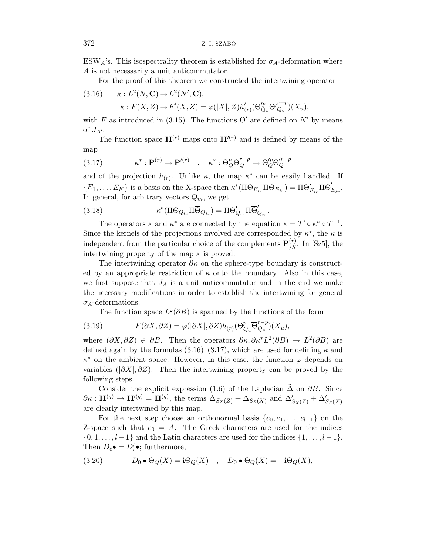ESW<sub>A</sub>'s. This isospectrality theorem is established for  $\sigma_A$ -deformation where *A* is not necessarily a unit anticommutator.

For the proof of this theorem we constructed the intertwining operator

(3.16) 
$$
\kappa: L^2(N, \mathbf{C}) \to L^2(N', \mathbf{C}),
$$

$$
\kappa: F(X, Z) \to F'(X, Z) = \varphi(|X|, Z) h'_{(r)}(\Theta_{Q_u}^{'p} \overline{\Theta'}_{Q_u}^{r-p})(X_u),
$$

with *F* as introduced in (3.15). The functions  $\Theta'$  are defined on *N'* by means of  $J_{A'}$ .

The function space  $\mathbf{H}^{(r)}$  maps onto  $\mathbf{H}^{(r)}$  and is defined by means of the map

(3.17) 
$$
\kappa^* : \mathbf{P}^{(r)} \to \mathbf{P}'^{(r)} \quad , \quad \kappa^* : \Theta_Q^p \overline{\Theta}_Q^{r-p} \to \Theta_Q'^p \overline{\Theta}_Q'^{r-p}
$$

and of the projection  $h(r)$ . Unlike  $\kappa$ , the map  $\kappa^*$  can be easily handled. If  ${E_1, \ldots, E_K}$  is a basis on the X-space then  $\kappa^*(\Pi \Theta_{E_{i_r}} \Pi \overline{\Theta}_{E_{j_r}}) = \Pi \Theta'_{E_{i_r}} \Pi \overline{\Theta}'_{E_{j_r}}$ . In general, for arbitrary vectors  $Q_m$ , we get

(3.18) 
$$
\kappa^*(\Pi\Theta_{Q_{i_r}}\Pi\overline{\Theta}_{Q_{j_r}})=\Pi\Theta'_{Q_{i_r}}\Pi\overline{\Theta}'_{Q_{j_r}}.
$$

The operators  $\kappa$  and  $\kappa^*$  are connected by the equation  $\kappa = T' \circ \kappa^* \circ T^{-1}$ . Since the kernels of the projections involved are corresponded by  $\kappa^*$ , the  $\kappa$  is independent from the particular choice of the complements  $\mathbf{P}_{/S}^{(r)}$ . In [Sz5], the intertwining property of the map  $\kappa$  is proved.

The intertwining operator  $\partial \kappa$  on the sphere-type boundary is constructed by an appropriate restriction of  $\kappa$  onto the boundary. Also in this case, we first suppose that  $J_A$  is a unit anticommutator and in the end we make the necessary modifications in order to establish the intertwining for general *σ*A-deformations.

The function space  $L^2(\partial B)$  is spanned by the functions of the form

(3.19) 
$$
F(\partial X, \partial Z) = \varphi(|\partial X|, \partial Z) h_{(r)}(\Theta_{Q_u}^p \overline{\Theta}_{Q_u}^{r-p})(X_u),
$$

where  $(\partial X, \partial Z) \in \partial B$ . Then the operators  $\partial \kappa, \partial \kappa^* L^2(\partial B) \to L^2(\partial B)$  are defined again by the formulas  $(3.16)$ – $(3.17)$ , which are used for defining  $\kappa$  and  $\kappa^*$  on the ambient space. However, in this case, the function  $\varphi$  depends on variables ( $|\partial X|$ ,  $\partial Z$ ). Then the intertwining property can be proved by the following steps.

Consider the explicit expression (1.6) of the Laplacian  $\tilde{\Delta}$  on  $\partial B$ . Since  $\partial \kappa$  : **H**<sup>(q)</sup> → **H**<sup>(q)</sup> = **H**<sup>(q)</sup>, the terms  $\Delta_{S_X(Z)} + \Delta_{S_Z(X)}$  and  $\Delta'_{S_X(Z)} + \Delta'_{S_Z(X)}$ are clearly intertwined by this map.

For the next step choose an orthonormal basis  $\{e_0, e_1, \ldots, e_{l-1}\}$  on the Z-space such that  $e_0 = A$ . The Greek characters are used for the indices  $\{0, 1, \ldots, l-1\}$  and the Latin characters are used for the indices  $\{1, \ldots, l-1\}$ . Then  $D_c \bullet = D'_c \bullet$ ; furthermore,

(3.20) 
$$
D_0 \bullet \Theta_Q(X) = \mathbf{i} \Theta_Q(X) , D_0 \bullet \overline{\Theta}_Q(X) = -\mathbf{i} \overline{\Theta}_Q(X),
$$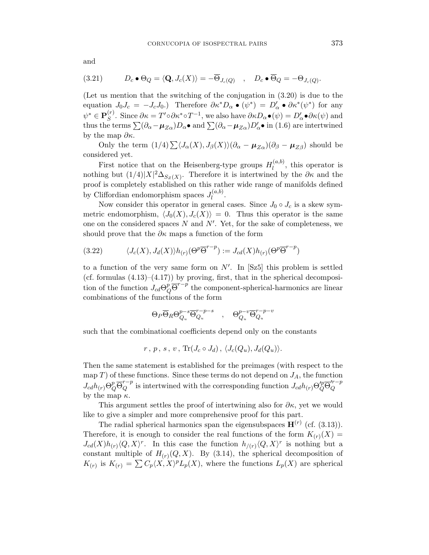and

(3.21) 
$$
D_c \bullet \Theta_Q = \langle \mathbf{Q}, J_c(X) \rangle = -\overline{\Theta}_{J_c(Q)} \quad , \quad D_c \bullet \overline{\Theta}_Q = -\Theta_{J_c(Q)}.
$$

(Let us mention that the switching of the conjugation in (3.20) is due to the equation  $J_0J_c = -J_cJ_0$ .) Therefore  $\partial \kappa^* D_\alpha \bullet (\psi^*) = D'_\alpha \bullet \partial \kappa^* (\psi^*)$  for any  $\psi^* \in \mathbf{P}_S^{(r)}$ . Since  $\partial \kappa = T' \circ \partial \kappa^* \circ T^{-1}$ , we also have  $\partial \kappa D_\alpha \bullet (\psi) = D'_\alpha \bullet \partial \kappa (\psi)$  and thus the terms  $\sum (\partial_\alpha - \mu_{Z\alpha})D_\alpha \bullet$  and  $\sum (\partial_\alpha - \mu_{Z\alpha})D'_\alpha \bullet$  in (1.6) are intertwined by the map *∂κ*.

Only the term  $(1/4)\sum \langle J_{\alpha}(X), J_{\beta}(X)\rangle (\partial_{\alpha} - \mu_{Z\alpha})(\partial_{\beta} - \mu_{Z\beta})$  should be considered yet.

First notice that on the Heisenberg-type groups  $H_l^{(a,b)}$ , this operator is nothing but  $(1/4)|X|^2\Delta_{S_Z(X)}$ . Therefore it is intertwined by the  $\partial\kappa$  and the proof is completely established on this rather wide range of manifolds defined by Cliffordian endomorphism spaces  $J_l^{(a,b)}$ .

Now consider this operator in general cases. Since  $J_0 \circ J_c$  is a skew symmetric endomorphism,  $\langle J_0(X), J_c(X) \rangle = 0$ . Thus this operator is the same one on the considered spaces *N* and *N* . Yet, for the sake of completeness, we should prove that the  $\partial \kappa$  maps a function of the form

(3.22) 
$$
\langle J_c(X), J_d(X) \rangle h_{(r)}(\Theta^p \overline{\Theta}^{r-p}) := J_{cd}(X) h_{(r)}(\Theta^p \overline{\Theta}^{r-p})
$$

to a function of the very same form on  $N'$ . In  $[Sz5]$  this problem is settled (cf. formulas  $(4.13)$ – $(4.17)$ ) by proving, first, that in the spherical decomposition of the function  $J_{cd}\Theta_Q^p \overline{\Theta}^{r-p}$  the component-spherical-harmonics are linear combinations of the functions of the form

$$
\Theta_P \overline{\Theta}_R \Theta_{Q_u}^{p-s} \overline{\Theta}_{Q_u}^{r-p-s} \quad , \quad \Theta_{Q_u}^{p-v} \overline{\Theta}_{Q_u}^{r-p-v}
$$

such that the combinational coefficients depend only on the constants

$$
r, p, s, v, \text{Tr}(J_c \circ J_d), \langle J_c(Q_u), J_d(Q_u) \rangle.
$$

Then the same statement is established for the preimages (with respect to the map  $T$ ) of these functions. Since these terms do not depend on  $J_A$ , the function  $J_{cd}h_{(r)}\Theta_Q^p \overline{\Theta}_Q^{r-p}$  is intertwined with the corresponding function  $J_{cd}h_{(r)}\Theta_Q'^p \overline{\Theta}_Q'^{r-p}$ by the map  $\kappa$ .

This argument settles the proof of intertwining also for  $\partial \kappa$ , yet we would like to give a simpler and more comprehensive proof for this part.

The radial spherical harmonics span the eigensubspaces  $\mathbf{H}^{(r)}$  (cf. (3.13)). Therefore, it is enough to consider the real functions of the form  $K_{(r)}(X) =$  $J_{cd}(X)h_{(r)}\langle Q,X\rangle^r$ . In this case the function  $h_{/(r)}\langle Q,X\rangle^r$  is nothing but a constant multiple of  $H_{(r)}(Q, X)$ . By (3.14), the spherical decomposition of  $K_{(r)}$  is  $K_{(r)} = \sum C_p \langle X, X \rangle^p L_p(X)$ , where the functions  $L_p(X)$  are spherical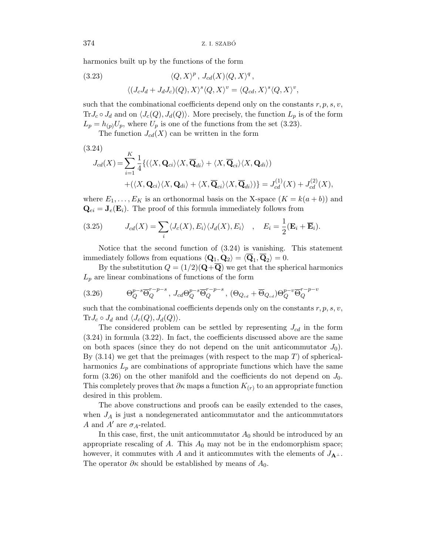harmonics built up by the functions of the form

(3.23) 
$$
\langle Q, X \rangle^p, J_{cd}(X) \langle Q, X \rangle^q,
$$

$$
\langle (J_c J_d + J_d J_c)(Q), X \rangle^s \langle Q, X \rangle^v = \langle Q_{cd}, X \rangle^s \langle Q, X \rangle^v,
$$

such that the combinational coefficients depend only on the constants  $r, p, s, v$ , Tr $J_c \circ J_d$  and on  $\langle J_c(Q), J_d(Q) \rangle$ . More precisely, the function  $L_p$  is of the form  $L_p = h_{(p)}U_p$ , where  $U_p$  is one of the functions from the set (3.23).

The function  $J_{cd}(X)$  can be written in the form

(3.24)  
\n
$$
J_{cd}(X) = \sum_{i=1}^{K} \frac{1}{4} \{ (\langle X, \mathbf{Q}_{ci} \rangle \langle X, \overline{\mathbf{Q}}_{di} \rangle + \langle X, \overline{\mathbf{Q}}_{ci} \rangle \langle X, \mathbf{Q}_{di} \rangle ) + (\langle X, \mathbf{Q}_{ci} \rangle \langle X, \mathbf{Q}_{di} \rangle) + \langle X, \overline{\mathbf{Q}}_{ci} \rangle \langle X, \overline{\mathbf{Q}}_{di} \rangle ) \} = J_{cd}^{(1)}(X) + J_{cd}^{(2)}(X),
$$

where  $E_1, \ldots, E_K$  is an orthonormal basis on the X-space  $(K = k(a + b))$  and  $\mathbf{Q}_{ei} = \mathbf{J}_e(\mathbf{E}_i)$ . The proof of this formula immediately follows from

(3.25) 
$$
J_{cd}(X) = \sum_{i} \langle J_c(X), E_i \rangle \langle J_d(X), E_i \rangle , \quad E_i = \frac{1}{2} (\mathbf{E}_i + \overline{\mathbf{E}}_i).
$$

Notice that the second function of (3.24) is vanishing. This statement immediately follows from equations  $\langle \mathbf{Q}_1, \mathbf{Q}_2 \rangle = \langle \overline{\mathbf{Q}}_1, \overline{\mathbf{Q}}_2 \rangle = 0.$ 

By the substitution  $Q = (1/2)(\mathbf{Q} + \overline{\mathbf{Q}})$  we get that the spherical harmonics  $L_p$  are linear combinations of functions of the form

$$
(3.26) \qquad \Theta_Q^{p-s} \overline{\Theta}_Q^{r-p-s}, \, J_{cd} \Theta_Q^{p-s} \overline{\Theta}_Q^{r-p-s}, \, (\Theta_{Q_{cd}} + \overline{\Theta}_{Q_{cd}}) \Theta_Q^{p-v} \overline{\Theta}_Q^{r-p-v}
$$

such that the combinational coefficients depends only on the constants *r, p, s, v,*  $\mathrm{Tr}J_c \circ J_d$  and  $\langle J_c(Q), J_d(Q) \rangle$ .

The considered problem can be settled by representing  $J_{cd}$  in the form (3.24) in formula (3.22). In fact, the coefficients discussed above are the same on both spaces (since they do not depend on the unit anticommutator  $J_0$ ). By (3.14) we get that the preimages (with respect to the map *T*) of sphericalharmonics  $L_p$  are combinations of appropriate functions which have the same form  $(3.26)$  on the other manifold and the coefficients do not depend on  $J_0$ . This completely proves that  $\partial \kappa$  maps a function  $K_{(r)}$  to an appropriate function desired in this problem.

The above constructions and proofs can be easily extended to the cases, when  $J_A$  is just a nondegenerated anticommutator and the anticommutators *A* and *A'* are  $\sigma_A$ -related.

In this case, first, the unit anticommutator *A*<sup>0</sup> should be introduced by an appropriate rescaling of  $A$ . This  $A_0$  may not be in the endomorphism space; however, it commutes with *A* and it anticommutes with the elements of  $J_{\mathbf{A}^{\perp}}$ . The operator  $\partial \kappa$  should be established by means of  $A_0$ .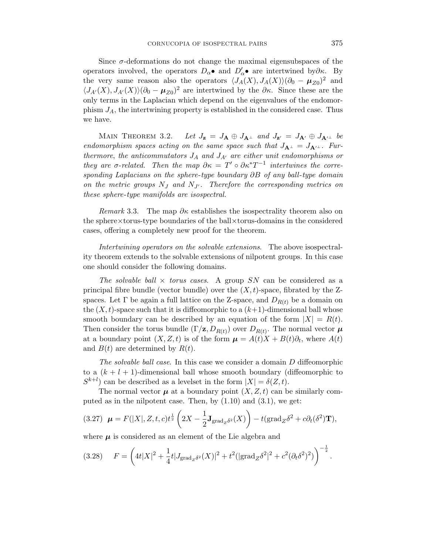Since *σ*-deformations do not change the maximal eigensubspaces of the operators involved, the operators  $D_{\alpha}$ • and  $D'_{\alpha}$ • are intertwined by $\partial \kappa$ . By the very same reason also the operators  $\langle J_A(X), J_A(X) \rangle (\partial_0 - \mu_{Z0})^2$  and  $\langle J_{A'}(X), J_{A'}(X) \rangle (\partial_0 - \mu_{Z0})^2$  are intertwined by the  $\partial \kappa$ . Since these are the only terms in the Laplacian which depend on the eigenvalues of the endomorphism  $J_A$ , the intertwining property is established in the considered case. Thus we have.

MAIN THEOREM 3.2. Let  $J_{\mathbf{z}} = J_{\mathbf{A}} \oplus J_{\mathbf{A}^\perp}$  and  $J_{\mathbf{z}} = J_{\mathbf{A}'} \oplus J_{\mathbf{A}'} \oplus b\mathbf{e}$ endomorphism spaces acting on the same space such that  $J_{\mathbf{A}^{\perp}} = J_{\mathbf{A}^{\prime \perp}}$ . Furthermore, the anticommutators  $J_A$  and  $J_{A'}$  are either unit endomorphisms or they are *σ*-related. Then the map  $\partial \kappa = T' \circ \partial \kappa^* T^{-1}$  intertwines the corresponding Laplacians on the sphere-type boundary  $\partial B$  of any ball-type domain on the metric groups  $N_J$  and  $N_{J'}$ . Therefore the corresponding metrics on these sphere-type manifolds are isospectral.

*Remark* 3.3. The map  $\partial \kappa$  establishes the isospectrality theorem also on the sphere×torus-type boundaries of the ball×torus-domains in the considered cases, offering a completely new proof for the theorem.

Intertwining operators on the solvable extensions. The above isospectrality theorem extends to the solvable extensions of nilpotent groups. In this case one should consider the following domains.

The solvable ball  $\times$  torus cases. A group SN can be considered as a principal fibre bundle (vector bundle) over the  $(X, t)$ -space, fibrated by the Zspaces. Let  $\Gamma$  be again a full lattice on the Z-space, and  $D_{R(t)}$  be a domain on the  $(X, t)$ -space such that it is diffeomorphic to a  $(k+1)$ -dimensional ball whose smooth boundary can be described by an equation of the form  $|X| = R(t)$ . Then consider the torus bundle  $(\Gamma/\mathbf{z}, D_{R(t)})$  over  $D_{R(t)}$ . The normal vector  $\boldsymbol{\mu}$ at a boundary point  $(X, Z, t)$  is of the form  $\mu = A(t)X + B(t)\partial_t$ , where  $A(t)$ and  $B(t)$  are determined by  $R(t)$ .

The solvable ball case. In this case we consider a domain *D* diffeomorphic to a  $(k+l+1)$ -dimensional ball whose smooth boundary (diffeomorphic to  $S^{k+l}$  can be described as a level set in the form  $|X| = \delta(Z, t)$ .

The normal vector  $\mu$  at a boundary point  $(X, Z, t)$  can be similarly computed as in the nilpotent case. Then, by  $(1.10)$  and  $(3.1)$ , we get:

$$
(3.27) \boldsymbol{\mu} = F(|X|, Z, t, c)t^{\frac{1}{2}} \left(2X - \frac{1}{2}\mathbf{J}_{\text{grad}_Z \delta^2}(X)\right) - t(\text{grad}_Z \delta^2 + c\partial_t(\delta^2)\mathbf{T}),
$$

where  $\mu$  is considered as an element of the Lie algebra and

$$
(3.28) \t F = \left(4t|X|^2 + \frac{1}{4}t|J_{\text{grad}_Z \delta^2}(X)|^2 + t^2(|\text{grad}_Z \delta^2|^2 + c^2(\partial_t \delta^2)^2)\right)^{-\frac{1}{2}}.
$$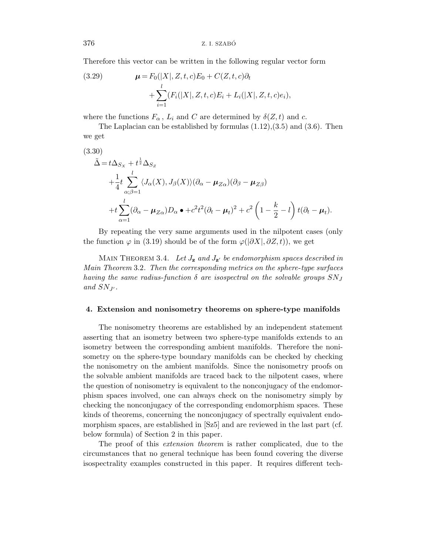Therefore this vector can be written in the following regular vector form

(3.29) 
$$
\mu = F_0(|X|, Z, t, c)E_0 + C(Z, t, c)\partial_t + \sum_{i=1}^l (F_i(|X|, Z, t, c)E_i + L_i(|X|, Z, t, c)e_i),
$$

where the functions  $F_{\alpha}$ ,  $L_i$  and  $C$  are determined by  $\delta(Z, t)$  and  $c$ .

The Laplacian can be established by formulas  $(1.12), (3.5)$  and  $(3.6)$ . Then we get

(3.30)

$$
\tilde{\Delta} = t\Delta_{S_X} + t^{\frac{1}{2}}\Delta_{S_Z}
$$
\n
$$
+ \frac{1}{4}t\sum_{\alpha;\beta=1}^{l} \langle J_{\alpha}(X), J_{\beta}(X) \rangle (\partial_{\alpha} - \mu_{Z\alpha})(\partial_{\beta} - \mu_{Z\beta})
$$
\n
$$
+ t\sum_{\alpha=1}^{l} (\partial_{\alpha} - \mu_{Z\alpha})D_{\alpha} \bullet + c^2t^2(\partial_t - \mu_t)^2 + c^2\left(1 - \frac{k}{2} - l\right)t(\partial_t - \mu_t).
$$

By repeating the very same arguments used in the nilpotent cases (only the function  $\varphi$  in (3.19) should be of the form  $\varphi(|\partial X|, \partial Z, t)$ , we get

MAIN THEOREM 3.4. Let  $J_{\mathbf{z}}$  and  $J_{\mathbf{z}'}$  be endomorphism spaces described in Main Theorem 3.2. Then the corresponding metrics on the sphere-type surfaces having the same radius-function  $\delta$  are isospectral on the solvable groups  $SN_J$ and  $SN_{J'}$ .

### **4. Extension and nonisometry theorems on sphere-type manifolds**

The nonisometry theorems are established by an independent statement asserting that an isometry between two sphere-type manifolds extends to an isometry between the corresponding ambient manifolds. Therefore the nonisometry on the sphere-type boundary manifolds can be checked by checking the nonisometry on the ambient manifolds. Since the nonisometry proofs on the solvable ambient manifolds are traced back to the nilpotent cases, where the question of nonisometry is equivalent to the nonconjugacy of the endomorphism spaces involved, one can always check on the nonisometry simply by checking the nonconjugacy of the corresponding endomorphism spaces. These kinds of theorems, concerning the nonconjugacy of spectrally equivalent endomorphism spaces, are established in [Sz5] and are reviewed in the last part (cf. below formula) of Section 2 in this paper.

The proof of this *extension theorem* is rather complicated, due to the circumstances that no general technique has been found covering the diverse isospectrality examples constructed in this paper. It requires different tech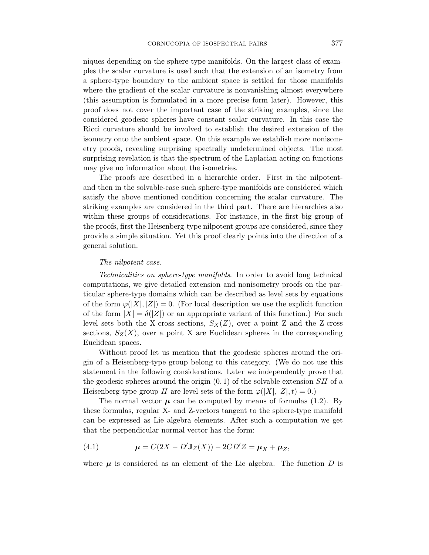niques depending on the sphere-type manifolds. On the largest class of examples the scalar curvature is used such that the extension of an isometry from a sphere-type boundary to the ambient space is settled for those manifolds where the gradient of the scalar curvature is nonvanishing almost everywhere (this assumption is formulated in a more precise form later). However, this proof does not cover the important case of the striking examples, since the considered geodesic spheres have constant scalar curvature. In this case the Ricci curvature should be involved to establish the desired extension of the isometry onto the ambient space. On this example we establish more nonisometry proofs, revealing surprising spectrally undetermined objects. The most surprising revelation is that the spectrum of the Laplacian acting on functions may give no information about the isometries.

The proofs are described in a hierarchic order. First in the nilpotentand then in the solvable-case such sphere-type manifolds are considered which satisfy the above mentioned condition concerning the scalar curvature. The striking examples are considered in the third part. There are hierarchies also within these groups of considerations. For instance, in the first big group of the proofs, first the Heisenberg-type nilpotent groups are considered, since they provide a simple situation. Yet this proof clearly points into the direction of a general solution.

#### The nilpotent case.

Technicalities on sphere-type manifolds. In order to avoid long technical computations, we give detailed extension and nonisometry proofs on the particular sphere-type domains which can be described as level sets by equations of the form  $\varphi(|X|, |Z|) = 0$ . (For local description we use the explicit function of the form  $|X| = \delta(|Z|)$  or an appropriate variant of this function.) For such level sets both the X-cross sections,  $S_X(Z)$ , over a point Z and the Z-cross sections,  $S_Z(X)$ , over a point X are Euclidean spheres in the corresponding Euclidean spaces.

Without proof let us mention that the geodesic spheres around the origin of a Heisenberg-type group belong to this category. (We do not use this statement in the following considerations. Later we independently prove that the geodesic spheres around the origin (0*,* 1) of the solvable extension *SH* of a Heisenberg-type group *H* are level sets of the form  $\varphi(|X|, |Z|, t) = 0$ .

The normal vector  $\mu$  can be computed by means of formulas (1.2). By these formulas, regular X- and Z-vectors tangent to the sphere-type manifold can be expressed as Lie algebra elements. After such a computation we get that the perpendicular normal vector has the form:

(4.1) 
$$
\mu = C(2X - D'J_Z(X)) - 2CD'Z = \mu_X + \mu_Z,
$$

where  $\mu$  is considered as an element of the Lie algebra. The function  $D$  is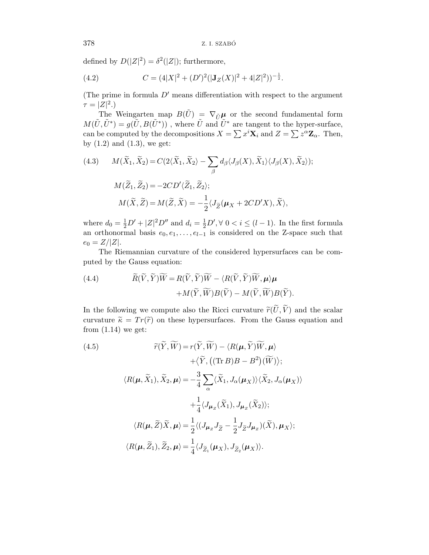defined by  $D(|Z|^2) = \delta^2(|Z|)$ ; furthermore,

(4.2) 
$$
C = (4|X|^2 + (D')^2(|\mathbf{J}_Z(X)|^2 + 4|Z|^2))^{-\frac{1}{2}}.
$$

(The prime in formula  $D'$  means differentiation with respect to the argument  $\tau = |Z|^2.$ 

The Weingarten map  $B(\tilde{U}) = \nabla_{\tilde{U}} \mu$  or the second fundamental form  $M(\tilde{U}, \tilde{U}^*) = g(\tilde{U}, B(\tilde{U}^*))$ , where  $\tilde{U}$  and  $\tilde{U}^*$  are tangent to the hyper-surface, can be computed by the decompositions  $X = \sum x^i \mathbf{X}_i$  and  $Z = \sum x^\alpha \mathbf{Z}_\alpha$ . Then, by  $(1.2)$  and  $(1.3)$ , we get:

(4.3) 
$$
M(\widetilde{X}_1, \widetilde{X}_2) = C(2\langle \widetilde{X}_1, \widetilde{X}_2 \rangle - \sum_{\beta} d_{\beta} \langle J_{\beta}(X), \widetilde{X}_1 \rangle \langle J_{\beta}(X), \widetilde{X}_2 \rangle);
$$

$$
M(\widetilde{Z}_1, \widetilde{Z}_2) = -2CD' \langle \widetilde{Z}_1, \widetilde{Z}_2 \rangle;
$$

$$
M(\widetilde{X}, \widetilde{Z}) = M(\widetilde{Z}, \widetilde{X}) = -\frac{1}{2} \langle J_{\widetilde{Z}}(\mu_X + 2CD'X), \widetilde{X} \rangle,
$$

where  $d_0 = \frac{1}{2}D' + |Z|^2 D''$  and  $d_i = \frac{1}{2}D', \forall 0 < i \le (l-1)$ . In the first formula an orthonormal basis  $e_0, e_1, \ldots, e_{l-1}$  is considered on the Z-space such that  $e_0 = Z/|Z|.$ 

The Riemannian curvature of the considered hypersurfaces can be computed by the Gauss equation:

(4.4) 
$$
\widetilde{R}(\widetilde{V},\widetilde{Y})\widetilde{W} = R(\widetilde{V},\widetilde{Y})\widetilde{W} - \langle R(\widetilde{V},\widetilde{Y})\widetilde{W},\mu \rangle \mu + M(\widetilde{Y},\widetilde{W})B(\widetilde{V}) - M(\widetilde{V},\widetilde{W})B(\widetilde{Y}).
$$

In the following we compute also the Ricci curvature  $\tilde{r}(\tilde{U}, \tilde{V})$  and the scalar curvature  $\tilde{\kappa} = Tr(\tilde{r})$  on these hypersurfaces. From the Gauss equation and from  $(1.14)$  we get:

(4.5)  
\n
$$
\widetilde{r}(\widetilde{Y}, \widetilde{W}) = r(\widetilde{Y}, \widetilde{W}) - \langle R(\mu, \widetilde{Y})\widetilde{W}, \mu \rangle
$$
\n
$$
+ \langle \widetilde{Y}, ((\text{Tr }B)B - B^2)(\widetilde{W}) \rangle;
$$
\n
$$
\langle R(\mu, \widetilde{X}_1), \widetilde{X}_2, \mu \rangle = -\frac{3}{4} \sum_{\alpha} \langle \widetilde{X}_1, J_{\alpha}(\mu_X) \rangle \langle \widetilde{X}_2, J_{\alpha}(\mu_X) \rangle
$$
\n
$$
+ \frac{1}{4} \langle J_{\mu_Z}(\widetilde{X}_1), J_{\mu_Z}(\widetilde{X}_2) \rangle;
$$
\n
$$
\langle R(\mu, \widetilde{Z})\widetilde{X}, \mu \rangle = \frac{1}{2} \langle (J_{\mu_Z}J_{\widetilde{Z}} - \frac{1}{2}J_{\widetilde{Z}}J_{\mu_Z})(\widetilde{X}), \mu_X \rangle;
$$
\n
$$
\langle R(\mu, \widetilde{Z}_1), \widetilde{Z}_2, \mu \rangle = \frac{1}{4} \langle J_{\widetilde{Z}_1}(\mu_X), J_{\widetilde{Z}_2}(\mu_X) \rangle.
$$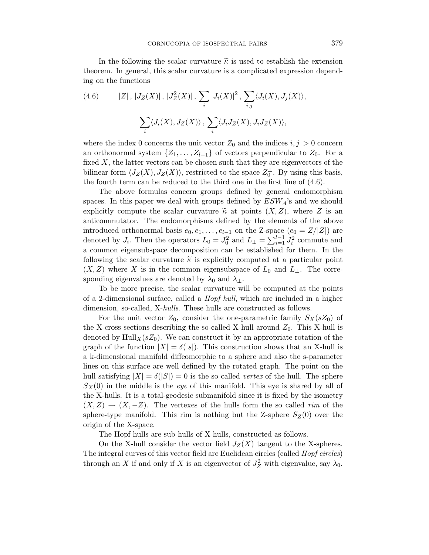In the following the scalar curvature  $\tilde{\kappa}$  is used to establish the extension theorem. In general, this scalar curvature is a complicated expression depending on the functions

(4.6) 
$$
|Z|, |J_Z(X)|, |J_Z^2(X)|, \sum_i |J_i(X)|^2, \sum_{i,j} \langle J_i(X), J_j(X) \rangle,
$$

$$
\sum_i \langle J_i(X), J_Z(X) \rangle, \sum_i \langle J_i J_Z(X), J_i J_Z(X) \rangle,
$$

where the index 0 concerns the unit vector  $Z_0$  and the indices  $i, j > 0$  concern an orthonormal system  $\{Z_1, \ldots, Z_{l-1}\}\$  of vectors perpendicular to  $Z_0$ . For a fixed *X*, the latter vectors can be chosen such that they are eigenvectors of the bilinear form  $\langle J_Z(X), J_Z(X) \rangle$ , restricted to the space  $Z_0^{\perp}$ . By using this basis, the fourth term can be reduced to the third one in the first line of (4.6).

The above formulas concern groups defined by general endomorphism spaces. In this paper we deal with groups defined by *ESW*A's and we should explicitly compute the scalar curvature  $\tilde{\kappa}$  at points  $(X, Z)$ , where Z is an anticommutator. The endomorphisms defined by the elements of the above introduced orthonormal basis  $e_0, e_1, \ldots, e_{l-1}$  on the Z-space  $(e_0 = Z/|Z|)$  are denoted by *J<sub>i</sub>*. Then the operators  $L_0 = J_0^2$  and  $L_{\perp} = \sum_{i=1}^{l-1} J_i^2$  commute and a common eigensubspace decomposition can be established for them. In the following the scalar curvature  $\tilde{\kappa}$  is explicitly computed at a particular point  $(X, Z)$  where X is in the common eigensubspace of  $L_0$  and  $L_{\perp}$ . The corresponding eigenvalues are denoted by  $\lambda_0$  and  $\lambda_\perp$ .

To be more precise, the scalar curvature will be computed at the points of a 2-dimensional surface, called a Hopf hull, which are included in a higher dimension, so-called, X-hulls. These hulls are constructed as follows.

For the unit vector  $Z_0$ , consider the one-parametric family  $S_X(sZ_0)$  of the X-cross sections describing the so-called X-hull around  $Z_0$ . This X-hull is denoted by  $Hull<sub>X</sub>(sZ<sub>0</sub>)$ . We can construct it by an appropriate rotation of the graph of the function  $|X| = \delta(|s|)$ . This construction shows that an X-hull is a k-dimensional manifold diffeomorphic to a sphere and also the s-parameter lines on this surface are well defined by the rotated graph. The point on the hull satisfying  $|X| = \delta(|S|) = 0$  is the so called *vertex* of the hull. The sphere  $S_X(0)$  in the middle is the eye of this manifold. This eye is shared by all of the X-hulls. It is a total-geodesic submanifold since it is fixed by the isometry  $(X, Z) \rightarrow (X, -Z)$ . The vertexes of the hulls form the so called *rim* of the sphere-type manifold. This rim is nothing but the Z-sphere  $S_Z(0)$  over the origin of the X-space.

The Hopf hulls are sub-hulls of X-hulls, constructed as follows.

On the X-hull consider the vector field  $J_Z(X)$  tangent to the X-spheres. The integral curves of this vector field are Euclidean circles (called Hopf circles) through an *X* if and only if *X* is an eigenvector of  $J_Z^2$  with eigenvalue, say  $\lambda_0$ .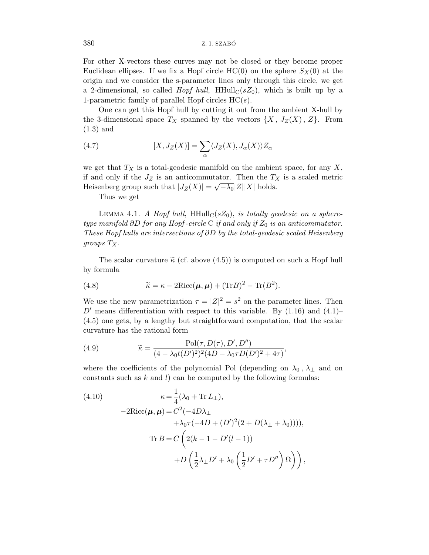For other X-vectors these curves may not be closed or they become proper Euclidean ellipses. If we fix a Hopf circle  $HC(0)$  on the sphere  $S_X(0)$  at the origin and we consider the s-parameter lines only through this circle, we get a 2-dimensional, so called *Hopf hull*,  $HHull<sub>C</sub>(sZ<sub>0</sub>)$ , which is built up by a 1-parametric family of parallel Hopf circles HC(*s*).

One can get this Hopf hull by cutting it out from the ambient X-hull by the 3-dimensional space  $T_X$  spanned by the vectors  $\{X, J_Z(X), Z\}$ . From (1.3) and

(4.7) 
$$
[X, J_Z(X)] = \sum_{\alpha} \langle J_Z(X), J_{\alpha}(X) \rangle Z_{\alpha}
$$

we get that  $T_X$  is a total-geodesic manifold on the ambient space, for any  $X$ , if and only if the  $J_Z$  is an anticommutator. Then the  $T_X$  is a scaled metric Heisenberg group such that  $|J_Z(X)| = \sqrt{-\lambda_0}|Z||X|$  holds.

Thus we get

LEMMA 4.1. A Hopf hull,  $HHull<sub>C</sub>(sZ<sub>0</sub>)$ , is totally geodesic on a spheretype manifold *∂D* for any Hopf -circle C if and only if *Z*<sup>0</sup> is an anticommutator. These Hopf hulls are intersections of *∂D* by the total-geodesic scaled Heisenberg groups *T*X.

The scalar curvature  $\tilde{\kappa}$  (cf. above (4.5)) is computed on such a Hopf hull by formula

(4.8) 
$$
\widetilde{\kappa} = \kappa - 2\text{Ricc}(\boldsymbol{\mu}, \boldsymbol{\mu}) + (\text{Tr}B)^2 - \text{Tr}(B^2).
$$

We use the new parametrization  $\tau = |Z|^2 = s^2$  on the parameter lines. Then  $D'$  means differentiation with respect to this variable. By  $(1.16)$  and  $(4.1)$ – (4.5) one gets, by a lengthy but straightforward computation, that the scalar curvature has the rational form

(4.9) 
$$
\widetilde{\kappa} = \frac{\text{Pol}(\tau, D(\tau), D', D'')}{(4 - \lambda_0 t(D')^2)^2 (4D - \lambda_0 \tau D(D')^2 + 4\tau)},
$$

where the coefficients of the polynomial Pol (depending on  $\lambda_0$ ,  $\lambda_{\perp}$  and on constants such as  $k$  and  $l$ ) can be computed by the following formulas:

(4.10)  
\n
$$
\kappa = \frac{1}{4}(\lambda_0 + \text{Tr } L_\perp),
$$
\n
$$
-2\text{Ricc}(\boldsymbol{\mu}, \boldsymbol{\mu}) = C^2(-4D\lambda_\perp + \lambda_0\tau(-4D + (D')^2(2 + D(\lambda_\perp + \lambda_0))))
$$
\n
$$
\text{Tr } B = C\left(2(k - 1 - D'(l - 1)) + D\left(\frac{1}{2}\lambda_\perp D' + \lambda_0\left(\frac{1}{2}D' + \tau D''\right)\Omega\right)\right),
$$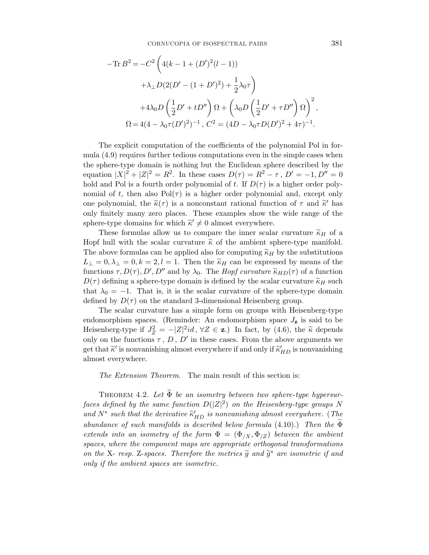$$
-\text{Tr} B^2 = -C^2 \left( 4(k - 1 + (D')^2 (l - 1))
$$
  

$$
+ \lambda_\perp D (2(D' - (1 + D')^2) + \frac{1}{2} \lambda_0 \tau) + 4\lambda_0 D \left( \frac{1}{2} D' + t D'' \right) \Omega + \left( \lambda_0 D \left( \frac{1}{2} D' + \tau D'' \right) \Omega \right)^2,
$$
  

$$
\Omega = 4(4 - \lambda_0 \tau (D')^2)^{-1}, C^2 = (4D - \lambda_0 \tau D (D')^2 + 4\tau)^{-1}.
$$

The explicit computation of the coefficients of the polynomial Pol in formula (4.9) requires further tedious computations even in the simple cases when the sphere-type domain is nothing but the Euclidean sphere described by the equation  $|X|^2 + |Z|^2 = R^2$ . In these cases  $D(\tau) = R^2 - \tau$ ,  $D' = -1, D'' = 0$ hold and Pol is a fourth order polynomial of *t*. If  $D(\tau)$  is a higher order polynomial of *t*, then also  $Pol(\tau)$  is a higher order polynomial and, except only one polynomial, the  $\tilde{\kappa}(\tau)$  is a nonconstant rational function of  $\tau$  and  $\tilde{\kappa}'$  has only finitely many zero places. These examples show the wide range of the sphere-type domains for which  $\tilde{\kappa}' \neq 0$  almost everywhere.<br>These formulas allow us to compare the inner scale

These formulas allow us to compare the inner scalar curvature  $\tilde{\kappa}_H$  of a Hopf hull with the scalar curvature  $\tilde{\kappa}$  of the ambient sphere-type manifold. The above formulas can be applied also for computing  $\tilde{\kappa}_H$  by the substitutions  $L_{\perp} = 0, \lambda_{\perp} = 0, k = 2, l = 1$ . Then the  $\tilde{\kappa}_H$  can be expressed by means of the functions  $\tau$ ,  $D(\tau)$ ,  $D'$ ,  $D''$  and by  $\lambda_0$ . The *Hopf curvature*  $\widetilde{\kappa}_{HD}(\tau)$  of a function  $D(\tau)$  defining a subsequence time demain is defined by the scalar qurvature  $\widetilde{\kappa}_{H}$  such  $D(\tau)$  defining a sphere-type domain is defined by the scalar curvature  $\tilde{\kappa}_H$  such that  $\lambda_0 = -1$ . That is, it is the scalar curvature of the sphere-type domain defined by  $D(\tau)$  on the standard 3-dimensional Heisenberg group.

The scalar curvature has a simple form on groups with Heisenberg-type endomorphism spaces. (Reminder: An endomorphism space  $J_{\mathbf{z}}$  is said to be Heisenberg-type if  $J_Z^2 = -|Z|^2 id$ ,  $\forall Z \in \mathbf{z}$ .) In fact, by (4.6), the  $\tilde{\kappa}$  depends<br>contract the functions  $\tau$ ,  $D, D'$  in these gases. From the above arguments we only on the functions  $\tau$ ,  $D$ ,  $D'$  in these cases. From the above arguments we get that  $\tilde{\kappa}'$  is nonvanishing almost everywhere if and only if  $\tilde{\kappa}'_{HD}$  is nonvanishing<br>almost everywhere almost everywhere.

The Extension Theorem. The main result of this section is:

THEOREM 4.2. Let  $\widetilde{\Phi}$  be an isometry between two sphere-type hypersurfaces defined by the same function  $D(|Z|^2)$  on the Heisenberg-type groups N and  $N^*$  such that the derivative  $\widetilde{\kappa}_{HD}'$  is nonvanishing almost everywhere. (The short everywhere  $\widetilde{\kappa}_{HD}$ ) abundance of such manifolds is described below formula  $(4.10)$ .) Then the  $\Phi$ extends into an isometry of the form  $\Phi = (\Phi_{X}, \Phi_{Z})$  between the ambient spaces, where the component maps are appropriate orthogonal transformations on the X- resp. Z-spaces. Therefore the metrics  $\tilde{g}$  and  $\tilde{g}^*$  are isometric if and only if the ambient spaces are isometric.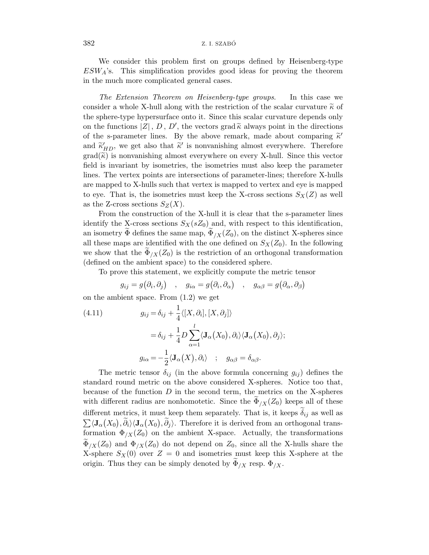We consider this problem first on groups defined by Heisenberg-type *ESW*A's. This simplification provides good ideas for proving the theorem in the much more complicated general cases.

The Extension Theorem on Heisenberg-type groups. In this case we consider a whole X-hull along with the restriction of the scalar curvature *<sup>κ</sup>* of the sphere-type hypersurface onto it. Since this scalar curvature depends only on the functions  $|Z|$ ,  $D$ ,  $D'$ , the vectors grad  $\tilde{\kappa}$  always point in the directions of the approximator lines. By the shows remark made shout comparing  $\tilde{\kappa}'$ of the s-parameter lines. By the above remark, made about comparing  $\tilde{\kappa}'$ and  $\tilde{\kappa}'_{HD}$ , we get also that  $\tilde{\kappa}'$  is nonvanishing almost everywhere. Therefore  $\text{grad}(\tilde{\kappa})$  is nonvanishing almost everywhere on every X-hull. Since this vector field is invariant by isometries, the isometries must also keep the parameter lines. The vertex points are intersections of parameter-lines; therefore X-hulls are mapped to X-hulls such that vertex is mapped to vertex and eye is mapped to eye. That is, the isometries must keep the X-cross sections  $S_X(Z)$  as well as the Z-cross sections  $S_Z(X)$ .

From the construction of the X-hull it is clear that the s-parameter lines identify the X-cross sections  $S_X(sZ_0)$  and, with respect to this identification, an isometry  $\Phi$  defines the same map,  $\Phi_{/X}(Z_0)$ , on the distinct X-spheres since all these maps are identified with the one defined on  $S_X(Z_0)$ . In the following we show that the  $\Phi_{/X}(Z_0)$  is the restriction of an orthogonal transformation (defined on the ambient space) to the considered sphere.

To prove this statement, we explicitly compute the metric tensor

$$
g_{ij} = g(\partial_i, \partial_j)
$$
,  $g_{i\alpha} = g(\partial_i, \partial_\alpha)$ ,  $g_{\alpha\beta} = g(\partial_\alpha, \partial_\beta)$ 

on the ambient space. From (1.2) we get

(4.11) 
$$
g_{ij} = \delta_{ij} + \frac{1}{4} \langle [X, \partial_i], [X, \partial_j] \rangle
$$

$$
= \delta_{ij} + \frac{1}{4} D \sum_{\alpha=1}^l \langle \mathbf{J}_{\alpha}(X_0), \partial_i \rangle \langle \mathbf{J}_{\alpha}(X_0), \partial_j \rangle;
$$

$$
g_{i\alpha} = -\frac{1}{2} \langle \mathbf{J}_{\alpha}(X), \partial_i \rangle ; \quad g_{\alpha\beta} = \delta_{\alpha\beta}.
$$

The metric tensor  $\delta_{ij}$  (in the above formula concerning  $g_{ij}$ ) defines the standard round metric on the above considered X-spheres. Notice too that, because of the function *D* in the second term, the metrics on the X-spheres with different radius are nonhomotetic. Since the  $\tilde{\Phi}_{/X}(Z_0)$  keeps all of these different metrics, it must keep them separately. That is, it keeps  $\delta_{ij}$  as well as  $\sum_i \langle \mathbf{J}_{\alpha}(X_0), \partial_i \rangle \langle \mathbf{J}_{\alpha}(X_0), \partial_j \rangle$ . Therefore it is derived from an orthogonal transformation  $\Phi_{X}(Z_0)$  on the ambient X-space. Actually, the transformations  $\Phi_{X}(Z_0)$  and  $\Phi_{X}(Z_0)$  do not depend on  $Z_0$ , since all the X-hulls share the X-sphere  $S_X(0)$  over  $Z = 0$  and isometries must keep this X-sphere at the origin. Thus they can be simply denoted by  $\Phi_{/X}$  resp.  $\Phi_{/X}$ .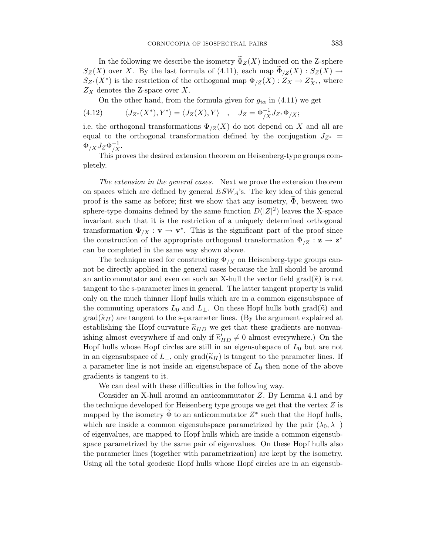In the following we describe the isometry  $\Phi_Z(X)$  induced on the Z-sphere  $S_Z(X)$  over *X*. By the last formula of (4.11), each map  $\Phi_{/Z}(X)$  :  $S_Z(X) \to$  $S_{Z^*}(X^*)$  is the restriction of the orthogonal map  $\Phi_{/Z}(X) : Z_X \to Z^*_{X^*}$ , where  $Z_X$  denotes the Z-space over  $X$ .

On the other hand, from the formula given for  $g_{i\alpha}$  in (4.11) we get

(4.12) 
$$
\langle J_{Z^*}(X^*), Y^* \rangle = \langle J_Z(X), Y \rangle \quad , \quad J_Z = \Phi_{/X}^{-1} J_{Z^*} \Phi_{/X};
$$

i.e. the orthogonal transformations  $\Phi_{/Z}(X)$  do not depend on X and all are equal to the orthogonal transformation defined by the conjugation  $J_{Z^*}$  =  $\Phi_{/X}J_Z\Phi_{/X}^{-1}.$ 

This proves the desired extension theorem on Heisenberg-type groups completely.

The extension in the general cases. Next we prove the extension theorem on spaces which are defined by general *ESW*A's. The key idea of this general proof is the same as before; first we show that any isometry,  $\Phi$ , between two sphere-type domains defined by the same function  $D(|Z|^2)$  leaves the X-space invariant such that it is the restriction of a uniquely determined orthogonal transformation  $\Phi_{/X}: \mathbf{v} \to \mathbf{v}^*$ . This is the significant part of the proof since the construction of the appropriate orthogonal transformation  $\Phi_{Z} : \mathbf{z} \to \mathbf{z}^*$ can be completed in the same way shown above.

The technique used for constructing  $\Phi_{/X}$  on Heisenberg-type groups cannot be directly applied in the general cases because the hull should be around an anticommutator and even on such an X-hull the vector field grad $(\tilde{\kappa})$  is not tangent to the s-parameter lines in general. The latter tangent property is valid only on the much thinner Hopf hulls which are in a common eigensubspace of the commuting operators  $L_0$  and  $L_+$ . On these Hopf hulls both grad( $\tilde{\kappa}$ ) and  $\text{grad}(\widetilde{\kappa}_H)$  are tangent to the s-parameter lines. (By the argument explained at establishing the Hopf curvature  $\tilde{\kappa}_{HD}$  we get that these gradients are nonvanishing almost everywhere if and only if  $\tilde{\kappa}'_{HD} \neq 0$  almost everywhere.) On the<br>Horf bulls whose Horf eigeles are still in an eigensubspace of L<sub>i</sub> but are not Hopf hulls whose Hopf circles are still in an eigensubspace of *L*<sup>0</sup> but are not in an eigensubspace of  $L_{\perp}$ , only grad( $\tilde{\kappa}_H$ ) is tangent to the parameter lines. If a parameter line is not inside an eigensubspace of *L*<sup>0</sup> then none of the above gradients is tangent to it.

We can deal with these difficulties in the following way.

Consider an X-hull around an anticommutator *Z*. By Lemma 4.1 and by the technique developed for Heisenberg type groups we get that the vertex *Z* is mapped by the isometry  $\Phi$  to an anticommutator  $Z^*$  such that the Hopf hulls, which are inside a common eigensubspace parametrized by the pair  $(\lambda_0, \lambda_+)$ of eigenvalues, are mapped to Hopf hulls which are inside a common eigensubspace parametrized by the same pair of eigenvalues. On these Hopf hulls also the parameter lines (together with parametrization) are kept by the isometry. Using all the total geodesic Hopf hulls whose Hopf circles are in an eigensub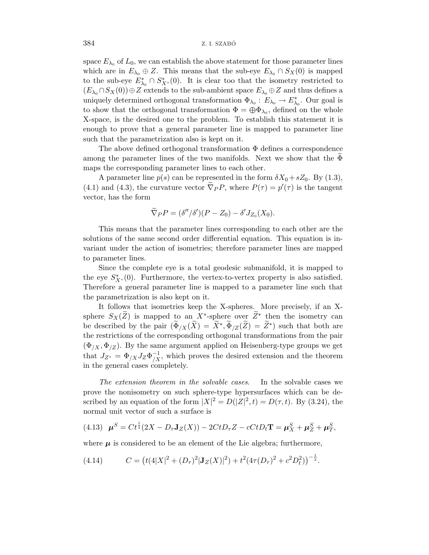space  $E_{\lambda_0}$  of  $L_0$ , we can establish the above statement for those parameter lines which are in  $E_{\lambda_0} \oplus Z$ . This means that the sub-eye  $E_{\lambda_0} \cap S_X(0)$  is mapped to the sub-eye  $E_{\lambda_0}^* \cap S_{X^*}^*(0)$ . It is clear too that the isometry restricted to  $(E_{\lambda_0} \cap S_X(0)) \oplus Z$  extends to the sub-ambient space  $E_{\lambda_0} \oplus Z$  and thus defines a uniquely determined orthogonal transformation  $\Phi_{\lambda_0}: E_{\lambda_0} \to E_{\lambda_0}^*$ . Our goal is to show that the orthogonal transformation  $\Phi = \bigoplus \Phi_{\lambda_0}$ , defined on the whole X-space, is the desired one to the problem. To establish this statement it is enough to prove that a general parameter line is mapped to parameter line such that the parametrization also is kept on it.

The above defined orthogonal transformation  $\Phi$  defines a correspondence among the parameter lines of the two manifolds. Next we show that the <sup>Φ</sup> maps the corresponding parameter lines to each other.

A parameter line  $p(s)$  can be represented in the form  $\delta X_0 + sZ_0$ . By (1.3), (4.1) and (4.3), the curvature vector  $\nabla_P P$ , where  $P(\tau) = p'(\tau)$  is the tangent vector, has the form

$$
\nabla_P P = (\delta''/\delta')(P - Z_0) - \delta' J_{Z_0}(X_0).
$$

This means that the parameter lines corresponding to each other are the solutions of the same second order differential equation. This equation is invariant under the action of isometries; therefore parameter lines are mapped to parameter lines.

Since the complete eye is a total geodesic submanifold, it is mapped to the eye  $S_{X^*}^*(0)$ . Furthermore, the vertex-to-vertex property is also satisfied. Therefore a general parameter line is mapped to a parameter line such that the parametrization is also kept on it.

It follows that isometries keep the X-spheres. More precisely, if an Xsphere  $S_X(\widetilde{Z})$  is mapped to an X<sup>\*</sup>-sphere over  $\widetilde{Z}^*$  then the isometry can be described by the pair  $(\widetilde{\Phi}_{/X}(\widetilde{X}) = \widetilde{X}^*, \widetilde{\Phi}_{/Z}(\widetilde{Z}) = \widetilde{Z}^* )$  such that both are the restrictions of the corresponding orthogonal transformations from the pair  $(\Phi_{X}, \Phi_{Z})$ . By the same argument applied on Heisenberg-type groups we get that  $J_{Z^*} = \Phi_{/X} J_Z \Phi_{/X}^{-1}$ , which proves the desired extension and the theorem in the general cases completely.

The extension theorem in the solvable cases. In the solvable cases we prove the nonisometry on such sphere-type hypersurfaces which can be described by an equation of the form  $|X|^2 = D(|Z|^2, t) = D(\tau, t)$ . By (3.24), the normal unit vector of such a surface is

$$
(4.13)\quad \boldsymbol{\mu}^S = Ct^{\frac{1}{2}}(2X - D_{\tau}\mathbf{J}_Z(X)) - 2CtD_{\tau}Z - cCtD_t\mathbf{T} = \boldsymbol{\mu}_X^S + \boldsymbol{\mu}_Z^S + \boldsymbol{\mu}_T^S,
$$

where  $\mu$  is considered to be an element of the Lie algebra; furthermore,

(4.14) 
$$
C = \left(t(4|X|^2 + (D_\tau)^2|\mathbf{J}_Z(X)|^2) + t^2(4\tau(D_\tau)^2 + c^2D_t^2)\right)^{-\frac{1}{2}}.
$$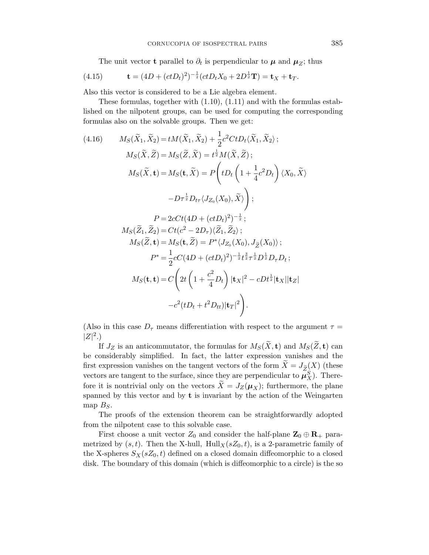The unit vector **t** parallel to  $\partial_t$  is perpendicular to  $\mu$  and  $\mu_Z$ ; thus

(4.15) 
$$
\mathbf{t} = (4D + (ctD_t)^2)^{-\frac{1}{2}} (ctD_t X_0 + 2D^{\frac{1}{2}} \mathbf{T}) = \mathbf{t}_X + \mathbf{t}_T.
$$

Also this vector is considered to be a Lie algebra element.

These formulas, together with (1.10), (1.11) and with the formulas established on the nilpotent groups, can be used for computing the corresponding formulas also on the solvable groups. Then we get:

(4.16) 
$$
M_S(\tilde{X}_1, \tilde{X}_2) = tM(\tilde{X}_1, \tilde{X}_2) + \frac{1}{2}c^2CtD_t\langle \tilde{X}_1, \tilde{X}_2 \rangle ;
$$
  
\n
$$
M_S(\tilde{X}, \tilde{Z}) = M_S(\tilde{Z}, \tilde{X}) = t^{\frac{1}{2}}M(\tilde{X}, \tilde{Z}) ;
$$
  
\n
$$
M_S(\tilde{X}, \mathbf{t}) = M_S(\mathbf{t}, \tilde{X}) = P\left(tD_t\left(1 + \frac{1}{4}c^2D_t\right)\langle X_0, \tilde{X}\rangle - D\tau^{\frac{1}{2}}D_{t\tau}\langle J_{Z_0}(X_0), \tilde{X}\rangle\right);
$$
  
\n
$$
P = 2cCt(4D + (ctD_t)^2)^{-\frac{1}{2}} ;
$$
  
\n
$$
M_S(\tilde{Z}_1, \tilde{Z}_2) = Ct(c^2 - 2D_\tau)\langle \tilde{Z}_1, \tilde{Z}_2 \rangle ;
$$
  
\n
$$
M_S(\tilde{Z}, \mathbf{t}) = M_S(\mathbf{t}, \tilde{Z}) = P^*\langle J_{Z_0}(X_0), J_{\tilde{Z}}(X_0) \rangle ;
$$
  
\n
$$
P^* = \frac{1}{2}cC(4D + (ctD_t)^2)^{-\frac{1}{2}}t^{\frac{3}{2}}\tau^{\frac{1}{2}}D^{\frac{1}{2}}D_\tau D_t ;
$$
  
\n
$$
M_S(\mathbf{t}, \mathbf{t}) = C\left(2t\left(1 + \frac{c^2}{4}D_t\right)|\mathbf{t}_X|^2 - cDt^{\frac{1}{2}}|\mathbf{t}_X||\mathbf{t}_Z| - c^2(tD_t + t^2D_{tt})|\mathbf{t}_T|^2\right).
$$

(Also in this case  $D_{\tau}$  means differentiation with respect to the argument  $\tau =$  $|Z|^2.$ 

If  $J_Z$  is an anticommutator, the formulas for  $M_S(\widetilde{X}, \mathbf{t})$  and  $M_S(\widetilde{Z}, \mathbf{t})$  can be considerably simplified. In fact, the latter expression vanishes and the first expression vanishes on the tangent vectors of the form  $\tilde{X} = J_{\tilde{Z}}(X)$  (these vectors are tangent to the surface, since they are perpendicular to  $\mu_X^S$ ). Therefore it is nontrivial only on the vectors  $\tilde{X} = J_Z(\mu_X)$ ; furthermore, the plane spanned by this vector and by **t** is invariant by the action of the Weingarten map  $B<sub>S</sub>$ .

The proofs of the extension theorem can be straightforwardly adopted from the nilpotent case to this solvable case.

First choose a unit vector  $Z_0$  and consider the half-plane  $\mathbf{Z}_0 \oplus \mathbf{R}_+$  parametrized by  $(s, t)$ . Then the X-hull, Hull $_X(sZ_0, t)$ , is a 2-parametric family of the X-spheres  $S_X(sZ_0, t)$  defined on a closed domain diffeomorphic to a closed disk. The boundary of this domain (which is diffeomorphic to a circle) is the so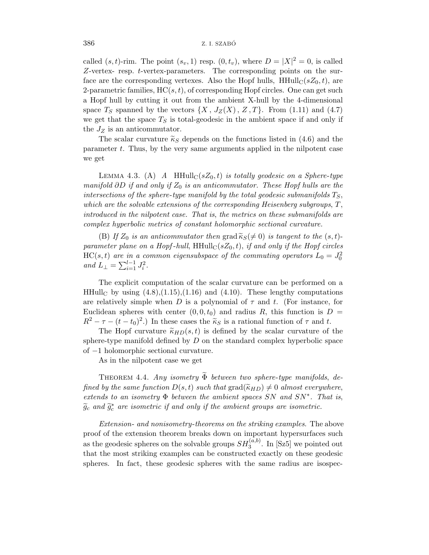called  $(s, t)$ -rim. The point  $(s_v, 1)$  resp.  $(0, t_v)$ , where  $D = |X|^2 = 0$ , is called *Z*-vertex- resp. *t*-vertex-parameters. The corresponding points on the surface are the corresponding vertexes. Also the Hopf hulls,  $HHull<sub>C</sub>(sZ<sub>0</sub>, t)$ , are 2-parametric families, HC(*s, t*), of corresponding Hopf circles. One can get such a Hopf hull by cutting it out from the ambient X-hull by the 4-dimensional space  $T_S$  spanned by the vectors  $\{X, J_Z(X), Z, T\}$ . From (1.11) and (4.7) we get that the space  $T_S$  is total-geodesic in the ambient space if and only if the  $J_Z$  is an anticommutator.

The scalar curvature  $\tilde{\kappa}_S$  depends on the functions listed in (4.6) and the parameter *t*. Thus, by the very same arguments applied in the nilpotent case we get

LEMMA 4.3. (A)  $A$  HHull<sub>C</sub>( $sZ_0$ , t) is totally geodesic on a Sphere-type manifold  $\partial D$  if and only if  $Z_0$  is an anticommutator. These Hopf hulls are the intersections of the sphere-type manifold by the total geodesic submanifolds  $T_S$ , which are the solvable extensions of the corresponding Heisenberg subgroups, *T*, introduced in the nilpotent case. That is, the metrics on these submanifolds are complex hyperbolic metrics of constant holomorphic sectional curvature.

(B) If  $Z_0$  is an anticommutator then grad  $\widetilde{\kappa}_S(\neq 0)$  is tangent to the  $(s,t)$ -<br>mater plane on a Hopf hull HHull  $(eZ, t)$  if and only if the Hopf circles parameter plane on a Hopf-hull,  $HHull<sub>C</sub>(sZ<sub>0</sub>, t)$ , if and only if the Hopf circles  $HC(s,t)$  are in a common eigensubspace of the commuting operators  $L_0 = J_0^2$ and  $L_{\perp} = \sum_{i=1}^{l-1} J_i^2$ .

The explicit computation of the scalar curvature can be performed on a  $HHull<sub>C</sub>$  by using  $(4.8), (1.15), (1.16)$  and  $(4.10)$ . These lengthy computations are relatively simple when *D* is a polynomial of  $\tau$  and *t*. (For instance, for Euclidean spheres with center  $(0,0,t_0)$  and radius *R*, this function is  $D =$  $R^2 - \tau - (t - t_0)^2$ .) In these cases the  $\tilde{\kappa}_S$  is a rational function of  $\tau$  and  $t$ .

The Hopf curvature  $\tilde{\kappa}_{HD}(s,t)$  is defined by the scalar curvature of the sphere-type manifold defined by *D* on the standard complex hyperbolic space of −1 holomorphic sectional curvature.

As in the nilpotent case we get

THEOREM 4.4. Any isometry  $\widetilde{\Phi}$  between two sphere-type manifolds, defined by the same function  $D(s,t)$  such that  $grad(\tilde{\kappa}_{HD}) \neq 0$  almost everywhere,<br>catenda to an isometry  $\Phi$  between the embient energy  $SN$  and  $SN^*$ . That is extends to an isometry Φ between the ambient spaces *SN* and *SN*∗. That is,  $\widetilde{g}_c$  and  $\widetilde{g}_c^*$  are isometric if and only if the ambient groups are isometric.

Extension- and nonisometry-theorems on the striking examples. The above proof of the extension theorem breaks down on important hypersurfaces such as the geodesic spheres on the solvable groups  $SH_3^{(a,b)}$ . In [Sz5] we pointed out that the most striking examples can be constructed exactly on these geodesic spheres. In fact, these geodesic spheres with the same radius are isospec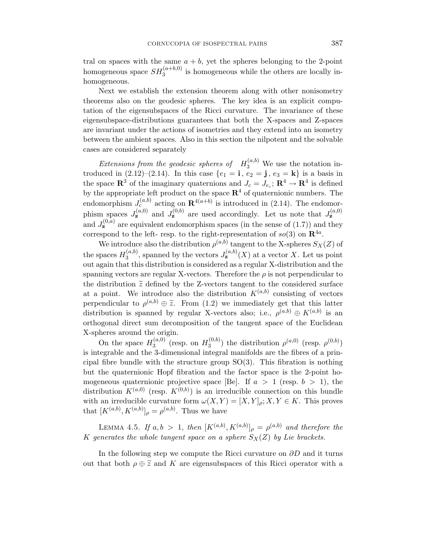tral on spaces with the same  $a + b$ , yet the spheres belonging to the 2-point homogeneous space  $SH_3^{(a+b,0)}$  is homogeneous while the others are locally inhomogeneous.

Next we establish the extension theorem along with other nonisometry theorems also on the geodesic spheres. The key idea is an explicit computation of the eigensubspaces of the Ricci curvature. The invariance of these eigensubspace-distributions guarantees that both the X-spaces and Z-spaces are invariant under the actions of isometries and they extend into an isometry between the ambient spaces. Also in this section the nilpotent and the solvable cases are considered separately

Extensions from the geodesic spheres of  $H_3^{(a,b)}$  We use the notation introduced in (2.12)–(2.14). In this case  $\{e_1 = \mathbf{i}, e_2 = \mathbf{j}, e_3 = \mathbf{k}\}\)$  is a basis in the space  $\mathbb{R}^3$  of the imaginary quaternions and  $J_c = J_{e_c}$ ;  $\mathbb{R}^4 \to \mathbb{R}^4$  is defined by the appropriate left product on the space  $\mathbb{R}^4$  of quaternionic numbers. The endomorphism  $J_c^{(a,b)}$  acting on  $\mathbb{R}^{4(a+b)}$  is introduced in (2.14). The endomorphism spaces  $J_{\mathbf{z}}^{(a,0)}$  and  $J_{\mathbf{z}}^{(0,b)}$  are used accordingly. Let us note that  $J_{\mathbf{z}}^{(a,0)}$ and  $J_{\mathbf{z}}^{(0,a)}$  are equivalent endomorphism spaces (in the sense of (1.7)) and they correspond to the left- resp. to the right-representation of  $so(3)$  on  $\mathbb{R}^{4a}$ .

We introduce also the distribution  $\rho^{(a,b)}$  tangent to the X-spheres  $S_X(Z)$  of the spaces  $H_3^{(a,b)}$ , spanned by the vectors  $J_{\mathbf{z}}^{(a,b)}(X)$  at a vector *X*. Let us point out again that this distribution is considered as a regular X-distribution and the spanning vectors are regular X-vectors. Therefore the  $\rho$  is not perpendicular to the distribution  $\tilde{z}$  defined by the Z-vectors tangent to the considered surface at a point. We introduce also the distribution  $K^{(a,b)}$  consisting of vectors perpendicular to  $\rho^{(a,b)} \oplus \tilde{z}$ . From (1.2) we immediately get that this latter distribution is spanned by regular X-vectors also; i.e.,  $\rho^{(a,b)} \oplus K^{(a,b)}$  is an orthogonal direct sum decomposition of the tangent space of the Euclidean X-spheres around the origin.

On the space  $H_3^{(a,0)}$  (resp. on  $H_3^{(0,b)}$ ) the distribution  $\rho^{(a,0)}$  (resp.  $\rho^{(0,b)}$ ) is integrable and the 3-dimensional integral manifolds are the fibres of a principal fibre bundle with the structure group  $SO(3)$ . This fibration is nothing but the quaternionic Hopf fibration and the factor space is the 2-point homogeneous quaternionic projective space [Be]. If  $a > 1$  (resp.  $b > 1$ ), the distribution  $K^{(a,0)}$  (resp.  $K^{(0,b)}$ ) is an irreducible connection on this bundle with an irreducible curvature form  $\omega(X, Y) = [X, Y]_{\rho}$ ;  $X, Y \in K$ . This proves that  $[K^{(a,b)}, K^{(a,b)}]_{\rho} = \rho^{(a,b)}$ . Thus we have

LEMMA 4.5. If  $a, b > 1$ , then  $[K^{(a,b)}, K^{(a,b)}]_{\rho} = \rho^{(a,b)}$  and therefore the *K* generates the whole tangent space on a sphere  $S_X(Z)$  by Lie brackets.

In the following step we compute the Ricci curvature on *∂D* and it turns out that both  $\rho \oplus \tilde{z}$  and K are eigensubspaces of this Ricci operator with a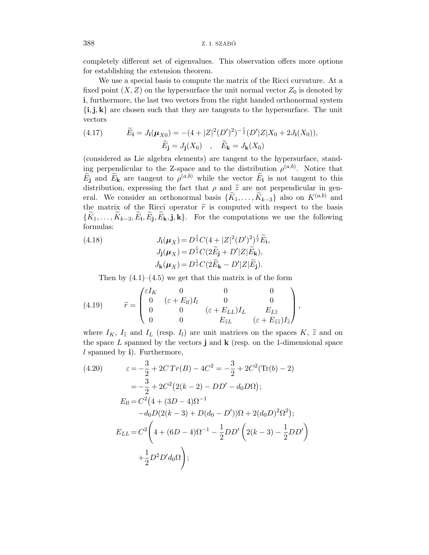completely different set of eigenvalues. This observation offers more options for establishing the extension theorem.

We use a special basis to compute the matrix of the Ricci curvature. At a fixed point  $(X, Z)$  on the hypersurface the unit normal vector  $Z_0$  is denoted by **i**, furthermore, the last two vectors from the right handed orthonormal system {**i***,***j***,* **k**} are chosen such that they are tangents to the hypersurface. The unit vectors

(4.17) 
$$
\widetilde{E}_{\mathbf{i}} = J_{\mathbf{i}}(\mu_{X0}) = -(4 + |Z|^2(D')^2)^{-\frac{1}{2}}(D'|Z|X_0 + 2J_{\mathbf{i}}(X_0)),
$$

$$
\widetilde{E}_{\mathbf{j}} = J_{\mathbf{j}}(X_0) , \quad \widetilde{E}_{\mathbf{k}} = J_{\mathbf{k}}(X_0)
$$

(considered as Lie algebra elements) are tangent to the hypersurface, standing perpendicular to the Z-space and to the distribution  $\rho^{(a,b)}$ . Notice that  $\widetilde{E}_j$  and  $\widetilde{E}_k$  are tangent to  $\rho^{(a,b)}$  while the vector  $\widetilde{E}_i$  is not tangent to this distribution, expressing the fact that  $\rho$  and  $\tilde{z}$  are not perpendicular in general. We consider an orthonormal basis  $\{\widetilde{K}_1,\ldots,\widetilde{K}_{k-3}\}\)$  also on  $K^{(a,b)}$  and the matrix of the Ricci operator  $\tilde{r}$  is computed with respect to the basis  $\{K_1, \ldots, K_{k-3}, E_i, E_j, E_k, \mathbf{j}, \mathbf{k}\}.$  For the computations we use the following formulas:

(4.18) 
$$
J_{\mathbf{i}}(\boldsymbol{\mu}_X) = D^{\frac{1}{2}}C(4+|Z|^2(D')^2)^{\frac{1}{2}}\widetilde{E}_{\mathbf{i}},
$$

$$
J_{\mathbf{j}}(\boldsymbol{\mu}_X) = D^{\frac{1}{2}}C(2\widetilde{E}_{\mathbf{j}} + D'|Z|\widetilde{E}_{\mathbf{k}}),
$$

$$
J_{\mathbf{k}}(\boldsymbol{\mu}_X) = D^{\frac{1}{2}}C(2\widetilde{E}_{\mathbf{k}} - D'|Z|\widetilde{E}_{\mathbf{j}}).
$$

Then by  $(4.1)$ – $(4.5)$  we get that this matrix is of the form

(4.19) 
$$
\widetilde{r} = \begin{pmatrix} \varepsilon I_K & 0 & 0 & 0 \\ 0 & (\varepsilon + E_{ll})I_l & 0 & 0 \\ 0 & 0 & (\varepsilon + E_{LL})I_L & E_{L\widetilde{z}} \\ 0 & 0 & E_{\widetilde{z}L} & (\varepsilon + E_{\widetilde{z}\widetilde{z}})I_{\widetilde{z}} \end{pmatrix},
$$

where  $I_K$ ,  $I_{\tilde{z}}$  and  $I_L$  (resp.  $I_l$ ) are unit matrices on the spaces  $K$ ,  $\tilde{z}$  and on the space  $L$  spanned by the vectors  $\mathbf{j}$  and  $\mathbf{k}$  (resp. on the 1-dimensional space *l* spanned by **i**). Furthermore,

(4.20) 
$$
\varepsilon = -\frac{3}{2} + 2C \operatorname{Tr}(B) - 4C^2 = -\frac{3}{2} + 2C^2 (\operatorname{Tr}(b) - 2)
$$

$$
= -\frac{3}{2} + 2C^2 (2(k - 2) - DD' - d_0 D \Omega);
$$

$$
E_{ll} = C^2 (4 + (3D - 4)\Omega^{-1} - d_0 D (2(k - 3) + D(d_0 - D'))\Omega + 2(d_0 D)^2 \Omega^2);
$$

$$
E_{LL} = C^2 \left( 4 + (6D - 4)\Omega^{-1} - \frac{1}{2} DD' \left( 2(k - 3) - \frac{1}{2} DD' \right) + \frac{1}{2} D^2 D' d_0 \Omega \right);
$$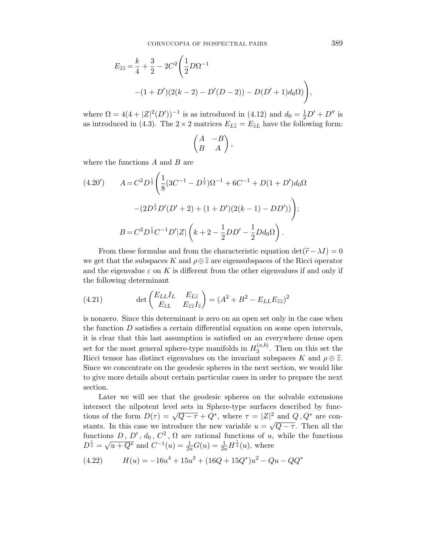$$
E_{\widetilde{z}\widetilde{z}} = \frac{k}{4} + \frac{3}{2} - 2C^2 \left( \frac{1}{2} D\Omega^{-1} - (1+D')(2(k-2) - D'(D-2)) - D(D'+1)d_0\Omega) \right),
$$

where  $\Omega = 4(4 + |Z|^2(D'))^{-1}$  is as introduced in (4.12) and  $d_0 = \frac{1}{2}D' + D''$  is as introduced in (4.3). The  $2 \times 2$  matrices  $E_{L\tilde{z}} = E_{\tilde{z}L}$  have the following form:

$$
\begin{pmatrix} A & -B \\ B & A \end{pmatrix},
$$

where the functions *A* and *B* are

$$
(4.20') \qquad A = C^2 D^{\frac{1}{2}} \left( \frac{1}{8} (3C^{-1} - D^{\frac{1}{2}}) \Omega^{-1} + 6C^{-1} + D(1 + D') d_0 \Omega \right)
$$

$$
- (2D^{\frac{1}{2}} D'(D' + 2) + (1 + D')(2(k - 1) - DD')) \Big);
$$

$$
B = C^2 D^{\frac{1}{2}} C^{-1} D'|Z| \left( k + 2 - \frac{1}{2} DD' - \frac{1}{2} D d_0 \Omega \right).
$$

From these formulas and from the characteristic equation det( $\tilde{r} - \lambda I$ ) = 0 we get that the subspaces *K* and  $\rho \oplus \tilde{z}$  are eigensubspaces of the Ricci operator and the eigenvalue  $\varepsilon$  on K is different from the other eigenvalues if and only if the following determinant

(4.21) 
$$
\det \begin{pmatrix} E_{LL}I_L & E_{L\tilde{z}} \\ E_{\tilde{z}L} & E_{\tilde{z}\tilde{z}}I_{\tilde{z}} \end{pmatrix} = (A^2 + B^2 - E_{LL}E_{\tilde{z}\tilde{z}})^2
$$

is nonzero. Since this determinant is zero on an open set only in the case when the function *D* satisfies a certain differential equation on some open intervals, it is clear that this last assumption is satisfied on an everywhere dense open set for the most general sphere-type manifolds in  $H_3^{(a,b)}$ . Then on this set the Ricci tensor has distinct eigenvalues on the invariant subspaces *K* and  $\rho \oplus \tilde{z}$ . Since we concentrate on the geodesic spheres in the next section, we would like to give more details about certain particular cases in order to prepare the next section.

Later we will see that the geodesic spheres on the solvable extensions intersect the nilpotent level sets in Sphere-type surfaces described by functions of the form  $D(\tau) = \sqrt{Q - \tau} + Q^*$ , where  $\tau = |Z|^2$  and  $Q, Q^*$  are constants. In this case we introduce the new variable  $u = \sqrt{Q - \tau}$ . Then all the functions  $D, D', d_0, C^2, \Omega$  are rational functions of *u*, while the functions  $D^{\frac{1}{2}} = \sqrt{u+Q^*}$  and  $C^{-1}(u) = \frac{1}{2u}G(u) = \frac{1}{2u}H^{\frac{1}{2}}(u)$ , where

(4.22) 
$$
H(u) = -16u^4 + 15u^3 + (16Q + 15Q^*)u^2 - Qu - QQ^*
$$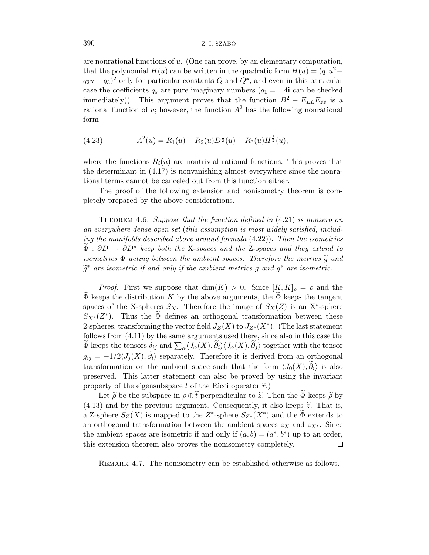# 390 Z. I. SZABO´

are nonrational functions of *u*. (One can prove, by an elementary computation, that the polynomial  $H(u)$  can be written in the quadratic form  $H(u) = (q_1u^2 +$  $q_2u + q_3$ <sup>2</sup> only for particular constants *Q* and *Q*<sup>∗</sup>, and even in this particular case the coefficients  $q_s$  are pure imaginary numbers  $(q_1 = \pm 4i)$  can be checked immediately)). This argument proves that the function  $B^2 - E_{LL}E_{\tilde{z}\tilde{z}}$  is a rational function of  $u$ ; however, the function  $A^2$  has the following nonrational form

(4.23) 
$$
A^{2}(u) = R_{1}(u) + R_{2}(u)D^{\frac{1}{2}}(u) + R_{3}(u)H^{\frac{1}{2}}(u),
$$

where the functions  $R_i(u)$  are nontrivial rational functions. This proves that the determinant in (4.17) is nonvanishing almost everywhere since the nonrational terms cannot be canceled out from this function either.

The proof of the following extension and nonisometry theorem is completely prepared by the above considerations.

THEOREM 4.6. Suppose that the function defined in  $(4.21)$  is nonzero on an everywhere dense open set (this assumption is most widely satisfied, including the manifolds described above around formula (4.22)). Then the isometries  $\widetilde{\Phi}: \partial D \to \partial D^*$  keep both the X-spaces and the Z-spaces and they extend to isometries  $\Phi$  acting between the ambient spaces. Therefore the metrics  $\tilde{g}$  and *<sup>g</sup>*<sup>∗</sup> are isometric if and only if the ambient metrics *<sup>g</sup>* and *<sup>g</sup>*<sup>∗</sup> are isometric.

*Proof.* First we suppose that  $\dim(K) > 0$ . Since  $[K, K]_{\rho} = \rho$  and the  $\Phi$  keeps the distribution K by the above arguments, the  $\Phi$  keeps the tangent spaces of the X-spheres  $S_X$ . Therefore the image of  $S_X(Z)$  is an X<sup>\*</sup>-sphere  $S_{X^*}(Z^*)$ . Thus the  $\widetilde{\Phi}$  defines an orthogonal transformation between these 2-spheres, transforming the vector field  $J_Z(X)$  to  $J_{Z^*}(X^*)$ . (The last statement follows from (4.11) by the same arguments used there, since also in this case the  $\Phi$  keeps the tensors  $\delta_{ij}$  and  $\sum_{\alpha} \langle J_{\alpha}(X), \partial_i \rangle \langle J_{\alpha}(X), \partial_j \rangle$  together with the tensor  $g_{ij} = -1/2\langle J_j(X), \partial_i \rangle$  separately. Therefore it is derived from an orthogonal transformation on the ambient space such that the form  $\langle J_0(X), \partial_i \rangle$  is also preserved. This latter statement can also be proved by using the invariant property of the eigensubspace  $l$  of the Ricci operator  $\tilde{r}$ .)

Let  $\tilde{\rho}$  be the subspace in  $\rho \oplus \tilde{t}$  perpendicular to  $\tilde{z}$ . Then the  $\Phi$  keeps  $\tilde{\rho}$  by  $(4.13)$  and by the previous argument. Consequently, it also keeps  $\tilde{z}$ . That is, a Z-sphere  $S_Z(X)$  is mapped to the  $Z^*$ -sphere  $S_{Z^*}(X^*)$  and the  $\Phi$  extends to an orthogonal transformation between the ambient spaces  $z_X$  and  $z_{X^*}$ . Since the ambient spaces are isometric if and only if  $(a, b) = (a^*, b^*)$  up to an order, this extension theorem also proves the nonisometry completely.  $\Box$ 

REMARK 4.7. The nonisometry can be established otherwise as follows.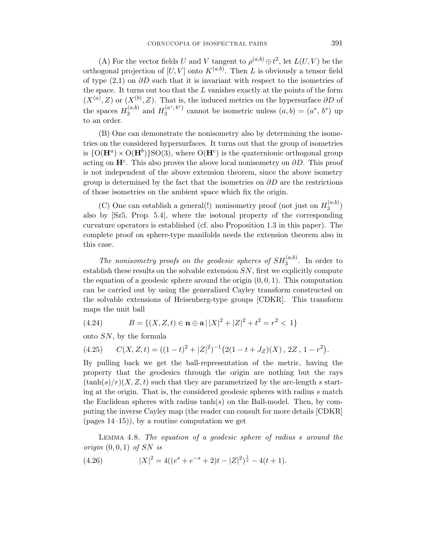(A) For the vector fields *U* and *V* tangent to  $\rho^{(a,b)} \oplus t^2$ , let  $L(U, V)$  be the orthogonal projection of  $[U, V]$  onto  $K^{(a,b)}$ . Then *L* is obviously a tensor field of type (2,1) on *∂D* such that it is invariant with respect to the isometries of the space. It turns out too that the *L* vanishes exactly at the points of the form  $(X^{(a)}, Z)$  or  $(X^{(b)}, Z)$ . That is, the induced metrics on the hypersurface  $\partial D$  of the spaces  $H_3^{(a,b)}$  and  $H_3^{(a^*,b^*)}$  cannot be isometric unless  $(a,b)=(a^*,b^*)$  up to an order.

(B) One can demonstrate the nonisometry also by determining the isometries on the considered hypersurfaces. It turns out that the group of isometries is  ${O}(\mathbf{H}^a) \times O(\mathbf{H}^b)$  SO(3), where  $O(\mathbf{H}^c)$  is the quaternionic orthogonal group acting on  $\mathbf{H}^c$ . This also proves the above local nonisometry on  $\partial D$ . This proof is not independent of the above extension theorem, since the above isometry group is determined by the fact that the isometries on *∂D* are the restrictions of those isometries on the ambient space which fix the origin.

(C) One can establish a general<sup>(!)</sup> nonisometry proof (not just on  $H_3^{(a,b)}$ ) also by [Sz5, Prop. 5.4], where the isotonal property of the corresponding curvature operators is established (cf. also Proposition 1.3 in this paper). The complete proof on sphere-type manifolds needs the extension theorem also in this case.

The nonisometry proofs on the geodesic spheres of  $SH_3^{(a,b)}$ . In order to establish these results on the solvable extension *SN*, first we explicitly compute the equation of a geodesic sphere around the origin  $(0,0,1)$ . This computation can be carried out by using the generalized Cayley transform constructed on the solvable extensions of Heisenberg-type groups [CDKR]. This transform maps the unit ball

(4.24) 
$$
B = \{(X, Z, t) \in \mathbf{n} \oplus \mathbf{a} \mid |X|^2 + |Z|^2 + t^2 = r^2 < 1\}
$$

onto *SN*, by the formula

$$
(4.25) \qquad C(X,Z,t) = ((1-t)^2 + |Z|^2)^{-1} (2(1-t+J_Z)(X), 2Z, 1-r^2).
$$

By pulling back we get the ball-representation of the metric, having the property that the geodesics through the origin are nothing but the rays  $(\tanh(s)/r)(X, Z, t)$  such that they are parametrized by the arc-length *s* starting at the origin. That is, the considered geodesic spheres with radius *s* match the Euclidean spheres with radius tanh(*s*) on the Ball-model. Then, by computing the inverse Cayley map (the reader can consult for more details [CDKR] (pages 14–15)), by a routine computation we get

Lemma 4.8. The equation of a geodesic sphere of radius *s* around the origin  $(0,0,1)$  of  $SN$  is

(4.26) 
$$
|X|^2 = 4((e^s + e^{-s} + 2)t - |Z|^2)^{\frac{1}{2}} - 4(t+1).
$$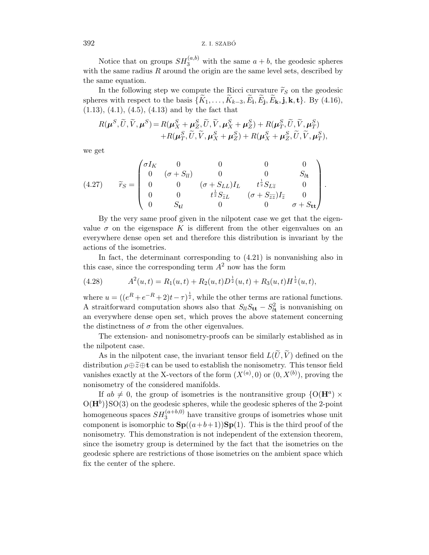392 Z. I. SZABO´

Notice that on groups  $SH_3^{(a,b)}$  with the same  $a + b$ , the geodesic spheres with the same radius  $R$  around the origin are the same level sets, described by the same equation.

In the following step we compute the Ricci curvature  $\tilde{r}_S$  on the geodesic spheres with respect to the basis  $\{K_1, \ldots, K_{k-3}, E_i, E_i, E_k, \mathbf{j}, \mathbf{k}, \mathbf{t}\}\)$ . By (4.16),  $(1.13), (4.1), (4.5), (4.13)$  and by the fact that

$$
R(\boldsymbol{\mu}^S, \widetilde{U}, \widetilde{V}, \boldsymbol{\mu}^S) = R(\boldsymbol{\mu}_X^S + \boldsymbol{\mu}_Z^S, \widetilde{U}, \widetilde{V}, \boldsymbol{\mu}_X^S + \boldsymbol{\mu}_Z^S) + R(\boldsymbol{\mu}_T^S, \widetilde{U}, \widetilde{V}, \boldsymbol{\mu}_T^S) + R(\boldsymbol{\mu}_T^S, \widetilde{U}, \widetilde{V}, \boldsymbol{\mu}_X^S + \boldsymbol{\mu}_Z^S) + R(\boldsymbol{\mu}_X^S + \boldsymbol{\mu}_Z^S, \widetilde{U}, \widetilde{V}, \boldsymbol{\mu}_T^S),
$$

we get

(4.27) 
$$
\widetilde{r}_{S} = \begin{pmatrix} \sigma I_{K} & 0 & 0 & 0 & 0 \\ 0 & (\sigma + S_{ll}) & 0 & 0 & S_{lt} \\ 0 & 0 & (\sigma + S_{LL})I_{L} & t^{\frac{1}{2}}S_{L\widetilde{z}} & 0 \\ 0 & 0 & t^{\frac{1}{2}}S_{\widetilde{z}L} & (\sigma + S_{\widetilde{z}\widetilde{z}})I_{\widetilde{z}} & 0 \\ 0 & S_{tl} & 0 & 0 & \sigma + S_{tt} \end{pmatrix}.
$$

By the very same proof given in the nilpotent case we get that the eigenvalue  $\sigma$  on the eigenspace K is different from the other eigenvalues on an everywhere dense open set and therefore this distribution is invariant by the actions of the isometries.

In fact, the determinant corresponding to (4.21) is nonvanishing also in this case, since the corresponding term  $A<sup>2</sup>$  now has the form

(4.28) 
$$
A^{2}(u,t) = R_{1}(u,t) + R_{2}(u,t)D^{\frac{1}{2}}(u,t) + R_{3}(u,t)H^{\frac{1}{2}}(u,t),
$$

where  $u = ((e^R + e^{-R} + 2)t - \tau)^{\frac{1}{2}}$ , while the other terms are rational functions. A straitforward computation shows also that  $S_{ll}S_{tt} - S_{lt}^2$  is nonvanishing on an everywhere dense open set, which proves the above statement concerning the distinctness of  $\sigma$  from the other eigenvalues.

The extension- and nonisometry-proofs can be similarly established as in the nilpotent case.

As in the nilpotent case, the invariant tensor field  $L(\tilde{U}, \tilde{V})$  defined on the distribution  $\rho \oplus \tilde{z} \oplus t$  can be used to establish the nonisometry. This tensor field vanishes exactly at the X-vectors of the form  $(X^{(a)}, 0)$  or  $(0, X^{(b)})$ , proving the nonisometry of the considered manifolds.

If  $ab \neq 0$ , the group of isometries is the nontransitive group  ${O(\mathbf{H}^a) \times}$  $O(\mathbf{H}^b)$  SO(3) on the geodesic spheres, while the geodesic spheres of the 2-point homogeneous spaces  $SH_3^{(a+b,0)}$  have transitive groups of isometries whose unit component is isomorphic to  $\mathbf{Sp}((a+b+1))\mathbf{Sp}(1)$ . This is the third proof of the nonisometry. This demonstration is not independent of the extension theorem, since the isometry group is determined by the fact that the isometries on the geodesic sphere are restrictions of those isometries on the ambient space which fix the center of the sphere.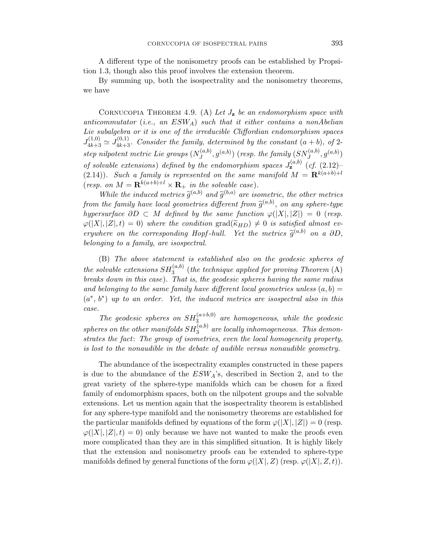A different type of the nonisometry proofs can be established by Propsition 1.3, though also this proof involves the extension theorem.

By summing up, both the isospectrality and the nonisometry theorems, we have

CORNUCOPIA THEOREM 4.9. (A) Let  $J_{\mathbf{z}}$  be an endomorphism space with anticommutator (i.e., an  $ESW_A$ ) such that it either contains a nonAbelian Lie subalgebra or it is one of the irreducible Cliffordian endomorphism spaces  $J_{4k+3}^{(1,0)} \simeq J_{4k+3}^{(0,1)}$ . Consider the family, determined by the constant  $(a + b)$ , of 2step nilpotent metric Lie groups  $(N_f^{(a,b)}, g^{(a,b)})$  (resp. the family  $(SN_J^{(a,b)}, g^{(a,b)})$ ) of solvable extensions) defined by the endomorphism spaces  $J_{\mathbf{z}}^{(a,b)}$  (cf. (2.12)– (2.14)). Such a family is represented on the same manifold  $M = \mathbf{R}^{k(a+b)+l}$  $(resp.$  on  $M = \mathbf{R}^{k(a+b)+l} \times \mathbf{R}_+$  in the solvable case).

While the induced metrics  $\tilde{g}^{(a,b)}$  and  $\tilde{g}^{(b,a)}$  are isometric, the other metrics from the family have local geometries different from  $\tilde{g}^{(a,b)}$ , on any sphere-type<br>hypergeometries  $\partial D \subset M$  defined by the same function  $\varphi(|X|, |Z|) = 0$  (rean) hypersurface  $\partial D \subset M$  defined by the same function  $\varphi(|X|, |Z|) = 0$  (resp.  $\varphi(|X|, |Z|, t) = 0$ ) where the condition grad $(\widetilde{\kappa}_{HD}) \neq 0$  is satisfied almost ev-<br>convenience on the corresponding Heaf hell Vet the matrice  $\widetilde{\kappa}^{(a,b)}$  on a 3D erywhere on the corresponding Hopf-hull. Yet the metrics  $\tilde{g}^{(a,b)}$  on a  $\partial D$ , belonging to a family, are isospectral.

(B) The above statement is established also on the geodesic spheres of the solvable extensions  $SH_3^{(a,b)}$  (the technique applied for proving Theorem (A) breaks down in this case). That is, the geodesic spheres having the same radius and belonging to the same family have different local geometries unless  $(a, b)$  = (*a*∗*, b*∗) up to an order. Yet, the induced metrics are isospectral also in this case.

The geodesic spheres on  $SH_3^{(a+b,0)}$  are homogeneous, while the geodesic spheres on the other manifolds  $SH_3^{(a,b)}$  are locally inhomogeneous. This demonstrates the fact: The group of isometries, even the local homogeneity property, is lost to the nonaudible in the debate of audible versus nonaudible geometry.

The abundance of the isospectrality examples constructed in these papers is due to the abundance of the *ESW*A's, described in Section 2, and to the great variety of the sphere-type manifolds which can be chosen for a fixed family of endomorphism spaces, both on the nilpotent groups and the solvable extensions. Let us mention again that the isospectrality theorem is established for any sphere-type manifold and the nonisometry theorems are established for the particular manifolds defined by equations of the form  $\varphi(|X|, |Z|) = 0$  (resp.  $\varphi(|X|, |Z|, t) = 0$  only because we have not wanted to make the proofs even more complicated than they are in this simplified situation. It is highly likely that the extension and nonisometry proofs can be extended to sphere-type manifolds defined by general functions of the form  $\varphi(|X|, Z)$  (resp.  $\varphi(|X|, Z, t)$ ).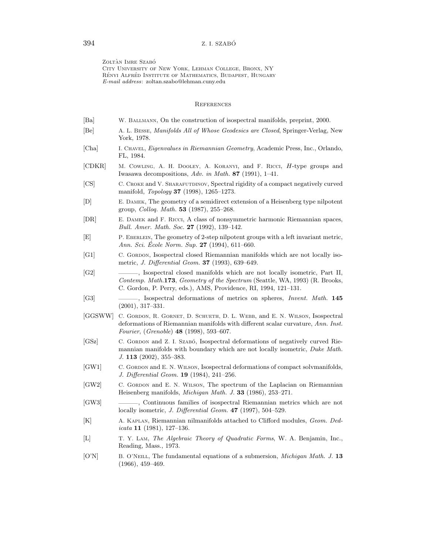ZOLTÀN IMRE SZABÓ

City University of New York, Lehman College, Bronx, NY RÉNYI ALFRÉD INSTITUTE OF MATHEMATICS, BUDAPEST, HUNGARY *E-mail address*: zoltan.szabo@lehman.cuny.edu

#### **REFERENCES**

- [Ba] W. Ballmann, On the construction of isospectral manifolds, preprint, 2000.
- [Be] A. L. Besse, *Manifolds All of Whose Geodesics are Closed*, Springer-Verlag, New York, 1978.
- [Cha] I. Chavel, *Eigenvalues in Riemannian Geometry*, Academic Press, Inc., Orlando, FL, 1984.
- [CDKR] M. Cowling, A. H. Dooley, A. Koranyi, and F. Ricci, *H*-type groups and Iwasawa decompositions, *Adv. in Math.* **87** (1991), 1–41.
- [CS] C. CROKE and V. SHARAFUTDINOV, Spectral rigidity of a compact negatively curved manifold, *Topology* **37** (1998), 1265–1273.
- [D] E. Damek, The geometry of a semidirect extension of a Heisenberg type nilpotent group, *Colloq. Math.* **53** (1987), 255–268.
- [DR] E. Damek and F. Ricci, A class of nonsymmetric harmonic Riemannian spaces, *Bull. Amer. Math. Soc.* **27** (1992), 139–142.
- [E] P. Eberlein, The geometry of 2-step nilpotent groups with a left invariant metric, *Ann. Sci. Ecole Norm. Sup. ´* **27** (1994), 611–660.
- [G1] C. GORDON, Isospectral closed Riemannian manifolds which are not locally isometric, *J. Differential Geom.* **37** (1993), 639–649.
- [G2] ———, Isospectral closed manifolds which are not locally isometric, Part II, *Contemp. Math.***173**, *Geometry of the Spectrum* (Seattle, WA, 1993) (R. Brooks, C. Gordon, P. Perry, eds.), AMS, Providence, RI, 1994, 121–131.
- [G3] ———, Isospectral deformations of metrics on spheres, *Invent. Math.* **145** (2001), 317–331.
- [GGSWW] C. GORDON, R. GORNET, D. SCHUETH, D. L. WEBB, and E. N. WILSON, Isospectral deformations of Riemannian manifolds with different scalar curvature, *Ann. Inst. Fourier*, (*Grenoble*) **48** (1998), 593–607.
- [GSz] C. GORDON and Z. I. Szabó, Isospectral deformations of negatively curved Riemannian manifolds with boundary which are not locally isometric, *Duke Math. J.* **113** (2002), 355–383.
- [GW1] C. GORDON and E. N. WILSON, Isospectral deformations of compact solvmanifolds, *J. Differential Geom.* **19** (1984), 241–256.
- [GW2] C. Gordon and E. N. Wilson, The spectrum of the Laplacian on Riemannian Heisenberg manifolds, *Michigan Math. J.* **33** (1986), 253–271.
- [GW3] ———, Continuous families of isospectral Riemannian metrics which are not locally isometric, *J. Differential Geom.* **47** (1997), 504–529.
- [K] A. Kaplan, Riemannian nilmanifolds attached to Clifford modules, *Geom. Dedicata* **11** (1981), 127–136.
- [L] T. Y. Lam, *The Algebraic Theory of Quadratic Forms*, W. A. Benjamin, Inc., Reading, Mass., 1973.
- [O'N] B. O'Neill, The fundamental equations of a submersion, *Michigan Math. J.* **13** (1966), 459–469.